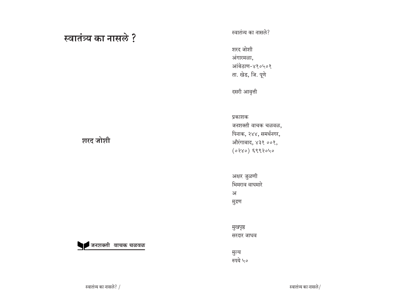# स्वातंत्र्य का नासले ?

स्वातंत्र्य का नासले?

शरद जोशी अंगारमळा, आंबेठाण-४१०५०१ ता. खेड, जि. पूणे

दसरी आवृत्ती

प्रकाशक

जनशक्ती वाचक चळवळ, पिनाक, २४४, समर्थनगर, औरंगाबाद, ४३१ ००१,  $(0280)$   $6888040$ 

> अक्षर जुळणी भिमराव वाघमारे ¿ मुद्रण

मुखपृष्ठ सरदार जाधव

मुल्य रुपये ५०

## शरद जोशी

<sup>∣</sup>जनशक्ती वाचक चळवळ

स्वातंत्र्य का नासले? /  $\frac{1}{2}$  •  $\frac{1}{2}$  •  $\frac{1}{2}$  •  $\frac{1}{2}$  •  $\frac{1}{2}$  •  $\frac{1}{2}$  •  $\frac{1}{2}$  •  $\frac{1}{2}$  •  $\frac{1}{2}$  •  $\frac{1}{2}$  •  $\frac{1}{2}$  •  $\frac{1}{2}$  •  $\frac{1}{2}$  •  $\frac{1}{2}$  •  $\frac{1}{2}$  •  $\frac{1}{2}$  •  $\frac{$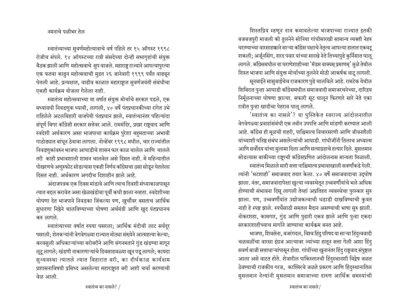### नमनाचे पळीभर तेल

स्वातंत्र्याच्या सुवर्णमहोत्यावाचे वर्ष पहिले तर १५ ऑगस्ट १९९८ रोजीच संपले. १४ ऑगस्टच्या रात्री संसदेच्या दोन्ही सभागृहांची संयुक्त बैठक झाली आणि महोत्सवाचे सुप वाजले. महाराष्ट्र राज्याने आपल्यापुरत्या एक फतवा काढुन महोत्सवाची मुद्रत २६ जानेवारी १९९९ पर्यंत वाढवून घेतली आहे. प्रत्यक्षात, वाढीव काळात महाराष्ट्रात सुवर्णजयंती संबंधीचा एकही कार्यक्रम योजला गेलेला नाही.

स्वातंत्र्य महोत्सवाच्या या वर्षात संयुक्त मोर्चाचे सरकार पडले, एक मध्यावधी निवडणुक घ्यावी, लागली, ४० वर्षे पंतप्रधानकीच्या रांगेत उभे राहिलेले अटलबिहारी वाजपेयी पंतप्रधान झाले, स्वातंत्र्यानंतर पहिल्यांदा संपूर्ण बिगर काँग्रेसी सरकार सत्तेवर आले. राममंदिर, प्रखर राष्ट्रवाद आणि स्वदेशी अर्थकारण असा भाजपाचा कार्यक्रम पुरेशा बहुमताच्या अभावी गाठोड्यात बांधून ठेवावा लागला. नोव्हेंबर १९९८ मधील, चार राज्यांतील <u>निवडणुकांवरुन भाजपा आघाडीचे शासन फार काळ चालेल आणि चालले</u> तरी काही प्रभावशाली शासन चालवेल असे दिसत नाही. मे महिन्यातील <u>पोखरणचे अणुस्फोट सोडल्यास एकही निर्णय कॉंग्रेसचा ठसा सोडून घेतलेला</u> दिसत नाही. अर्थकारण अगदीच दिशाहीन झाले आहे.

अंदाजपत्रक एक दिवस मांडावे आणि त्याच दिवशी संध्याकाळपासून त्यात बद्दल करावेत असा खेळखंडोबा पूर्वी कधी झाला नव्हता. स्वदेशीच्या घोघणा देत भाजपाने निवडका जिंकल्या पण, खुर्चीवर बसताच आर्थिक सुधारणा निष्ठेने चालविण्याच्या घोषणा अर्थमंत्री आणि खुद पंतप्रधानच करु लागले.

स्वातंत्र्याच्या वर्षात रुपया घसरला; आर्थिक मंदीची लाट सर्वदूर पसरली; शेतकऱ्यांनी वेगवेगळ्या राज्यात मोठ्या संख्येने आत्महत्या केल्या; करवसुली अधिकाऱ्यांच्या बरोबरीने आणि संगनमताने गुंड खंडण्या मागून ऌूटू लागले; खंडणी नाकारणाऱ्यांचे दिवसाढवळ्या खून पडू लागले; कायदा सब्यवस्था त्यातले त्यात बिहारात बरी, का दीर्घकाळ कार्यक्षम प्रशासनाविषयी प्रसिध्द असलेल्या महाराष्ट्रात बरी अशी चर्चा करण्याची वेळ आली.

शिस्तप्रिय म्हणून नाव कमावलेल्या भाजपाच्या राज्यात इतकी बजबजपुरी माजली की तुलनेने सोनिया गांधीसारखी सामान्य व्यक्ती नेहरु घराण्याच्या वारसाहक्काने साऱ्या कॉॅंग्रेस पक्षाचे नेतृत्व आपल्या हातात एकवट्र शकली; अर्जूनसिंग, शरद पवार यांच्या सारखे नेते तिच्यापुढे कुर्निसात घालू लागले. काँग्रेसमधील या घराणेशाहीच्या 'मॅडम वाक्यम् प्रमाणम्' मुळे तेथील शिस्त भाजपा आणि संयुक्त मोर्चाच्या तुलनेने मोठी आकर्षक वाटू लागली.

सूनबाईने सासुबाईचेच राजकारण पुढे चालविले आहे. रामटेक येथील शिबिरात पुन्हा आघाडी कॉॅंग्रेसमधील समाजवादी समाजरचनेच्या, दारिद्रय निर्मूलनाच्या घोषणा झाल्या. सफारी सूट घालून फिरणारे सारे नेते एका रात्रीत पुन्हा खादीचा पेहराव घालू लागले.

'स्वातंत्र्य का नासले'? या पुस्तिकेत स्वराज्य आंदोलनातील वेगवेगळ्या प्रवाहांसंबंधी एक नवीन उपपत्ति आणि मांडणी करण्यात आली आहे. कॉंग्रेस ही मूळची शहरी, पाश्चिमात्य विचारसरणी आणि जीवनशैली यांच्याशी घनिष्ठ संबंध असलेल्यांची आघाडी. गांधीजींनी तिलाच अध्यात्म आणि सर्वोदय यांचा मुलामा दिला आणि सत्याग्रहाचे हत्यार दिले. मुसलमान सोडल्यास बाकीच्या राष्ट्राची कॉॅंग्रेसप्रणित आंदोलनास मान्यता मिळाली.

स्वातंत्र्य मिळाले सारी सत्ता पाश्चिमात्य प्रभावाखाली सवर्णांकडे गेली. त्यांनी 'भटशाही' समाजवाद तयार केला. ४० वर्षे समाजवादाचा उद्घोष झाला. नंतर, समाजवादापेक्षा खुल्या व्यवस्थेतून उच्चवर्णीयांचे भले अधिक होण्याची संभावना दिसू लागली तेव्हां अप्रतिहत व्यवस्थेचा पुरस्कार सुरु झाला. पण, उच्चवर्णीयांत उद्योजकत्वाची धडाडी दाखविण्याची कुवत नाही हे स्पष्ट झाले. स्पर्धेसाठी समतल मैदान असण्याची भाषा सुरु झाली. नोकरशहा, कामगार, गुंड आणि पुढारी एकत्र झाले आणि पुन्हा एकदा सरकारशाहीच्याच मार्गाने जाण्याचा कार्यकम बनत आहे.

भाजपा, शिवसेना, बजरंगदल, विश्व हिंदु परिषद या साऱ्या हिंदुत्ववादी चळवळींचा वारसा इंग्रज आल्यावर ज्यांच्या हातून सत्ता गेली अशा हिंदु सवर्ण माजी सत्ताधाऱ्यांपासून होता. गांधींच्या खुनानंतर हिंदु राष्ट्रवाद सं<u>पु</u>ष्टात आला असे वाटत होते. शेजारील पाकिस्तानची हिंदुस्थानशी विद्वेष जळत ठेवण्याची राजकीय गरज, काश्मिरचे जळते प्रकरण आणि हिंदुस्थानातिल मुसलमान नेत्यांनी मुसलमान समाजाच्या दारुण आर्थिक समस्यांची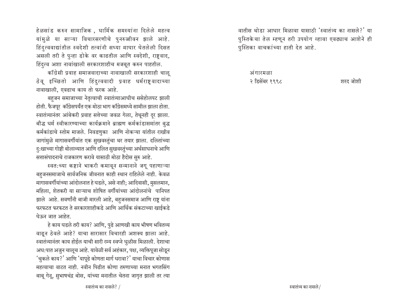हेळसांड करुन सामाजिक , धार्मिक समस्यांना दिलेले महत्व यांमुळे या साऱ्या विचारसरणीचे पुनरुज्जीवन झाले आहे. हिंदुत्ववाद्यांतील स्वदेशी तत्वांनी सध्या माघार घेतलेली दिसत असली तरी ते पुन्हा डोके वर काढतील आणि स्वदेशी, राष्ट्रवाद, हिंदुत्व अशा नावांखाली सरकारशाहीच मजबूत करुन पाहतील.

कॉंग्रेसी प्रवाह समाजवादाच्या नावाखाली सरकारशाही चालू ठेवू इच्छितो आणि हिंदुत्ववादी प्रवाह धर्मराष्ट्**वादाच्या** नावाखाली, एवढाच काय तो फरक आहे.

बहजन समाजाच्या नेतृत्वाची स्वातंत्र्याआधीच ससेहोलपट झाली होती. फैजपूर कॉॅंग्रेसपर्यंत एक मोठा भाग कॉॅंग्रेसमध्ये सामील झाला होता. स्वातंत्र्यानंतर आंबेकरी प्रवाह सत्तेच्या जवळ गेला, तेथूनही दूर झाला. बौद्ध धर्म स्वीकारण्याच्या कार्यक्रमाने ब्राह्मण कर्मकांडासमांतर बुद्ध कर्मकांडाचे स्तोम माजले. निवडणुका आणि नोकऱ्या यांतील राखीव जागांमुळे मागासवर्गीयांत एक सुखवस्तुंचा थर तयार झाला. दलितांच्या <u>दु</u>:खाच्या गोष्टी बोलाव्यात आणि दलित सुखवस्तुंच्या अर्थसाधनाचे आणि सत्तासंपादनाचे राजकारण करावे यासाठी मोठा हैदोस सुरु आहे.

स्वत:च्या कष्टाने भाकरी कमावून सन्मानाने जगू पहाणाऱ्या बहजनसमाजाचे सार्वजनिक जीवनात काही स्थान राहिलेले नाही. केवळ मागासवर्गीयांच्या आंदोलनात हे घडले, असे नाही; आदिवासी, मुसलमान, महिला, शेतकरी या साऱ्याच शोषित वर्गीयांच्या आंदोलनांचे पानिपत झाले आहे. सवर्णांनी बाजी मारली आहे, बहुजनसमाज आणि राष्ट्र यांना फरफटत फरफटत ते सरकारशाहीकडे आणि आर्थिक संकटाच्या खाईकडे घेऊन जात आहेत.

हे काय घडले तरी काय? आणि, पुढे आणखी काय भीषण भवितव्य वाढून ठेवले आहे? याचा सारासार विचारही अशक्य झाला आहे. स्वातंत्र्यानंतर काय होईल याची सारी रम्य स्वप्ने धुळीस मिळाली. देशाचा अध:पात अजुन चालूच आहे. यावेळी सर्व अहंकार, पक्ष, व्यक्तिपूजा सोडून  $\hat{p}$ 'चुकले काय?' आणि 'यापूढे कोणता मार्ग धरावा?' याचा विचार कोणास महत्वाचा वाटत नाही. नवीन पिढीत कोणा तरुणाच्या मनात भगतसिंग बाबू गेनू, सुभाषचंद्र बोस, यांच्या मनातील चेतना जागृत झाली तर त्या वातीस थोडा आधार मिळावा यासाठी 'स्वातंत्र्य का नासले?' या पुस्तिकेचा तेल म्हणून तरी उपयोग व्हावा एवढ्याच आशेने ही पुस्तिका वाचकांच्या हाती देत आहे.

अंगारमळा 2 G'>PC\*kŸ 1998 ~Ÿ£ ÆbC~a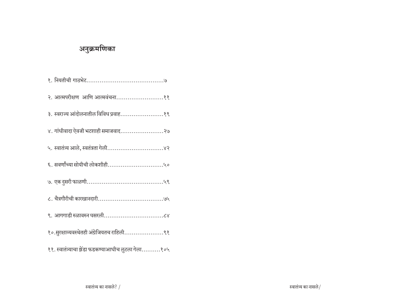# अनुक्रमणिका

| १. नियतीची गाठभेट………………………………….७                   |
|----------------------------------------------------|
|                                                    |
| ३. स्वराज्य आंदोलनातील विविध प्रवाह१९              |
| ४. गांधीवादा ऐवजी भटशाही समाजवाद२७                 |
| ५. स्वातंत्र्य आले, स्वतंत्रता गेली४२              |
|                                                    |
|                                                    |
|                                                    |
|                                                    |
| १०.सुरक्षाव्यवस्थेतही अंग्रेजियतच राहिली९१         |
| ११. स्वातंत्र्याचा झेंडा फडकण्याआधीच लुटला गेला१०५ |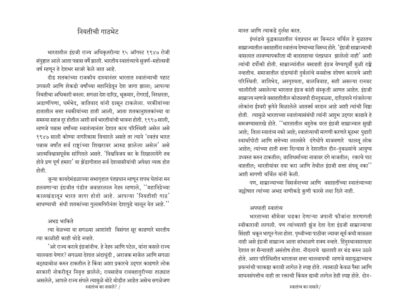## नियतीची गा**ठभे**ट

भारतातील इंग्रजी राज्य अधिकृतरीत्या १५ ऑगस्ट १९४७ रोजी संपुष्टात आले आता पन्नास वर्षे झाली. भारतीय स्वातंत्र्याचे सुवर्ण-महोत्सवी वर्ष म्हणून ते देशभर साजरे केले जात आहे.

दीड शतकांच्या राजकीय दास्यानंतर भारतात स्वातंत्र्याची पहाट उगवली आणि शेकडो वर्षांच्या महानिद्रेतून देश जागा झाला; आपल्या नियतीचा अधिकारी बनला. सगळा देश दारिद्र, भूकमार, रोगराई, निरक्षरता, अडाणींपणा, धर्मभेद, जातिवाद यांनी ग्रासून टाकलेला. परकीयांच्या हातातील सत्ता स्वकीयांच्या हाती आली, आता शतकानुशतकांच्या या समस्या सहज दुर होतील अशी सर्व भारतीयांची भावना होती. १९९७ साली, म्हणजे पन्नास वर्षांच्या स्वातंत्र्यानंतर देशात काय परिस्थिती असेल असे १९४७ साली कोण्या नागरिकास विचारले असते तर त्याने 'स्वतंत्र भारत पन्नास वर्षांत सर्व राष्ट्रांच्या शिखरावर आरुढ झालेला असेल' असे आत्मविश्वासपूर्वक सांगितले असते. 'विश्वविजय कर के दिखालायेंगे तब होवे प्रण पूर्ण हमारा' या झेंडागीतात सर्व देशवासीयांची अपेक्षा व्यक्त होत होती

जुन्या कायदेमंडळाच्या सभागृहात पंतप्रधान म्हणून शपथ घेतांना मन हलवणाऱ्या इंग्रजीत पंडीत जवाहरलाल नेहरु म्हणाले, ''महानिद्रेच्या कालखंडातून भारत जागा होतो आहे. आपल्या 'नियतीशी गाठ' साधण्याची संधी शतकांच्या गुलामगिरीनंतर देशापुढे चालून येत आहे.''

#### अभद्र भाकिते

त्या वेळच्या या सगळ्या आशांशी विसंगत सूर काढणारे भारतीय त्या काळीही काही थोडे नव्हते.

 $\overline{t}$ स्वातंत्र्य का नासले? /  $\overline{t}$  •  $\overline{t}$   $\overline{t}$   $\overline{t}$   $\overline{t}$   $\overline{t}$   $\overline{t}$   $\overline{t}$   $\overline{t}$   $\overline{t}$   $\overline{t}$   $\overline{t}$   $\overline{t}$   $\overline{t}$   $\overline{t}$   $\overline{t}$   $\overline{t}$   $\overline{t}$   $\overline{t}$   $\overline{t}$   $\overline{t$ 'अरे राज्य करावे इंग्रजांनीच. हे नेहरु आणि पटेल, यांना कसले राज्य चालवता येणार? सगळ्या देशात अंदाधुंदी, अराजक माजेल आणि सगळा बट्ट्याबोळ करुन टाकतील हे किंवा अशा प्रकारचे उद्गार काढणारे लोक सरकारी नोकरीतून निवृत्त झालेले; रावसाहेब रावबहादुरीच्या ताठ्यात असलेले, आपले राज्य संपले त्यामुळे बोटे मोडीत आहेत असेच सगळेजण

मानत आणि त्याकडे दुर्लक्ष करत.

इंग्लंडचे युद्धकाळातील पंतप्रधान सर बिन्स्टन चर्चिल हे मुळातच साम्राज्यातील वसाहतींना स्वातंत्र्य देण्याच्या विरुध्द होते. 'इंग्रजी साम्राज्याची वासलात लावण्यापकरिता मी बादशहाचा पंतप्रधान झालेलो नाही' अशी त्यांची दर्पोक्ती होती. साम्राज्यांतील वसाहती इंग्रज येण्यापूर्वी मुळी राष्ट्रे नव्हतीच. समाजातील दांडग्यांनी दुर्बलांचे मनसोक्त शोषण करायचे अशी परिस्थिती. जातिभेद, अस्पृश्यता, बालविवाह, सती असल्या रानवट चालीरीती असलेल्या भारतात इंग्रज कांही संस्कृती आणत आहेत. इंग्रजी साम्राज्य म्हणजे वसाहतीतील कोट्यवधी दीनदुबळ्या, दारिद्रयाने गांजलेल्या लोकांना ईश्वरी कृपेने मिळालेले आतर्क्य वरदान आहे अशी त्यांची निष्ठा होती. त्यामुळे भारताच्या स्वातंत्र्यासंबंधी त्यांनी अशुभ उद्गार काढावे हे समजण्यासारखे होते. <sup>''</sup>भारतातील बहतेक यरत इंग्रजी साम्राज्यात सुखी आहे; तिला स्वातंत्र्य नको आहे; स्वातंत्र्याची मागणी करणारे मूठभर पुढारी स्वार्थापोटी आणि सत्तेच्या लालसेने दंगेधोपे माजवणारे फालतू लोक आहेत; त्यांच्या हाती सत्ता दिल्यास ते देशातील दीन-दुबळ्यांचे आयुष्य उध्वस्त करुन टाकतील; जातिधर्माच्या नावावर दंगे माजतील; रक्ताचे पाट वाहतील: भारतीयांवर दया करा आणि तेथील इंग्रजी सत्ता संपव् नका $\mathrm{''}$ अशी मागणी चर्चिल यांनी केली.

पण, साम्राज्याच्या विसर्जनाच्या आणि वसाहतींच्या स्वातंत्र्याच्या जल्लोषात त्यांच्या अभद्र वाणीकडे कुणी फारसे लक्ष दिले नाही.

## अपघाती स्वातंत्र्य

भारताच्या सीमेवर धडका देणाऱ्या जपानी फौजांना शरणागती स्वीकारावी लागली. पण त्यांच्याशी झुंज देता देता इंग्रजी साम्राज्याचा सिंहही थकून भागून गेला होता. पृथ्वीच्या पाठीवर ज्यावर सूर्य कधी मावळत नाही असे इंग्रजी साम्राज्य आता सांभाळणे शक्य नव्हते. हिंदुस्थानसारख्या देशात तर सैन्यातही असंतोष होता. नौदलाचे खलाशी तर बंड करुन उठले होते. अशा परिस्थितीत भारतावर सत्ता चालवायची म्हणजे महायुद्धाच्याच प्रयत्नांची पराकष्ठा करावी लागेल हे स्पष्ट होते. त्यासाठी केवळ पैसा आणि साधनसंपत्तीच नाही तर रक्ताची किंमत द्यावी लागेल हेही स्पष्ट होते. दोन-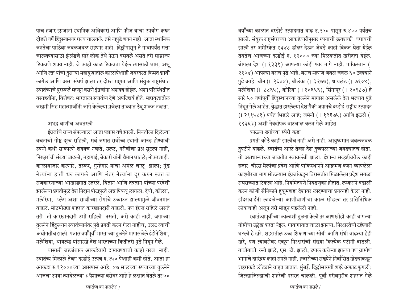पाच हजार इंग्रजांनी स्थानिक अधिकारी आणि फौज यांचा उपयोग करुन दीडशे वर्षे हिंदुस्थानवर राज्य चालवले, तसे यापुढे शक्य नाही. आता स्थानिक जनतेचा पाठिंबा जवळजवळ राहणार नाही. दिल्लीपासून ते गावापर्यंत सत्ता चालवण्यासाठी इंग्लंडचे सारे लोक तेथे नेऊन बसवले असते तरी साम्राज्य टिकवणे शक्य नाही. जे काही काळ टिकवता येईल त्यासाठी घाम, अश्रू आणि रक्त यांची दुसऱ्या महायुद्धातील काळापेक्षाही जबरदस्त किंमत द्यावी लागेल आणि असा संघर्ष झाला तर दोस्त राष्ट्रात आणि संयुक्त राष्ट्रसंघात स्वातंत्र्याचे पुरस्कर्ते म्हणून बसणे इंग्रजांना अशक्य होईल. अशा परिस्थितीत वसाहतींना, विशेषत: भारताला स्वातंत्र्य देणे अपरिहार्य होते. महायुद्धातील जखमी सिंह महात्माजींनी जागे केलेल्या प्रजेला ताब्यात ठेवू शकत नव्हता.

#### अभद्र वाणीच अवतरली

इंग्रजांचे राज्य संपल्याला आता पन्नास वर्षे झाली. नियतीला दिलेल्या वचनाची गोष्ट दूरच राहिली, सर्व जगात सर्वोच्च स्थानी आरुढ होण्याची स्वप्ने कधी साकारणे शक्यच नव्हते, उलट, गरीबीचा प्रश्न सुटला नाही, निरक्षरांची संख्या वाढली, महागाई, बेकारी यांनी थैमान घातले; नोकरशाही. काळाबाजार करणारे, तस्कर, गुन्हेगार यांचा अमंल चालू झाला; गुंड नेत्यांना हाती धरु लागले आणि नंतर नेत्यांना दुर करुन स्वत:च राजकारणाच्या आखाड्यात उतरले. विज्ञान आणि तंत्रज्ञान यांच्या परदेशी झालेल्या प्रगतीमुळे देश निदान पोटापुरते अन्न पिकवू लागला. देवी, कॉलरा, मलेरिया, प्लेग अशा साथींच्या रोगांचे उच्चाटन झाल्यामुळे जीवनमान वाढले. मोठमोठ्या शहरात कारखानदारी वाढली, पण इंग्रज राहिले असते तरी ती कारखानदारी उभी राहिली नसती, असे काही नाही. जगाच्या तुलनेने हिंदुस्थान स्वातंत्र्यानंतर पुढे प्रगती करुन गेला नाहीच, उलट त्याची अधोगतीच झाली. पन्नास वर्षांपूर्वी भारताच्या तुलनेने मागासलेले इंडोनेशिया, मलेशिया, थायलंड यांसारखे देश भारताच्या कितीतरी पुढे निघून गेले.

यासाठी जडजंबाल आकडेवारी दाखवण्याची काही गरज नाही. स्वातंत्र्य मिळाले तेव्हा दरडोई उत्पन्न रु.२५० पेक्षाही कमी होते. आता हा आकडा रु.१२०००च्या आसपास आहे. ४७ सालच्या रुपयाच्या तुलनेने आजचा रुपया त्यावेळच्या ३ पैशाच्या बरोबर आहे हे लक्षात घेतले तर ५०

वर्षांच्या काळात दरडोई उत्पादनात वाढ रु.२५० पासून रु.४०० पर्यंतच झाली. संयुक्त राष्टसंघाच्या आकडेवारीनुसार रुपयाची क्रयशक्ती बघायची झाली तर अमेरिकेत १३४८ डॉलर देऊन जेवढे काही विकत घेता येईल तेवढेच आजच्या दरडोई रु. १२००० च्या मिळकतीत खरीदता येईल. बांगला देश (। १३३१) आपल्या कांही फार मागे नाही. पाकिस्तान (। २१५४) आपल्या बराच पुढे आहे. बराच म्हणजे जवळ जवळ ६० टक्क्याने पुढे आहे. चीन (। २६०४), श्रीलंका (। ३२७७), थायलंड (। ७१०४), मलेशिया (। ८८६५), कोरिया (। १०६५६), सिंगापूर (। २०९८७) हे सारे ५० वर्षापूर्वी हिंदुस्थानच्या तुलनेने मागास असलेले देश भरधाव पुढे निघून गेले आहेत. युद्धात हारलेल्या देशापैकी जपानचे दरडोई राष्ट्रीय उत्पादन (1 २११५८१) पर्यंत भिडले आहे; जर्मनी (1 १९६७५) आणि इटली (1 १९३६३) अशी नेत्रदीपक वाटचाल करुन गेले आहेत.

## काळ्या ढगांच्या रुपेरी कडा

प्रगती कोठे काही झालीच नाही असे नाही. आयुष्यमान जवळजवळ दुपटीने वाढले. स्वातंत्र्य आले तेव्हा देश दुष्काळाच्या जबड्यातच होता. तो अन्नधान्याच्या बाबतीत स्वावलंबी झाला. ईशान्य सरहद्दीवरील काही हजार) चौरस मैलांचा प्रदेश आणि पाकिस्थानने आक्रमण करुन व्यापलेला काश्मीरचा भाग सोडल्यास इंग्रजांकडून विरासतीत मिळालेला प्रदेश सगळा संघराज्यात टिकला आहे. नियमितपणे निवडणुका होतात. लष्कराने बंडाळी करुन कोणी सैनिकाने हुकूमशहा देशावर लादण्याचा प्रयत्नही केला नाही. इंदिराबाईंनी लादलेल्या आणीबाणीचा काळ सोडला तर प्रतिनिधिक लोकशाही अजून तरी मोडून पडलेली नाही.

स्वातंत्र्यापूर्वीच्या काळाशी तुलना केली तर आणखीही काही चांगल्या गोष्टींचा उल्लेख करता येईल. गावागावात शाळा झाल्या, निरक्षारतेची टक्केवारी घटली हे खरे. शहरातील उच्च शिक्षणाच्या सोयी आणि संधी वाढत्या हेही खरे, पण त्याबरोबर एकूण निरक्षरांची संख्या कित्येक पटींनी वाढली. गावोगावी रस्ते झाले, एस. टी. झाली, टपाल कचेऱ्या झाल्या पण ग्रामीण भागाचे दारिद्रय काही संपले नाही. हजारोंच्या संख्येने निर्वासित खेड्याकडून शहराकडे लोंढ्याने वाहत जातात. मुंबई, दिल्लीसारखी शहरे अफाट फुगली; जिल्ह्याजिल्ह्याची शहरेची पसरत चालली. पूर्वी गरीबगुरीब शहरात गेले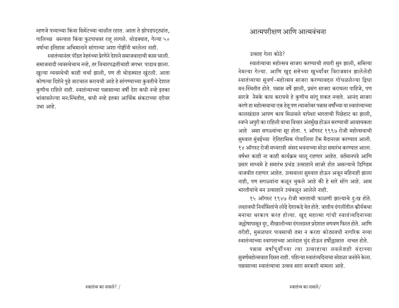म्हणजे पत्र्याच्या किंवा सिमेंटच्या चाळीत रहात. आता ते झोपडपट्ट्यांत, गालिच्छ वस्त्यात किंवा फुटपाथवर राह लागले. थोडक्यात, गेल्या ५० वर्षाचा इतिहास अभिमानाने सांगाव्या अशा गोष्टींनी भरलेला नाही.

स्वातंत्र्यानंतर पंडित नेहरुंच्या प्रेरणेने देशाने समाजवादाची कास धरली. समाजवादी व्यवस्थेचाच नव्हे. तर विचारपद्धतीचाही जगभर पाडाव झाला. खुल्या व्यवस्थेची काही चर्चा झाली, पण ती थोडक्यात खुंटली. आता कोणत्या दिशेने पुढे वाटचाल करायची आहे हे सांगण्याच्या कुवतीचे देशात कुणीच राहिले नाही. स्वातंत्र्याच्या पन्नासाव्या वर्षी देश कधी नव्हे इतका भांबावलेल्या मन:स्थितीत, कधी नव्हे इतका आर्थिक संकटाच्या दरीवर उभा आहे.

## आत्मपरीक्षण आणि आत्मवंचना

उत्साह गेला कोठे?

स्वातंत्र्याचा महोत्सव साजरा करण्याची तयारी सुरु झाली, समित्या नेमल्या गेल्या. आणि खुद्द सत्तेच्या खुर्च्यांवर विराजमान झालेलेही स्वातंत्र्याचा सुवर्ण-महोत्सव साजरा करण्याबद्दल गोंधळलेल्या द्विधा मन:स्थितीत होते. पन्नास वर्षे झाली, प्रसंग साजरा करायला पाहिजे, पण सारजे नेमके काय करायचे हे कुणीच सांगू शकत नव्हते. आनंद साजरा करणे हा महोत्सवाचा एक हेतु पण त्याबरोबर पन्नास वर्षोंच्या या स्वातंत्र्याच्या कालखंडात आपण काय मिळवले यापेक्षा भारताची पिछेहाट का झाली. स्वप्ने अपुरी का राहिली याचा विचार अंतर्मुख होऊन करण्याची आवश्यकता आहे असा सगळ्यांचा सूर होता. ९ ऑगस्ट १९९७ रोजी महोत्सवाची सुरुवात मुंबईच्या ऐतिहासिक गोवालिया टॅंक मैदानावर करण्यात आली. १४ ऑगस्ट रोजी मध्यरात्री संसद भवनाच्या मोठा समारंभ करण्यात आला. वर्षभर काही ना काही कार्यक्रम चालू राहणार आहेत. वर्तमानपत्रे आणि प्रसार माध्यमे हे समारंभ प्रचंड उत्साहाने साजरे होत असल्याचे डिण्डिम वाजवीत राहणार आहेत. उत्सवाला सुरुवात होऊन अजून महिनाही झाला नाही, पण सगळ्यांना कळून चुकले आहे की हे सारे सोंग आहे. आम भारतीयांचे मन उत्साहाने उचंबळून आलेले नाही.

१५ ऑगस्ट १९४७ रोजी भारताची फाळणी झाल्याचे दु:ख होते. लक्षावधी निर्वासितांचे लोढे देशाकडे येत होते. जातीय दंगलींतील क्रौर्यकथा मनाचा थरकाप करत होत्या. खुद्द महात्मा गांधी स्वातंत्र्यदिनाच्या जल्लोषापासून दूर, नौखालीच्या दंगलग्रस्त प्रदेशात वणवण फिरत होते. आणि तरीही, मुसळधार पावसाची तमा न करता कोट्यवधी नागरिक नव्या स्वातंत्र्याच्या स्वागताच्या आनंदात धुंद होऊन हर्षोल्लासात नाचत होते.

पन्नास वर्षांपूर्वीच्या त्या उत्साहाचा लवलेशही यंदाच्या सुवर्णमहोत्सवात दिसत नाही. पहिल्या स्वातंत्र्यदिनाचा सोहळा जनतेने केला. पन्नासाव्या स्वातंत्र्याचा उत्सव सारा सरकारी मामला आहे.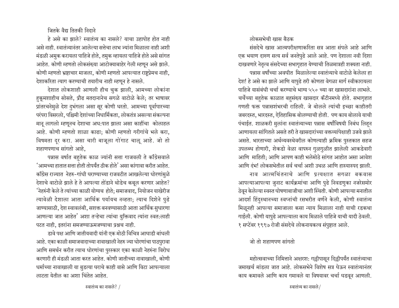जितके वैद्य तितकी निदान<mark>े</mark>

 $\vec{c}$  असे का झाले? स्वातंत्र्य का नासले? याचा उहापोह होत नाही असे नाही. स्वातंत्र्यानंतर आलेल्या सत्तेचा लाभ ज्यांना मिळाला नाही अशी मंडळी अमुक करायला पाहिजे होते, तमुक व्हायला पाहिजे होते असे सांगत आहेत. कोणी म्हणतो लोकसंख्या आटोक्याबाहेर गेली म्हणून असे झाले. कोणी म्हणतो भ्रष्टाचार माजला, कोणी म्हणतो आपल्यात राष्ट्रप्रेमच नाही, देशाकरिता त्याग करण्याची तयारीच नाही म्हणून हे नासले.

देशात लोकशाही आणली हीच चुक झाली, आमच्या लोकांना हकूमशाहीच सोसते, प्रौढ मतदानानेच सगळे वाटोळे केले; तर भाषावर प्रांतरचनेमुळे देश दुभंगला असा सूर कोणी धरतो. आमच्या पूर्वापारच्या परंपरा विसरलो, पश्चिमी देशांच्या निधार्मिकता, लोकतंत्र असल्या संकल्पना मानू लागलो म्हणूनच देशाचा अध:पात झाला असा काहींचा कोलाहल आहे. कोणी म्हणतो शाळा काढा; कोणी म्हणतो गरीगांचे भले करा, विषमता दूर करा. असा चारी बाजूला गोंगाट चालू आहे. जो तो शहाणपणाच सांगतो आहे.

पन्नास वर्षात बहुतेक काळ ज्यांनी सत्ता गाजवली ते काँग्रेसवाले  $^{\prime}$ आमच्या हातात सत्ता होती तोपर्यंत ठीक होते $^{\prime}$  असा कांगावा करीत आहेत. काँग्रेस राज्यात नेहरु-गांधी घराण्याच्या राजवटीत आखलेल्या धोरणांमुळे देशाचे वाटोळे झाले हे ते आपल्या तोंडाने थोडेच कबूल करणार आहेत? <sup>'</sup>नेहरुंनी केले ते त्यांच्या काळी योग्यच होते; समाजवाद, नियोजन याखेरीज त्यावेळी देशाला आता आर्थिक पर्यायच नव्हता; त्याच दिशेने पुढे जाण्यासाठी, देश स्वावलंबी, सशक्त बनवण्यासाठी आता आर्थिक सुधारणा आणल्या जात आहेत' अशा तऱ्हेचा त्यांचा युक्तिवाद त्यांना स्वत:लाही पटत नाही, इतरांना समजण्याऊमजण्याचा प्रश्नच नाही.

डावे पक्ष आणि जातीयवादी यांनी एक मोठी विचित्र आघाडी बांधली आहे. एका काळी समाजवादाच्या नावाखाली नेहरु ज्या धोरणांचा पाठपुरावा आणि समर्थन करीत त्याच धोरणांचा पुरस्कार एका काळी नेहरुंना विरोध करणारी ही मंडळी आता करत आहेत. कोणी जातीच्या नावाखाली, कोणी धर्माच्या नावाखाली या बुडत्या घराचे काही वासे आणि विटा आपल्याला लाटता येतील का अशा चिंतेत आहेत.

लोकसभेची खास बैठक

संसदेचे खास आत्मपरीक्षणाकरिता सत्र आता संपले आहे आणि एक भयाण दारुण सत्य सर्व जनतेपुढे आले आहे. पण देशाला नवी दिशा दाखवणारे नेतृत्व संसदेच्या सभागृहात येण्याची तिळमात्रही शक्यता नाही. पन्नास वर्षांच्या अवघीत मिळालेल्या स्वातंत्र्याचे वाटोळे केलेला हा देश! हे असे का झाले आणि यापुढे तरी कोणता वेगळा मार्ग स्वीकारायला पाहिजे यासंबंधी चर्चा करण्याचे भाग्य ५५० च्या वर खासदारांना लाभले. चर्चेच्या बहुतेक काळात बहुसंख्य खासदार कॅटीनमध्ये होते. सभागृहात गणती फक्त पन्नासशंभरची राहिली. जे बोलले त्यांची इच्छा काहीतरी जबरदस्त, भारदस्त, ऐतिहासिक बोलण्याची होती. पण काय बोलावे याची पंचाईत. शाळकरी मुलांना स्वातंत्र्याच्या पन्नास वर्षांविषयी निबंध लिहन आणायला सांगितले असते तरी ते खासदारांच्या वक्तव्यांपेक्षाही उजवे झाले असते. भारताच्या अर्थव्यवस्थेवरील कोणत्याही क्रमिक पुस्तकात सहज उपलब्ध होणारी, शेकडो वेळा वापरुन गुळगुळीत झालेली आकडेवारी आणि माहिती; आणि आपण काही भलेमोठे सांगत आहोत असा आवेश आणि दंभ! लोकसभेतील सर्व चर्चा अशी उथळ आणि हास्यास्पद झाली.

नाव आत्मचिंतनाचे आणि प्रत्यक्षात सगळा बकवास आपल्याआपल्या जुनाट कार्यक्रमांचा आणि पुढे निवडणुका नजरेसमोर ठेवून केलेल्या स्वस्त घोषणाबाजीचा अशी स्थिती. कोणी आपल्या मनातील आदर्श हिंदुस्थानच्या स्वप्नांची रसभरीत वर्णने केली, कोणी स्वातंत्र्य मिळूनही आपल्या समाजाला कसा न्याय मिळाला नाही याची रडकथा गाईली. कोणी यापुढे आपल्याला काय मिळाले पाहिजे याची यादी ठेवली. १ सप्टेंबर १९९७ रोजी संसदेचे लोकनायकत्व संपुष्टात आले.

## जो तो शहाणपण सांगतो

महोत्सवाच्या निमित्ताने अक्षरश: गल्लीपासून दिल्लीपर्यंत स्वातंत्र्याचा जमाखर्च मांडला जात आहे. लोकसभेने विशेष सत्र घेऊन स्वातंत्र्यानंतर काय कमावले आणि काय गमावले या विषयावर चर्चा घडवून आणली.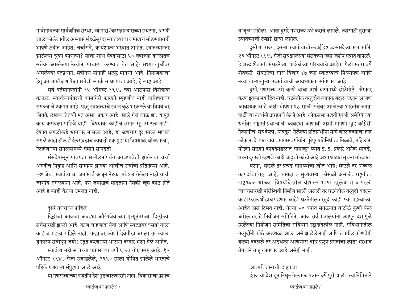गावोगावच्या सार्वजनिक संस्था, व्यापारी/कारखानदाराच्या संघटना, अगदी शाळाकॉलेजातील अभ्यास मंडळेसुध्दा स्वातंत्र्याचा जमाखर्च मांडण्यासाठी भाषणे ठेवीत आहेत; चर्चासत्रे, कार्यशाळा भरवीत आहेत. स्वातंत्र्यानंतर झालेल्या चुका कोणत्या? याचा शोध घेण्यासाठी ५० वर्षांच्या काळातच सत्तेवर असलेल्या नेत्यांना पाचारण करण्यात येत आहे; सध्या खूर्चीवर असलेल्या पंतप्रधान, मंत्रीगण यांनाही भरपूर मागणी आहे. नियोजकांचा हेतू आत्मपरीक्षणापेक्षा सत्तेशी संपर्क साधण्याचा आहे, हे स्पष्ट आहे.

सर्व वर्तमानपत्रांनी १५ ऑगस्ट १९९७ च्या आसपास विशेषांक काढले. स्वातंत्र्यानंतरची कामगिरी फारशी स्पृहणीय नाही याविषयावर सगळ्यांचे एकमत आहे. परंतु स्वातंत्याचे स्वप्न कुठे भरकटले या विषयावर जितके लेखक तितकी मते असा प्रकार आहे. झाले गेजे जाऊ द्या, यापुढे काय करायला पाहिजे याही विषयावर काहीच समान सूर उमटला नाही. देशात सगळीकडे भ्रष्टाचार माजला आहे, हा भ्रष्टाचार दूर झाला म्हणजे सगळे काही ठीक होईल एवढाच काय तो एक मुद्दा या विषयावर बोलणाऱ्या, लिहिणाऱ्या सगळ्यांमध्ये समान सापडतो.

संसदेपासून गावगन्ना सम्मेलनांपर्यंत आजपावेतो झालेल्या चर्चा आगदीच निकृष्ट आणि सामान्य झाल्या आशीच सर्वांची प्रतिक्रिया आहे. म्हणजेच, स्वातंत्र्याचा जमाखर्च अजून नेटका मांडला गेलेला नाही याची जाणीव सगळ्यांना आहे. पण जमाखर्च मांडताना नेमकी चूक कोठे होते आहे हे काही केल्या उमजत नाही.

#### <u>दुसरे गणराज्य पाहिजे</u>

दिल्लीची आजची अवस्था औरंगजेबाच्या मृत्यूनंतरच्या दिल्लीच्या सत्तेसारखी झाली आहे. कोण शाहजादा येतो आणि स्वख्तबर बसतो याला काहीच महत्व राहिले नाही. तख्तावर कोणी देवेगौडा बसला तर त्याला युगपुरुष संबोधून जयोऽ स्तुते करणाऱ्या भाटांनी दरबार भरुन गेले आहेत. स्वातंत्र्य महोत्सवाच्या पन्नासाव्या वर्षी एकच गोष्ट स्पष्ट आहे: १५ ऑगस्ट १९४७ रोजी उजाडलेले, १९५० साली घोषित झालेले भारताचे पहिले गणराज्य संपुष्टात आले आहे.

या गणराज्याच्या पद्धतीने देश पुढे चालणारही नाही. विकासाचा प्रश्नच

बाजूला राहिला. आता दुसरे गणराज्य उभे करावे लागले. त्यासाठी दुसऱ्या स्वातंत्र्याची लढाई द्यावी लागेल.

दुसरे गणराज्य, दुसऱ्या स्वातंत्र्याची लढाई हे शब्द संसदेच्या सभापतींनी २६ ऑगस्ट १९९७ रोजी सुरु झालेल्या संसदेच्या एका विशेष सत्रात वापरले. हे शब्द शेतकरी संघटनेच्या पाईकांच्या परिचयाचे आहेत. गेली सतरा वर्षे शेतकरी संघटनेचा सारा विचार ४७ च्या स्वातंत्र्याचे मिथ्यापण आणि नव्या खऱ्याखुऱ्या स्वातंत्र्याची आवश्यकता सांगणारा आहे.

दुसरे गणराज्य उभे करणे याचा अर्थ घटनेमध्ये छोटेमोठे फेरफार करणे इतका मर्यादित नाही. घटनेतील तरतुदींत व्यापक बदल घडवून आणणे आवश्यक आहे अशी घोषणा ९८ साली सत्तेवर आलेल्या भारतीय जनता पार्टीच्या नेत्यांनी उघडपणे केली आहे. लोकसभा पद्धतीऐवजी अमेरिकेच्या धर्तीवर राष्ट्रपतीप्रधान्याची व्यवस्था आणावी अशी मागणी खुद्द काँग्रेसी नेत्यांनीच सुरु केली. निवडुन गेलेल्या प्रतिनिधींना मागे बोलावण्याचा हक्क लोकांना देण्यात यावा, मागासवर्गीयांना पुरेपूर प्रतिनिधीत्व मिळावे, महिलांना मोठ्या संख्येने कायदेमंडळात सामावून घ्यावे इ. इ. प्रकारे अनेक भाबडे, घटना दुरुस्ती म्हणजे काही जादुची कांडी आहे अशा थाटात सूचना मांडतात.

घटना, म्हटले तर प्रचंड सामर्थ्यांचा स्त्रोत आहे; म्हटले तर निव्वळ कागदांचा गठ्ठा आहे, कायदा व सुव्यवस्था कोसळी असली, राष्ट्रगीत, राष्ट्रध्वज यांच्या विषयीदेखील बीभत्स भाषा खुलेआम वापरली जाण्यासारखी परिस्थिती निर्माण झाली असली तर घटनेतील तरतुदी बदलून कांही फरक थोडाच पडणार आहे? घटनेतील तरतुदी काही फार महत्वाच्या आहेत असे दिसत नाही. गेल्या ५० वर्षात सगळ्यात वाटोळे कुणी केले असेल तर ते नियोजन समितिने. आज सर्व मंत्रालयांना व्यापून दशांगुळे उरलेल्या नियोजन समितिचा संविधान उल्लेखदेलील नाही. संविधानातील तरतुदींनी कोठे अडथळा आला असे झालेले नाही आणि त्यातील कोणतेही कलम बदलले तर अडथळा आणणारा बांध फुटून प्रगतीचा लोंढा भरधाव वेगावने वाह् लागणार आहे असेही नाही.

आत्मचिंतानाची दाहकता इंग्रज या देशातून निघून गेल्याला पन्नास वर्षे पुरी झाली. त्यानिमित्ताने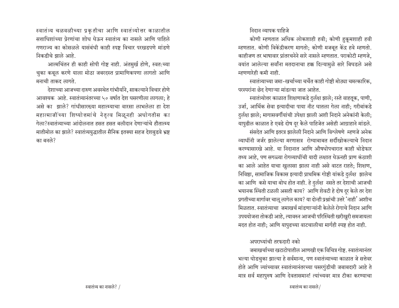स्वातंत्र्य चळवळीच्या प्रकृतीचा आणि स्वातंत्र्योत्तर काळातील सत्ताधिशांच्या प्रेरणांचा शोध घेऊन स्वातंत्र्य का नासले आणि पाहिले गणराज्य का कोसळले यासंबंधी काही स्पष्ट विचार परखडपणे मांडणे निकडीचे झाले आहे.

आत्मचिंतन ही काही सोपी गोष्ट नाही. अंतमुर्ख होणे, स्वत:च्या चुका कबूल करणे याला मोठा जबरदस्त प्रामाणिकपणा लागतो आणि मनाची ताकद लागते.

देशाच्या आजच्या दारुण अवस्थेत गांभीर्याने, साकल्याने विचार होणे आवश्यक आहे. स्वातंत्र्यानंतरच्या ५० वर्षात देश घसरणीला लागला; हे असे का झाले? गांधीसारख्या महात्म्याचा वारसा लाभलेला हा देश महात्माजींच्या शिष्योत्तमांचे नेतृत्व मिळूनही अधोगतीस का गेला?स्वातंत्र्याच्या आंदोलनात हसत हसत बलीदान देणाऱ्यांचे हौतात्म्य मातीमोल का झाले? स्वातंत्र्ययुद्धातील सैनिक इतक्या सहज देशबुडवे भ्रष्ट का बनले?

#### <u>निदान व्यापक पाहिजे</u>

कोणी म्हणतात अधिक लोकशाही हवी; कोणी हुकूमशाही हवी म्हणतात. कोणी विकेंद्रीकरण मागतो; कोणी मजबूत केंद्र हवे म्हणतो. काहीजण तर भाषावार प्रांतरचनेने सारे नासले म्हणतात. पराकोटी म्हणजे, वयांत आलेल्या सर्वांना मतदानाचा हक्क दिल्यामुळे सारे बिघडले असे म्हणणारेही कमी नाही.

स्वातंत्र्याच्या जमा-खर्चाच्या चर्चेत काही गोष्टी मोठ्या चमत्कारिक. परस्परांना छेद देणाऱ्या मांडल्या जात आहेत.

स्वातंत्र्योत्तर काळात शिक्षणाकडे दुर्लक्ष झाले; रस्ते वाहतूक, पाणी, उर्जा, आर्थिक सेवा इत्यादीचा पाया नीट घातला गेला नाही; गरीबांकडे दुर्लक्ष झाले; मागासवर्गीयांची उपेक्षा झाली अशी निदाने अनेकांनी केली; यापुढील काळात हे एवढे दोष दुर केले पाहिजेत असेही आग्राहाने मांडले. संसदेत आणि इतरत्र झालेली निदाने आणि विश्लेषणे म्हणजे अनेक <u>व्याधींनी जर्जर झालेल्या मरणासत्र रोग्याबाबत सर्दीखोकल्याचे निदान</u> करण्यासारखे आहे. या निदानात आणि औषधोपचारात काही थोडेफार तथ्य आहे, पण सगळ्या रोगव्याधींची यादी लक्षात घेऊनही प्राण कंठाशी का आले आहेत याचा खुलासा झाला नाही असे वाटत राहते; शिक्षण, निविष्ठा, सामाजिक विकास इत्यादी प्राथमिक गोष्टी यांकडे दुर्लक्ष झालेच का आणि कसे याचा बोध होत नाही. हे दुर्लक्ष नसते तर देशाची आजची भयानक स्थिती टळली असती काय? आणि शेवटी हे दोष दुर केले तर देश प्रगतीच्या मार्गावर चालू लागेल काय? या दोन्ही प्रश्नांची उत्तरे 'नाही' अशीच <u>मिळतात. स्वातंत्र्याचा जमाखर्च मांडणाऱ्यांनी केलेले रोगाचे निदान आणि</u> उपययोजना तोकडी आहे, त्यावरुन आजची परिस्थिती खरीखुरी समजायला मदत होत नाही; आणि यापुढच्या वाटचालीचा मार्गही स्पष्ट होत नाही.

## अपराध्यांची तरफदारी नको

जमाखर्चाच्या खटाटोपातील आणखी एक विचित्र गोष्ट. स्वातंत्र्यानंतर भल्या घोडचुका झाल्या हे सर्वमान्य, पण स्वातंत्र्याच्या काळात जे सत्तेवर होते आणि ज्यांच्यावर स्वातंत्र्यानंतरच्या घसरगुंडीची जबाबदारी आहे ते मात्र सर्व महापुरुष आणि देवतासमान! त्यांच्यवर मात्र टीका करण्याचा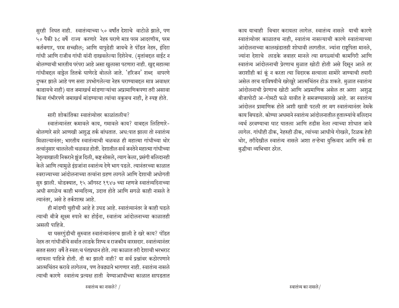सुरही निघत नाही. स्वातंत्र्याच्या ५० वर्षांत देशाचे वाटोळे झाले, पण ५० पैकी ३८ वर्षे राज्य करणारे नेहरु घराणे मात्र परम आदरणीय, परम कर्तबगार, परम सच्छील; आणि यापुढेही जायचे ते पंडित नेहरु, इंदिरा गांधी आणि राजीव गांधी यांनी दाखवलेल्या दिशेनेच. (मृतांबद्दल वाईट न बोलण्याची भारतीय परंपरा आहे असा खुलासा पटणारा नाही. खुद्द महात्मा गांधीबद्दल वाट्रेल तितके घाणेरडे बोलले जाते. 'हरिजन' शब्द वापरणे दुष्कर झाले आहे पण सत्ता उपभोगलेल्या नेहरु घराण्याबद्दल मात्र अवाक्षर काढायचे नाही) यात जमाखर्च मांडणाऱ्यांचा अप्रामाणिकपणा तरी असावा किंवा गंभीरपणे जमाखर्च मांडण्याचा त्यांचा वक़्बच नाही, हे स्पष्ट होते.

ent शोकांतिका स्वातंत्र्योत्तर काळांतलीच?

स्वातंत्र्यानंतर कमावले काय, गमावले काय? याबद्दल लिहिणारे-बोलणारे सारे आणखी अशुद्ध तर्क बांधतात. अध:पात झाला तो स्वातंत्र्य मिळाल्यानंतर; भारतीय स्वातंत्र्याची चळवळ ही महात्मा गांधीच्या थोर तत्वांनुसार चाललेली चळवळ होती. देशातील सर्व जनतेने महात्मा गांधीच्या नेतृत्वाखाली निकराने झुंज दिली, कष्ट सोसले, त्याग केला, प्रसंगी बलिदानही केले आणि त्यामुळे इंग्रजांना स्वातंत्र्य देणे भाग पडले. त्यानंतरच्या काळात स्वराज्याच्या आंदोलनाच्या तत्वांना ग्रहण लागले आणि देशाची अधोगती सुरु झाली. थोडक्यात, १५ ऑगस्ट १९४७ च्या म्हणजे स्वातंत्र्यदिनाच्या अधी सगळेच काही भव्यदिव्य, उदात्त होते आणि सगळे काही नासले ते त्यानंतर, असे हे तर्कशास्त्र आहे.

ही मांडणी चुहीची आहे हे उघड आहे. स्वातंत्र्यानंतर जे काही घडले त्याची बीजे सूक्ष्म रुपाने का होईना, स्वातंत्र्य आंदोलनाच्या काळातही असली पाहिजे.

या घसरगुंडीची सुरुवात स्वातंत्र्यानंतरच झाली हे खरे काय? पंडित नेहरु तर गांधीजींचे सर्वात लाडके शिष्य व राजकीय वारसदार, स्वातंत्र्यानंतर सतत सतरा वर्षे ते स्वत∙च पंतप्रधान होते. त्या काळात तरी देशाची भरभराट न्हायला पाहिजे होती. ती का झाली नाही? या सर्व प्रश्नांवर कठोरपणाने आत्मचिंतन करावे लागेलच, पण तेवढ्याने भागणार नाही. स्वातंत्र्य नासले त्याची कारणे स्वातंत्र्य प्रत्यक्ष हाती येण्याआधीच्या काळात सापडतात

काय याचाही विचार करायला लागेल. स्वातंत्र्य नासले याची कारणे स्वातंत्र्योत्तर काळातच नाही, स्वातंत्र्य नासल्याची कारणे स्वातंत्र्याच्या आंदोलनाच्या कालखंडातही शोधावी लागतील. ज्यांना राष्ट्रपिता मानले, ज्यांना देशाचे लाडके जवाहर मानले त्या सगळ्यांची कामगिरी आणि स्वातंत्र्य आंदोलनाची प्रेरणाच मुळात खोटी होती असे दिसून आले तर जराशीही कां कूं न करता त्या विदारक सत्याला सामोरे जाण्याची तयारी असेल तरच याविषयीचे खरेखुरे आत्मचिंतन होऊ शकते. मुळात स्वातंत्र्य आंदोलनाची प्रेरणाच खोटी आणि अप्रमाणिक असेल तर अशा अशुद्ध बीजापोटी अ-गोमटी फळे यावीत हे समजण्यासारखे आहे. जर स्वातंत्र्य आंदोलन प्रामाणिक होते अशी खात्री पटली तर मग स्वातंत्र्यानंतर नेमके काय बिघडले. कोण्या अधमाने स्वातंत्र्य आंदोलनातील हुतात्म्यांचे बलिदान व्यर्थ ठरवण्याचा घाट घातला आणि तडीस नेला त्याच्या शोधात जावे लागेल. गांधीही ठीक, नेहरुही ठीक, त्यांच्या आधीचे गोखले, टिळक हेही थोर, तरीदेखील स्वातंत्र्य नासले अशा तऱ्हेचा युक्तिवाद आणि तर्क हा बद्धीचा व्यभिचार ठरेल.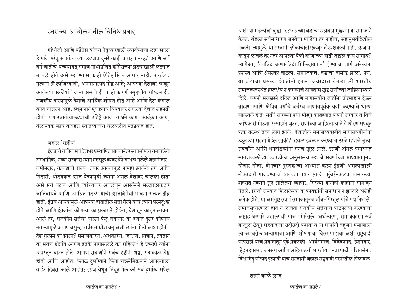## स्वराज्य आंदोलनातील विविध प्रवाह

गांधीजी आणि काँग्रेस यांच्या नेतृत्वाखाली स्वातंत्र्याचा लढा झाला हे खरे. परंतु स्वातंत्र्याच्या लढ्यात दुसरे काही प्रवाहच नव्हते आणि सर्व वर्ग जातींचे यच्चयावत् समाज गांधीप्रणित कॉॅंग्रेसच्या झेंड्याखाली लढ्यात ठाकले होते असे म्हणण्यास काही ऐतिहासिक आधार नाही. पारतंत्र्य, गुलामी ही लाजिरवाणी, अपमानास्पद गोष्ट आहे; आपल्या देशावर लांबून आलेल्या परकीयांचे राज्य असावे ही काही फारशी स्पृहणीय गोष्ट नाही; राजकीय दास्यामुळे देशाचे आर्थिक शोषण होत आहे आणि देश कंगाल बनत चालला आहे. स्थूमानाने एवढ्याच विषयावर सगळ्या देशात सहमती होती. पण स्वातंत्र्यालढ्याची उद्दिष्टे काय, साधने काय, कार्यक्रम काय, वेळापत्रक काय याबद्दल स्वातंत्र्याच्या चळवळीत मतप्रवाह होते.

### जहाल 'राष्टीय'

इंग्रजाचे वर्चस्व सर्व देशभर प्रस्थापित झाल्यानंतर सार्वभौमत्व गमावलेले संस्थानिक, नव्या सरकारी न्यान महसूल व्यवस्थेने बांधले गेलेले जहागीदार-जमीनदार, कायद्याचे राज्य तयार झाल्यामुळे नाखूष झालेले ठग आणि पिंढारी, थोडक्यात इंग्रज येण्यापूर्वी ज्यांना अंमल देशावर चालला होता असे सर्व घटक आणि त्यांच्यावर अवलंबून असलेली सरदारदरकदार जातिबांधवे आणि आश्रित मंडळी यांची इंग्रजविरोधी भावना अत्यंत तीव्र होती. इंग्रज आल्यामुळे आपल्या हातातील सत्ता गेली याचे त्यांना परमदु:ख होते आणि इंग्रजांना कोणत्या का प्रकाराने होईना, देशातून काढून लावता आले तर, राजकीय सत्तेचा वारसा पेलू शकणारे या देशात दुसरे कोणीच नसल्यामुळे आपणच पुन्हा सर्वसत्ताधीश बनू अशी त्यांना मोठी आशा होती. देश गुलाम का झाला? समाजकारण, अर्थकारण, शिक्षण, विज्ञान, तंत्रज्ञान या सर्वच क्षेत्रांत आपण इतके मागासलेले का राहिलो? हे प्रश्नही त्यांना आप्रस्तुत वाटत होते. आपण सर्वार्थाने सर्वच दृष्टींनी श्रेष्ठ, सदाकाळ श्रेष्ठ होतो आणि आहोत; केवळ दुर्भाग्याने किंवा चक्रनेमिक्रमाने आपल्याला वाईट दिवस आले आहेत; इंग्रज येथून निघून गेले की सर्व दुर्भाग्य संपेल अशी या मंडळींची बुद्धी. १८५७ च्या बंडाचा उठाव प्रामुख्याने या समाजाने केला. बंडला सर्वसाधारण जनतेचा पाठिंबा तर नाहीच, सहानुभूतीदेखील नव्हती. त्यामुळे, या सरंजामी लोकांचीही एकजूट होऊ शकली नाही. इंग्रजांना काढून लावले तर नंतर आपल्या पैकी कोणाच्या हाती जाईल काय सांगावे? त्यापेक्षा. 'खाविंद चरणारविंदी मिलिंदायमान' होण्याचा मार्ग अनेकांना प्रशस्त आणि श्रेयस्कर वाटला. सहाजिकच, बंडाचा बीमोड झाला. पण, या बंडाचा धसका इंग्रजांनी इतका जबरदस्त घेतला की भारतीय समाजव्यवस्थेत हस्तक्षेप न करण्याचे आश्वास खुद्द राणीच्या जाहिरनाम्याने दिले. कंपनी सरकारने दलित आणि मागासर्वीय जातींना प्रोत्साहान देऊन ब्राह्मण आणि क्षेत्रिय वर्गांचे वर्चस्व जाणीवपूर्वक कमी करण्याचे धोरण चालवले होते 'सती' सारख्या प्रथा मोडून काढण्यात कंपनी सरकार व तिचे अधिकारी मोठ्या उत्साहाने जुटत. राणीच्या जाहिरनाम्याने ते धोरण संपवून फक्त तटस्थ तत्व लागू झाले. देशातील समाजव्यवस्थेत मागासवर्गीयांना उठून उभे राहता येईल इतकीही ढवळाढवळ न करण्याचे ठरले म्हणजे जुन्या सवर्णांना आणि धनदांडग्यांना रानच खुले झाले. इंग्रजी अंमल परंपरागत समाजव्यस्थेच्या उतरंडीला अनुसरुनच म्हणजे सवर्णांच्या माध्यामातुनच होणार होता. दोनचार पुस्तकांचा अभ्यास करुन इंग्रजी अंमलाखाली नोकरदारी गाजवण्याची शक्यता तयार झाली. मुंबई-कलकत्यासारख्या शहरात नव्याने सुरु झालेल्या व्यापार, गिरण्या यांनीही काहींना सामावुन <u>घेतले. इंग्रजी राज्यात मिळालेल्या या फायद्यांनी समाधान न झालेले असेही</u> अनेक होते. या असंतुष्ट सवर्ण समाजातूनच बॉब-पिस्तुल यांचे पंथ निघाले. समाजसुधारणेला हात न लावता राजकीय सत्तेचाच पाठपुरावा करण्याचा आग्रह धरणारे जहालपंथी याच परंपरेतले. अर्थकारण, समाजकारण सर्व बाजूला ठेवून राष्ट्रवादाचा उदोउदो करावा व या घोषांनी बहुजन समाजाला त्यांच्यावरील अन्यायाचा आणि शोषणाचा विसर पाडावा अशी राष्ट्रवादी परंपराही याच प्रवाहातून पुढे प्रकटली. आर्यसमाज, विवेकानंद, हेडगेवार, हिंदुमहासभा, जनसंघ आणि अलिकडची भारतीय जनता पार्टी व शिवसेना, विश्व हिंदु परिषद इत्यादी याच सरंजामी जहाल राष्ट्रवादी परंपरेतील पिलावळ.

शहरी काळे इंग्रज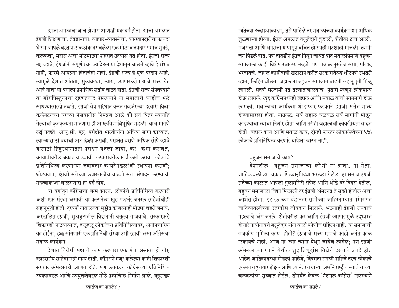इंग्रजी अमलाचा जाच होणारा आणखी एक वर्ग होता. इंग्रजी अमलात इंग्रजी शिक्षणाचा, तंत्रज्ञानाचा, व्यापार-व्यवस्थेचा, कारखानदारीचा फायदा <u>घेऊन आपले बस्तान ठाकठीक बसवलेला एक मोठा वजनदार समाज मुंबई,</u> कलकत्ता, मद्रास अशा मोठमोठ्या शहरात उदयास येत होता. इंग्रजी राज्य नष्ट व्हावे, इंग्रजांनी संपूर्ण स्वराज्य देऊन या देशातून चालते व्हावे हे संभव नाही, फारसे आपल्या हिताचेही नाही. इंग्रजी राज्य हे एक वरदान आहे. त्यामुळे देशात शांतता, सुव्यवस्था, न्याय, व्यापारउदीम यांचे राज्य येत आहे याचा या वर्गाला प्रमाणिक संतोष वाटत होता. इंग्रजी राज्य संपवण्याने वा बॉबपिस्तुलाचा दहशतवाद पसरण्याने या समाजाचे काहीच भले साधण्यासारखे नव्हते. इंग्रजी वेष परिधान करुन गव्हर्नरच्या दरवारी किंवा कलेक्टरच्या घरच्या मेजवानीस निमंत्रण आले की सर्व पितर स्वार्गात गेल्याची कृतकृत्यता मानणारी ही आंग्लविद्याविभूषित मंडळी. यांचे मागणे लई नव्हते. आयू.सी. एस्. परीक्षेत भारतीयांना अधिक जागा द्याव्यात, <u>त्यांच्यासाठी वयाची अट ढिली करावी. परीक्षेत बसणे अधिक सोपे व्हावे</u> यासाठी हिंदुस्थानातही परीक्षा घेतली जावी, कर कमी करावेत, आयातीवरील जकात वाढवावी, लष्करावरील खर्च कमी करावा, लोकांचे प्रतिनिधित्व करणाऱ्या जबाबदार कायदेमंडळांची स्थापना करावी; थोडक्यात, इंग्रजी सत्तेच्या छत्राखालीच वाढती सत्ता संपादन करण्याची महत्वाकांक्षा बाळगणारा हा वर्ग होय.

या वर्गातुन काँग्रेसचा जन्म झाला. लोकांचे प्रतिनिधित्व करणारी आशी एक संस्था असावी या कल्पनेला खुद्द गव्हर्नर जनरल साहेबांचीही सहानुभूती होती. दरवर्षी नाताळच्या सुट्टीत कोणत्याही मोठ्या शहरी जमावे, अस्खलित इंग्रजी, सुटाबुटातील विद्वानांनी वक्तृत्व गाजवावे, सरकारकडे शिफारशी पाठवाव्यात, हळूहळू लोकांच्या प्रतिनिधित्वावर, अनौपचारिक का होईना, हक्क सांगणारी एक प्रतिनिधी संस्था उभी रहावी असा काँग्रेसचा मवाळ कार्यक्रम.

देशात विरोधी पक्षाचे काम करणारा एक मंच असावा ही गोष्ट न्हाईसरॉय साहेबांनाही मान्य होती. कॉॅंग्रेसने मंजूर केलेल्या काही शिफारशी सरकार अंमलातही आणत होते, पण लवकरच काँग्रेसच्या प्रतिनिधिक स्वरुपाबद्दल आणि उपयुक्ततेबद्दल मोठे प्रश्नचिन्ह निर्माण झाले. बहुसंख्य रयतेच्या इच्छाआकांक्षा, तसे पाहिले तर मवाळांच्या कार्यक्रमाशी अधिक जुळणाऱ्या होत्या. इंग्रज अमलात बलुतेदारी बुडाली, शेतीवर टाच आली, राजसत्ता आणि धनसत्ता यांपासून वंचित होऊनही भटशाही माजली. त्यांनी जन पिडले होते. पण तातडीने इंग्रज निघून जावेत यात मवाळांप्रमाणे बहुजन समाजाला काही विशेष स्वारस्य नव्हते. पण मवाळ नुसतेच सभा, परिषद भरवायचे. जहाल काहीबाही खटाटोप करीत सरकारविरुद्ध धीटपणे उभेतरी रहात, लिहित बोलत. जहालांना बहुजन समाजात वाढती सहानुभूती मिळू लागली. सवर्ण सरंजामी नेते तेल्यातांबोळ्यांचे पुढारी म्हणून लोकमान्य होऊ लागले. खुद्द कॉंग्रेसमध्येही जहाल आणि मवाळ यांची साठमारी होऊ लागली. मवाळांचा कार्यक्रम थोडाफार फरकाने इंग्रजी सत्तेत मान्य होण्यासारखा होता. याउलट, सर्व जहाल चळवळ सर्व मार्गांनी मोडून काढण्याचा त्यांचा निर्धार होता आणि तरीही जहालांची लोकप्रियता वाढत होती. जहाल काय आणि मवाळ काय, दोन्ही फारतर लोकसंख्येच्या ५% लोकांचे प्रतिनिधित्व करणारे यापेक्षा जास्त नाही.

#### बहुजन समाजाचे काय?

देशातील बहजन समाजाचा कोणी ना त्राता, ना नेता. जातिव्यवस्थेच्या चक्रात पिढ्यानुपिढ्या भरडला गेलेला हा समाज इंग्रजी सत्तेच्या काळात आपली गुलामगिरी संपेल आणि थोडे बरे दिवस येतील, बहुजन समाजाला विद्या मिळाली तर इंग्रजी अंमलात ते सुखी होतील अशा आशेत होता. १८५७ च्या बंडानंतर राणीच्या जाहिरनाम्यात परंपरागत जातिव्यवस्थेच्या उतरंडीस जीवदान मिळाले. भटशाही इंग्रजी राज्याचे महत्वाचे अंग बनले. शेतीवरील कर आणि इंग्रजी व्यापारामुळे उद्ध्वस्त होणारे गावोगावचे बलुतेदार यांना वाली कोणीच राहिला नाही. या समाजाची राजकीय भूमिका काय होती? इंग्रजांचे राज्य म्हणजे काही अनंत काळ टिकायचे नाही. आज ना उद्या त्यांना येथून जावेच लागेल; पण इंग्रजी अंमनलाच्या रुपाने येथील शुद्रातिशूद्रांस विद्येचे दरवाजे उघडे होत आहेत.जातिव्यवस्था मोडली पाहिजे, विषमता संपली पाहिजे तरच लोकांचे एकमय राष्ट्र तयार होईल आणि त्यानंतरच खऱ्या अर्थाने राष्ट्रीय स्वातंत्र्याच्या चळवळीला सुरुवात होईल, तोपर्यंत केवळ 'नॅशनल कॉॅंग्रेस' म्हटल्याने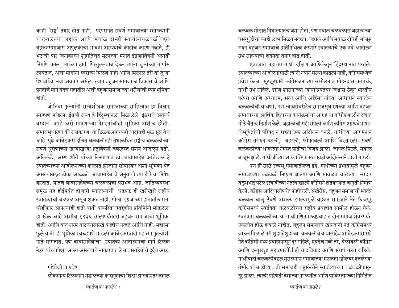काही 'राष्ट्र' तयार होत नाही, परंपरागत सवर्ण समाजाच्या म्होरक्यांनी चालवलेल्या जहाल आणि मवाळ दोन्ही स्वातंत्र्यचळवळींबद्दल बहुजनसमाजास अपुलकीची भावना असण्याचे काहीच कारण नव्हते, ही भटांची पोरे विनाकारण शुद्रातिशुद्र मुलांच्या मनांत इंग्रजांविषयी अप्रीती निर्माण करुन, त्यांच्या हाती पिस्तुल-बॉब देऊन त्यांना चुकीच्या मार्गास लावतात, अशा मार्गानी स्वराज्य मिळणे नाही आणि मिळाले तरी तो जुन्या पेशवाईचा नवा अवतार असेल, त्यात बहुजन समाजाला विकासाचे आणि प्रगतीचे मार्ग बंदच राहातील अशी बहुजनसमाजाच्या धुरीणांची स्पष्ट भूमिका होती.

जोतिबा फुल्यांनी सत्यशोधक समाजाच्या साहित्यात हा विचार स्पष्टपणे मांडला. इंग्रजी राज्य हे हिंदुस्थानला मिळालेले 'ईश्वराचे अतर्क्य वरदान' आहे असे मानणाऱ्या नेमस्तांचीही भूमिका अशीच होती. समाजसुधारणा की राजकारण या टिळकआगरकरी वादातही मूळ सूत्र तेच आहे. पुढे आंबेडकरी दलित चळवळीतही तथाकथित राष्ट्रीय चळवळीच्या सवर्ण धुरीणांच्या खऱ्याखुऱ्या हेतूविषयी जबरदस्त संशय आढळून येतो. अलिकडे, अरुण शौरी यांच्या लिखाणात डॉ. बाबासाहेब आंबेडकर हे स्वातंत्र्याच्या आंदोलनाच्या काळात इंग्रजांना सोयीस्कर अशी भूमिका घेत असल्याबद्दल टीका आढळते. बाबासाहेबांचे अनुयायी त्या टीकेचा निषेध करतात. यातच बाबासाहेबंच्या चळवळीचा पराभव आहे. जातिव्यवस्था समूळ नष्ट होईपर्यंत होणारी स्वातंत्र्याची धडपड ही खरीखुरी राष्ट्रीय स्वातंत्र्याची चळवळ असूच शकत नाही. गोऱ्या इंग्रजांच्या हातातील सत्ता थोडीफार आपल्याही हाती यावी याकरिता एतद्देशीय प्रतिष्ठिांनी मांडलेला हा खेळ आहे अशीच १९३६ सालापर्यंततरी बहुजन समाजाची भूमिका होती. आणि यात शरम वाटण्यासारखे काहीच नव्हते आणि नाही. महात्मा फुले यांनी ही भूमिका स्वच्छपणे मांडली आंबेडकरवादी महात्मा फुल्यांशी नाते सांगतात, पण बाबासाहेबांचा स्वातंत्र्य आंदोलनाचा मार्ग टिळक नेहरु यांच्यापेक्षा अलग असल्याचे नाकारतात हे बाबासाहेबांचे दुदैव आह.

गांधीजीचा प्रवेश लोकमान्य टिळकांना मंडालेच्या कारागृहाची शिक्षा झाल्यानंतर जहाल

स्वातंत्र्य का नासले? /

चळवळ मोडीत निघाल्यातच जमा होती, पण मवाळ चळवळीस जहालांच्या घसरगुंडीचा काही लाभ मिळत नव्हता. जहाल आणि मवाळ दोघेही बाजूस सरुन बहजन समाजाचे प्रतिनिधित्व करणारे स्वातंत्र्याचे एक नवे आंदोलन उभे राहण्याची शक्यता तयार होत होती.

एवढ्यात महात्मा गांधी दक्षिण आफ्रिकेतून हिंदुस्थानात परतले. स्वातंत्र्याच्या आंदोलनासाठी त्यांनी नवीन संस्था काढली नाही, कॉंग्रेसमध्येच प्रवेश केला. सूटबूटधारी कॉंग्रेसजनाच्या सम्मेलनात मोहनदास करमचंद गांधी उभे राहिले. इंग्रज शासनाच्या न्यायाप्रियतेवर विश्वास ठेवून भारतीय परंपरा आणि अध्यात्म, सत्य आणि अहिंसा यांच्या आधाराने स्वातंत्र्य चळवळीची बांधणी, पण त्याबरोबरीनेच समाजसुधारणेच्या आणि बहजन समाजाच्या आर्थिक हिताच्या कार्यक्रमांचा आग्रह या गांधीप्रणालीने देशात मोठे चैतन्य निर्माण केले. जहालांची सद्दी संपली आणि काँग्रेस आंग्यवेभाषा-विभूषितांची परिषद न राहता एक आंदोलन बनले. गांधीच्या आगमनाने कॉंग्रेस तरारुन उठली, बहरली, फोफावली आणि विस्तारली. सवर्ण चळवळीच्या धाकट्या नेमस्त पातीचा विजय झाला. जहाल मिटले, मवाळ बाजूस झाले. गांधीजींच्या आध्यात्मिक सत्याग्रही आंदोलनाने बाजी मारली.

पण ही सारी उच्चभू समाजातीलच द्वंद्वे. गांधीच्या प्रभावामुळे बहजन समाजाच्या चळवळी निष्प्रभ झाल्या आणि मावळत चालल्या. सरदार वल्लभभाई पटेल इत्यादींच्या नेतृत्वाखाली कॉॅंग्रेसने शेतकऱ्यांत जागृती निर्माण केली. कॉंग्रेस आदिवासीपर्यंत पोहोचली.अखेरीस, बहुजन समाजाची स्वतंत्र चळवळ चालू ठेवणे अशक्य झाल्यामुळे बहुजन समाजाने नेते फै जपूर कॉंग्रेसमध्ये स्वतंत्रता चळवळीच्या राष्टीय प्रवाहात सामील होऊन गेले. स्वतंत्रता चळवळीच्या या गांधीप्रणित मध्यप्रवाहात दोन समाज शेवटपर्यत एकजीव होऊ शकले नाहीत. बहुजन समाजाचे खानदानी नेते कॉॅंग्रेसमध्ये जाऊन मिळाले तरी शुद्रातिशुद्रांच्या चळवळीचे बाबासाहेब आंबेडकरांसारखे नेते कॉंग्रेसी मध्य प्रवाहापासून दूर राहिले, एवढेच नव्हे तर, वेळोवेळी कॉंग्रेस आणि दस्तुरखुद्द महात्माजींशीही वादविवाद आणि संघर्ष करत राहिले. गांधीवादी चळवळीबद्दल मुसलमान समाजाच्या मनातही खोलवर रुजलेल्या गंभीर शंका होत्या. तो समाजही बहुसंख्येने स्वातंत्र्याच्या चळवळीपासून दूर झाला. त्याची परिणती देशाच्या फाळणीत आणि पाकिस्तानच्या निर्मितीत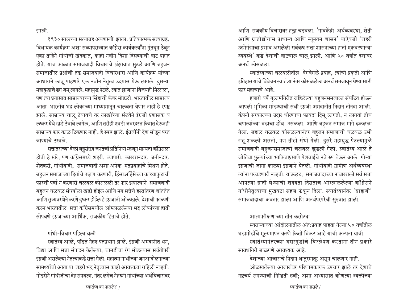झाली.

१९३० सालच्या सत्याग्रह अयशस्वी झाला. प्रतिकात्मक सत्याग्रह, विधायक कार्यक्रम अशा सव्यापसव्यात काँग्रेस कार्यकर्त्यांना गुंतवून ठेवून एका तऱ्हेने गांधीजी खंदकात, काही नवीन दिशा दिसण्याची वाट पहात होते. याच काळात समाजवादी विचाराचे झंझावात सुटले आणि बहजन समाजातील प्रश्नांची तड समाजवादी विचारधारा आणि कार्यक्रम यांच्या आधाराने लावू पाहणारे एक नवीन नेतृत्व उदयास येऊ लागले. दुसऱ्या महायुद्धाचे ढग जमू लागले. महायुद्ध पेटले. त्यांत इंग्रजांना विजयही मिळाला, <u>पण त्या प्रयासात साम्राज्याच्या सिंहाची कंबर मोडली. भारतातील साम्राज्य</u> आता भारतीय भद्र लोकांच्या माध्यामातून चालवता येणार नाही हे स्पष्ट झाले. साम्राज्य चालू ठेवायचे तर लाखोंच्या संख्येने इंग्रजी प्रशासक व लष्कर येथे खडे ठेवावे लागेल, आणि तरीही एवढी जबरदस्त किंमत देऊनही साम्राज्य फार काळ टिकणार नाही, हे स्पष्ट झाले. इंग्रजींनी देश सोडून परत जाण्याचे ठरवले.

सत्तांतराच्या वेळी बहुसंख्य जनतेची प्रतिनिधी म्हणून मान्यता कॉॅंग्रेसला होती हे खरे; पण कॉॅंग्रेसमध्ये शहरी, व्यापारी, कारखानदार, जमीनदार, शेतकरी, गांधीवादी, समाजवादी अशा अनेक मतप्रवाहांचे मिश्रण होते. बहुजन समाजाच्या हितांचे रक्षण करणारी, हिंसाअहिंसेच्या काथ्याकुटाची फारशी पर्वा न करणारी चळवळ कोसळली तर फार झपाट्याने समाजवादी बहजन चळवळ संघर्षाला खडी होईल आणि मग सत्तेचे हस्तांतरण शांततेत आणि सुव्यवस्थेने करणे दुष्कर होईल हे इंग्रजांनी ओळखले. देशाची फाळणी करुन भारतातील सत्ता काँग्रेसमधील आंग्लाळलेल्या भद्र लोकांच्या हाती सोपवणे इंग्रजांच्या आर्थिक, राजकीय हिताचे होते.

 $\overline{\text{right}}$ -विचार पहिला बळी

स्वातंत्र्य आले, पंडित नेहरु पंतप्रधान झाले. इंग्रजी अमदानीत धन, विद्या आणि सत्ता संपादन केलेल्या, चामडीचा रंग सोडल्यास सर्वतोपरी इंग्रजी असलेल्या नेतृत्वाकडे सत्ता गेली. महात्मा गांधीच्या जनआंदोलनाच्या सामर्थ्याची आता या शहरी भद्र नेतृत्वास काही आवश्कता राहिली नव्हती. गोडसेने गांधीजींचा देह संपवला. नंतर लगेच नेहरुंनी गांधींच्या अर्थविचारावर आणि राजकीय विचारावर हल्ला चढवला. 'गावकेंद्री अर्थव्यवस्था, शेती आणि ग्रातोद्योगास प्राधान्य आणि न्यूनतम शासन' याऐवजी 'शहरी उद्योगंद्याचा प्रभाव असलेली सर्वकष सत्ता शासनाच्या हाती एकवटणाऱ्या व्यवस्थे' कडे देशाची वाटचाल चालू झाली. आणि ५० वर्षात देशावर अनर्थ कोसळला.

स्वातंत्र्याच्या चळवळीतील वेगवेगळे प्रवाह, त्यांची प्रकृती आणि इतिहास यांचे विवेचन स्वातंत्र्यानंतर कोसळलेला अनर्थ समजावून घेण्यासाठी फार महत्वाचे आहे.

हजारो वर्षे गुलामगिरीत राहिलेल्या बहुजनसमजाला संघटित होऊन आपली भूमिका मांडण्याची संधी इंग्रजी अमदानीत निदान तीनदा आली. कंपनी सरकारच्या उदार धोरणाचा फायदा दिसू लागतो, न लागतो तोच चपात्यांच्या बंडाचा डोंब उसंळला. आणि बहजन समाज मागे ढकलला गेला. जहाल चळवळ कोसळल्यानंतर बहुजन समाजाची चळवळ उभी राहू शकली असती, पण तीही संधी गेली. दुसरे महायुद्ध पेटल्यामुळे समाजवादी बहुजनसमाजाची चळवळ खुडली गेली. स्वातंत्र्य आले ते जोतिबा फुल्यांच्या भाकिताप्रमाणे पेशवाईचे नवे रुप घेऊन आले. गोऱ्या इंग्रजांची जागा काळ्या इंग्रजाने घेतली. गांधीवादी ग्रामीण अर्थव्यवस्था त्यांना परवडणारी नव्हती. याऊलट, समाजवादाच्या नावाखाली सर्व सत्ता आपल्या हाती घेण्याची शक्यता दिसताच आंग्लाळलेल्या कॉंग्रेसने गांधीनेतृत्वाचा मुखवटा सहज फेकून दिला. स्वातंत्र्यानंतर 'ब्राह्मणी' समाजवादाचा अवतार झाला आणि अनर्थपरंपरेची सुरुवात झाली.

## आत्मपरीक्षणाच्या तीन कसोट्या

स्वराज्याच्या आंदोलनातील अंत:प्रवाह पाहता गेल्या ५० वर्षातील घडामोडींचे मूल्यमापन करणे किती बिकट आहे याची कल्पना यावी.

स्वातंत्र्यानंतरच्या घसरगुंडीचे विश्लेषण करताना तीन प्रकारे सावधगिरी बाळगणे आवश्यक आहे.

देशाच्या आजाराचे निदान थातुरमातूर असून चालणार नाही.

ओळखलेल्या आजारांवर परिणामकारक उपचार झाले तर देशाचे नष्टचर्य संपण्याची निश्चिती हवी; अशा अभ्यासात कोणत्या व्यक्तींच्या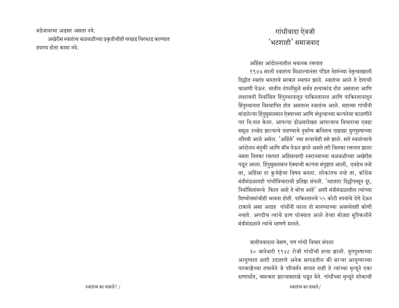बडेजावाचा अडसर असता नये. अखेरीस स्वातंत्र्य चळवळीच्या प्रकृतीचीही परखड चिरफाड करण्यात हयगय होता कामा नये.

## गांधीवादा ऐवजी 'भटशाही' समाजवाद

अहिंसा आंदोलनातील भयानक रक्तपात

१९४७ साली स्वातंत्र्य मिळाल्यानंतर पंडित नेहरुंच्या नेतृत्वाखाली दिल्लीत स्वतंत्र भारताचे सरकार स्थापन झाले. स्वातंत्र्य आले ते देशाची फाळणी घेऊन. जातीय दंगलींमुळे सर्वत्र हत्याकांड होत असताना आणि लक्षावधी निर्वासित हिंदुस्थानातून पाकिस्तानात आणि पाकिस्तानातून हिंदुस्थानात विस्थापित होत असताना स्वातंत्र्य आले. महात्मा गांधींनी मांडलेल्या हिंदुमुसलमान ऐक्याच्या आणि बंधुत्वाच्या कल्पनेचा फाळणीने पार नि:पात केला. आपल्या डोळ्यादेखत आपल्याच विचाराचा एवढा समूळ उच्छेद झाल्याचे पाहण्याचे दुर्भाग्य क्रचितच एखाद्या युगपुरुषाच्या नशिबी आले असेल. 'अहिंसे' च्या तत्वाचेही हसे झाले. सारे स्वातंत्र्याचे आंदोलन बंदुकी आणि बॉब घेऊन झाले असते तरी जितका रक्तपात झाला नसता तितका रक्तपात अहिंसावादी स्वराज्याच्या चळवळीच्या अखेरीस घडून आला. हिंदुमुसलमान ऐक्याची कल्पना संपुष्टात आली, एवढेच नव्हे तर, अहिंसा हा कुचेष्टेचा विषय बनला. लोकांतच नव्हे तर, कॉंग्रेस मंत्रीमंडळातही गांधीविचाराची प्रतिष्ठा संपली. 'म्हातारा दिल्लीपासून दूर, निर्वासितांमध्ये फिरत आहे ते बरेच आहे' अशी मंत्रीमंडळातील त्यांच्या शिष्योत्तमांचीही भावना होती. पाकिस्तानचे ५५ कोटी रुपयांचे देणे देऊन टाकावे असा आग्रह गांधींनी धरला तो मानण्याच्या अवस्थेतही कोणी नव्हते. अगदीच त्यांचे प्राण धोक्यात आले तेव्हा मोठ्या मुश्किलीने मंत्रीमंडळाने त्यांचे म्हणणे मानले.

जातीयवादला वेसण, पण गांधी विचार संपला

३० जानेवारी १९४८ रोजी गांधींची हत्या झाली. युगपुरुषाच्या आयुष्यात अशी उदाहरणे अनेक सापडतील की साऱ्या आयुष्याच्या पराकाष्ठेच्या तपस्येने जे परिवर्तन साधत नाही ते त्यांच्या मृत्यूने एका क्षणार्धात, चमत्कार झाल्यासारखे घडून येते. गांधींच्या मृत्यूने शोकाची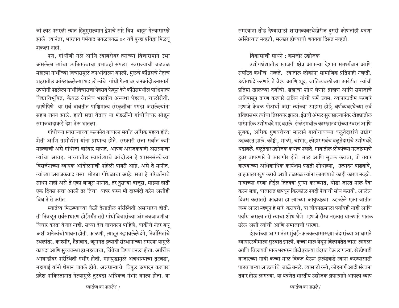जी लाट पसरली त्यात हिंदुमुसलमान द्वेषाचे सारे विष वाहून गेल्यासारखे झाले. त्यानंतर, भारतात धर्मवाद जवळजवळ ४० वर्षे पुन्हा प्रतिष्ठा मिळव् शकला नाही.

पण, गांधीजी गेले आणि त्याबरोबर त्यांच्या विचारामागे उभा असलेला त्यांचा व्यक्तिमत्वाचा प्रभावही संपला. स्वराज्याची चळवळ महात्मा गांधींच्या विचारामुळे जनआंदोलन बनली. मुळचे कॉॅंग्रेसचे नेतृत्व शहरातील आंग्लाळलेल्या भद्र लोकांचे. गांधी गेल्यावर जनआंदोलनासाठी उपयोगी पडलेला गांधीविचाराचा पेहराव फेकून देणे कॉॅंग्रेसमधील पाश्चिमात्य विद्याविभूषित, केवळ रंगानेच भारतीय अन्यथा पेहराव, चालीरीती, खाणेपिणे या सर्व बाबतीत पाश्चिमात्य संस्कृतीचा पगडा असलेल्यांना सहज शक्य झाले. हाती सत्ता येताच या मंडळींनी गांधीविचार सोडून समाजवादाकडे देश नेऊ घातला.

गांधीच्या स्वराज्याच्या कल्पनेत गावाला सर्वात अधिक महत्व होते; शेती आणि ग्रामोद्योग यांना प्राधान्य होते. सरकारी सत्ता सर्वात कमी महत्वाची असे गांधीजी वारंवार म्हणत. आपण अराजकवादी असल्याचा त्यांचा आग्रह. भारतातील स्वातंत्र्याचे आंदोलन हे शासनसंस्थेच्या विसर्जनाच्या व्यापक आंदोलनाची पहिली पायरी आहे. असे ते मानीत. त्यांच्या अराजकवाद तसा मोठ्या गोंधळाचा आहे. सत्ता हे परिवर्तनाचे साधन नाही असे ते एका बाजूस मानीत, तर दुसऱ्या बाजूस, माझ्या हाती एक दिवस सत्ता आली तर तिचा वापर करुन मी दारुबंदी करेन अशीही विधाने ते करीत.

स्वातंत्र्य मिळण्याच्या वेळी देशातील परिस्थिती असाधारण होती. ती निवळून सर्वसाधारण होईपर्यंत तरी गांधीविचारांच्या अंमलबजावणीचा विचार करता येणार नाही. सध्या देश वाचवला पाहिजे, बाकीचे नंतर बघू अशी अनेकांची भावना होती. फाळणी, त्यातून उद्भवलेले दंगे, निर्वासितांचे स्थलांतर, काश्मीर, हैद्राबाद, जूनागढ इत्यादी संस्थानांच्या समस्या यामुळे कायदा आणि सुव्यवस्था हा महत्वाचा, चिंतेचा विषय बनला होता. आर्थिक आघाडीवर परिस्थिती गंभीर होती. महायुद्धामुळे अन्नधान्याचा तुटवडा, महागाई यांनी थैमान घातले होते. अन्नधान्याचे विपुल उत्पादन करणारा प्रदेश पाकिस्तानात गेल्यामुळे तुटवडा अधिकच गंभीर बनला होता. या

समस्यांना तोंड देण्यासाठी शासनव्यवस्थेखेरीज दुसरी कोणतीही यंत्रणा अस्तित्वात नव्हती, सरकार होण्याची शक्यता दिसत नव्हती.

विकासाची साधने : कमजोर उद्योजक

उद्योगधंद्यातील खाजगी क्षेत्र आपल्या देशात समर्थ्यवान आणि संघटित कधीच नव्हते. त्यातील लोकांना सामाजिक प्रतिष्ठाही नव्हती. उद्योगधंदे करणारे ते वैश्य आणि शूद्र. जातिव्यवस्थेच्या उतरंडीत त्यांची प्रतिष्ठा खालच्या दर्जाची. ब्रह्माचा शोध घेणारे ब्राह्मण आणि समाजाचे क्षतिपासून तारण करणारे क्षत्रिय यांची कर्मे उत्तम. व्यापारउदीम करणारे म्हणजे केवळ पोटार्थी असा त्यांच्या उपहास होई: वर्णव्यवस्थेच्या सर्व इतिहासभर त्यांचा तिरस्कार झाला. इंग्रजी अंमल सुरु झाल्यानंतर खेड्यातील पारंपारिक उद्योगधंदे पार बसले. इंग्लंडमधील कारखानदारीच्या स्वस्त आणि सुबक, अधिक गुणवत्तेच्या मालाने गावोगावच्या बलुतेदारांचे उद्योग उद्ध्वस्त झाले. कोष्टी, माळी, चांभार, लोहार सर्वच बलुतेदारांचे उद्योगधंदे थंडावले. बलुतेदार उद्योजक कधीच नव्हते. गावातील लोकांच्या गरजांप्रमाणे हन्नर वापरणारे ते कारागीर होते. माल आणि सुबक करावा, तो तयार करण्याच्या अधिकाधिक कार्यक्षम पद्धती शोधाव्या, उत्पादन वाढवावे, ग्राहकाला खुष करावे अशी तळमळ त्यांना लागण्याचे काही कारण नव्हते. गावाच्या गरजा होईल तितक्या पुऱ्या कराव्यात, थोडा जास्त माल पैदा करुन जत्रा, बाजारात खपवून किरकोळ नगदी पैशाची सोय करावी, आलेल दिवस कसातरी काढावा हा त्यांच्या आयुष्यक्रम. उद्दच्छेने एका जातीत जन्म आला म्हणून हे सारे करायचे, या जीवनक्रमाला पर्यायही नाही आणि पर्याय असला तरी त्याचा शोध घेणे म्हणजे रौरव नरकात घालणारे पातक ठरेल अशी त्यांची आणि समाजाची धारणा.

इंग्रजांच्या आगमनंतर मुंबई-कलकत्यासारख्या बंदारांच्या आधाराने व्यापारउदीमाला सुरुवात झाली. कच्चा माल येथून विलायतेत जाऊ लागला आणि विलायती माल भरभरुन बोटी इथल्या बंदरात येऊ लागल्या. खेडोपाडी बाजारच्या गावी कच्चा माल विकत घेऊन इंग्लंडकडे खाना करण्यासाठी पाठवणाऱ्या आडत्यांचे जाळे बनले. त्यासाठी रस्ते, लोहमार्ग आदी संरचना तयार होऊ लागल्या. या यंत्रणेत भारतीय उद्योजक झपाट्याने आपला व्याप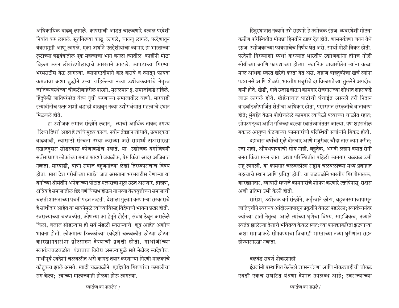अधिकाधिक वाढवू लागले. कापसाची आडत चालवणारे दलाल परदेशी निर्यात करु लागले. सूतगिरण्या काढू लागले, चालवू लागले, परदेशातून यंत्रसामुग्री आणू लागले. एका अर्थाने एतद्देशीयांचा व्यापार हा भारताच्या लुटीच्या षड्यंत्रातील एक महत्वाचा भाग बनला त्यातील काहींनी मोठा विक्रम करुन लोखंडपोलादाचे कारखाने काढले. कापडाच्या गिरण्या भरभराटीस येऊ लागल्या. व्यापारउदीमागे कष्ट करावे व त्यातून फायदा कमवावा अशा बुद्धीने उभ्या राहिलेल्या नव्या उद्योजकवर्गाचे नेतृत्व जातिव्यवस्थेच्या चौकटीबाहेरील पारशी, मुसलमान इ. समाजांकडे राहिले. हिंदुपैकी जातिपरंपरेत वैश्य वृत्ती करणाऱ्या समाजातील वाणी, मारवाडी इत्यादींनीच फक्त अशी धडाडी दाखवून नव्या उद्योगधंद्यात महत्वाचे स्थान मिळवले होते.

हा उद्योजक समाज संख्येने लहान, त्याची आर्थिक ताकद नगण्य 'लिधा दिधा' अडत हे त्यांचे मुख्य कसब. नवीन तंत्रज्ञान शोधावे, उत्पादकता वाढवावी. त्यासाठी संरचना उभ्या कराव्या असे सामर्थ्य टाटांसारखा एखाददुसरा सोडल्यास कोणाकडेच नव्हते. या उद्योजक वर्गाविषयी सर्वसाधारण लोकांच्या मनात फारशी जवळीक, प्रेम किंवा आदर अजिबात नव्हता. मारवाडी, वाणी समाज बहजनांच्या लेखी तिरस्काराचाच विषय होता. सारा देश गरीबीच्या खाईत जात असताना भरभराटीस येणाऱ्या या वर्गाच्या श्रीमंतीने अनेकांच्या पोटात मत्सराचा शूळ उठत असणार. ब्राह्मण, क्षत्रिय हे समाजातील श्रेष्ठ वर्ण विष्प्रभ होऊन या नव्या वैश्यवृत्तीच्या समाजाची चलती शासनाच्या पचनी पडत नव्हती. देशाला गुलाम करणाऱ्या सरकाराचे हे साथीदार आहेत या भावनेमुळे त्यांच्याविरुद्ध विद्वेषाची भावना प्रखर होती. स्वराज्याच्या चळवळीत, कोणत्या का हेतूने होईना, संबंध ठेवून असलेले बिर्ला, बजाज सोडल्यास ही सर्व मंडळी स्वराज्याचे शूत्र आहेत अशीच भावना होती. लोकमान्य टिळकांच्या स्वदेशी चळवळीत छोट्या छोट्या कारखानदारांना प्रोत्साहन देण्याची प्रवृत्ती होती. गांधीजींच्या स्वातंत्र्यचळवळीत यंत्राचाच विरोध असल्यामुळे सारे नेटीव्ह स्वदेशीच. गांधीपूर्व स्वदेशी चळवळीत असे कापड तयार करणाऱ्या गिरणी मालकांचे कौतुकच झाले असते. खादी चळवळीने एतद्देशीय गिरण्यांचा कमालीचा राग केला; त्यांच्या मालाच्याही होळ्या होऊ लागल्या.

हिंदुस्थानात नव्याने उभे राहणारे हे उद्योजक इंग्रज व्यवस्थेशी मोठ्या कठीण परिस्थितीत मोठ्या हिमतीने टक्कर देत होते. शासनयंत्रणा शक्य तेथे इंग्रज, उद्योजकांच्या फायद्याचेच निर्णय घेत असे. स्पर्धा मोठी बिकट होती. परदेशी गिरण्यांशी स्पर्धा करण्यात भारतीय उद्योजकांना तीनच गोष्टी सोयीच्या आणि फायद्याच्या होत्या. स्थानिक बाजारपेठेत त्यांना कच्चा माल अधिक स्वस्त खरेदी करता येत असे. जहाज वाहतुकीचा खर्च त्यांना पडत नसे आणि शेवटी, भारतीय मज़ुरीचे दर विलायतेच्या तुलनेने अगदीच कमी होते. खेडी, गावे उजाड होऊन कामगार रोजगारांच्या शोधात शहरांकडे जाऊ लागले होते. खेडेगावात पाटोची पंचाईत असली तरी निदान वाडवडिलोपार्जित शेतीचा अधिकार होता, परंपरागत संस्कृतीचे वातावरण होते; मुंबईत येऊन पोहोचलेले कामगार त्यावेळी पत्र्याच्या चाळीत रहात; झोपटपट्ट्या आणि गलिच्छ वस्त्या स्वातंत्र्यानंततर आल्या. पण शहरातील बकाल आयुष्य कंठणाऱ्या कामगारांची परिस्थिती सर्वार्थाने बिकट होती.

दहाबारा वर्षांची मुले दोनचार आणे मजुरीवर चौदा तास काम करीत; रजा नाही, औषधपाण्याची सोय नाही. बहुतेक, अगदी लहान वयात रोगी बनत किंवा मरुन जात. अशा परिस्थितीत पहिली कामगार चळवळ उभी राह लागली. या कामगार चळवळीला राष्टीय चळवळीच्या मध्य प्रवाहात महत्वाचे स्थान आणि प्रतिष्ठा होती. या चळवळीने भारतीय गिरणीमालक, कारखानदार, व्यापारी म्हणजे कामगारांचे शोषण करणारे रक्तपिपासू राक्षस अशी प्रतिमा उभी केली होती.

साराश, उद्योजक वर्ग संख्येने, कर्तृत्वाने छोटा, बहुजनसमाजापासून जातिवृत्तीने स्वराज्य आंदोलनापासून प्रकृतीने वेगळा पडलेला; स्वातंत्र्यानंतर ज्यांच्या हाती नेतृत्व आले त्यांच्या घृणेचा विषय. साहजिकच, नव्याने  $\frac{1}{2}$ स्वतंत्र झालेल्या देशाचे भवितव्य केवळ स्वत:च्या फायद्याकरिता झटणाऱ्या अशा समाजाकडे सोपवण्याचा विचारही भारताच्या नव्या धुरीणांना सहन  $\overline{\mathrm{b}}$  होण्यासारखा नव्हता.

### बलदंड सवर्ण नोकरशाही

इंग्रजांनी प्रस्थापित केलेली शासनयंत्रणा आणि नोकरशाहीची चौकट एवढी एकच संघटित यंत्रणा देशात उपलब्ध आहे: स्वराज्याच्या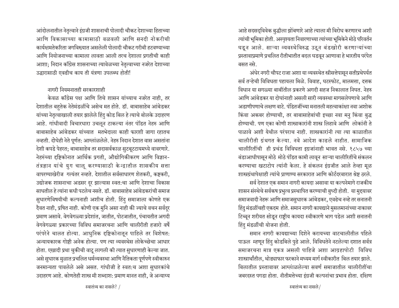आंदोलनातील नेतृत्वाने इंग्रजी शासनाची पोलादी चौकट देशाच्या हिताच्या आणि विकासाच्या कामासाठी वळवली आणि सनदी नोकरीची कार्यक्षमतेकरिता जगविख्यात असलेली पोलादी चौकट गरीबी हटवण्याच्या आणि नियोजनाच्या कामाला लावता आली तरच देशाला प्रगतीची काही आशा; निदान काँग्रेस शासनाच्या त्यावेळच्या नेतृत्वाच्या नजरेत देशाच्या उद्धारासाठी एवढीच काय ती यंत्रणा उपलब्ध होती!

### नागरी नियमनातही सरकारशाही

केवळ कॉंग्रेस पक्ष आणि तिचे शासन यांच्याच नजरेत नाही, तर देशातील बहुतेक नेतेमंडळींचे असेच मत होते. डॉ. बाबासाहेब आंबेडकर यांच्या नेतृत्वाखाली तयार झालेले हिंदु कोड बिल हे त्याचे बोलके उदाहरण आहे. गांधीवादी विचारधारा उचलून टाकल्या नंतर पंडित नेहरु आणि बाबासाहेब आंबेडकर यांच्यात मतभेदाला काही फारशी जागा रहातच नव्हती. दोघेही नेते पूर्णत: आग्लांळलेले. नेहरु निदान देशात वास असतांना देशी कपडे पेहरत; बाबासाहेब तर सदासर्वकाळ सुटबूटटायमध्ये वावरणारे. नेहरुंच्या दृष्टिकोनात आर्थिक प्रगती, औद्योगिकीकरण आणि विज्ञान-तंत्रज्ञान यांचे युग चालू करण्यासाठी केन्द्रातील शासकीय सत्ता वापरण्याखेरीज गत्यंतर नव्हते. देशातील सर्वसाधारण शेतकरी, कष्टकरी, उद्योजक शासनाचा अडसर दूर झाल्यास स्वत:चा आणि देशाचा विकास साधतील हे त्यांना कधी पटलेच नसते. डॉ. बाबासाहेब आंबेडकरांची समाज सुधारणेविषयीची कल्पनाही अशीच होती. हिंदु समाजाला कोणते एक दैवत नाही, प्रषित नाही. कोणी एक मुनि असा नाही की ज्याचे वचन सर्वदुर प्रमाण असावे. वेगवेगळ्या प्रदेशांत, जातीत, पोटजातीत, पंचायतीत अगदी वेगवेगळ्या प्रकारच्या विविध समाजरचना आणि चालीरीती हजारो वर्षे परंपरेने चालत होत्या. आधुनिक दृष्टिकोनातून पाहिले तर विशेषत: अन्यायकारक गोष्टी अनेक होत्या. पण त्या व्यवस्थेस लोकेच्छेचा आधार होता. एखादी प्रथा चुकीची वाटू लागली की त्यात सुधारणाही केल्या जात. असे सुधारक मुळात प्रचलित धर्मव्यवस्था आणि नैतिकता पूर्णपणे स्वीकारुन जनमान्यता पावलेले असे असत. गांधीजी हे स्वत:च अशा सुधारकांचे उदाहरण आहे. कोणतेही शास्त्र मी शब्दाश: प्रमाण मानत नाही, जे अन्याय्य

आहे सदसद्विवेक बुद्धीला झोंबणारे आहे त्याला मी विरोध करणारच अशी त्यांची भूमिका होती. अस्पृश्यता निवारणाच्या त्यांच्या भूमिकेने मोठे परिवर्तन घडून आले. साऱ्या व्यवस्थेविरुद्ध उठून बंडखोरी करणाऱ्यांच्या प्रस्तावाप्रमाणे प्रचलित रीतीभातीत बदल घडवून आणावा हे भारतीय परंपेत बम्मत नमे

अंधेर नगरी चौपट राजा अशा या व्यवस्थेत स्त्रीसत्तेपासून सतीप्रथेपर्यत सर्व तऱ्हेची विविधता पहायला मिळे. विवाह, घटस्फोट, मालमत्ता, दत्तक विधान या सगळ्या बाबींतील प्रकरणे अगदी सहज निकालात निघत. नेहरु आणि आंबेडकर या दोघांनाही असली सारी व्यवस्था मागसलेपणाचे आणि अडाणीपणाचे लक्षण वाटे. पंडितजींच्या मनातली महत्वाकांक्षा नवा अशोक किंवा अकबर होण्याची, तर बाबासाहेबांची इच्छा नवा मनु किंवा बुद्ध होण्याची. पण एका कोणी शास्त्राकारांनी शास्त्र लिहावे आणि लोकांनी ते पाळावे अशी येथील परंपराच नाही. शास्त्रकारांनी त्या त्या काळातील चालीरीती ग्रंथगत केल्या. नवे आदेश काढले नाहीत. सामाजिक चालीरितींची ही प्रचंड विविधता इग्रजांनाही भावत नसे. १८५७ च्या बंडाआधीपासून मोठे मोठे पंडित कामी लावून साऱ्या चालीरितींचे संकलन करण्याचा खटाटोप त्यांनी केला. हे संकलन इंग्रजीत आले तेव्हा मूळ शास्त्रग्रंथापेक्षाही त्यांचे प्राणाण्य सरकारात आणि कोर्टदरबारात श्रेष्ट ठरले.

सर्व देशात एक समान नागरी कायदा असावा या कल्पनेमागे राजकीय शासन संस्थेचे सर्वकष प्रभुत्व प्रस्थापित करण्याची बुध्दी होती. या मुद्दयावर समाजवादी नेहरू आणि समाजसुधारक आंबेडकर, एवढेच नव्हे तर सनातनी हिंदु मंडळींचही एकदम होते. समान नागरी कायद्याने मुसलमानांच्या नाकावर टिच्चून शरीयत सोडून राष्ट्रीय कायदा स्वीकारणे भाग पडेल अशी सनातनी हिंद मंडळींची योजना होती.

समान नागरी कायद्याच्या दिशेने करायच्या वाटचालीतील पहिले पाऊल म्हणून हिंदु कोडबिले पुढे आले. विविधतेने नटलेल्या दशात सर्वत्र समाजरचना मात्र एकत्र असली पाहिजे अशा आग्रहापोटी विविध शास्त्रार्थांतील, थोड्याफार फरकाने मध्यम मार्ग स्वीकारीत बिल तयार झाले. बिलातील प्रस्तावावर आग्लाळलेल्या सवर्ण समाजातील चालीरीतींचा जबरदस्त पगडा होता. नीतीमत्तेच्या इंग्रजी कल्पनांचा प्रभाव होता. दक्षिण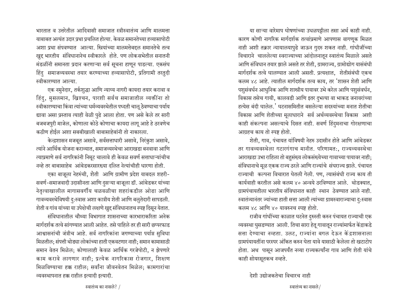भारतात व उत्तरेतील आदिवासी समाजात स्त्रीस्वातंत्र्य आणि मालमत्ता <u>याबाबत अत्यंत उदार प्रथा प्रचलित होत्या. केवळ समानतेच्या हव्यासापोटी</u> अशा प्रथा संपवण्यात आल्या. स्त्रियांच्या मालमत्तेबद्दल समानतेचे तत्व *खुद्द भारतीय संविधानानेच स्वीकारले होते.* पण लोकसभेतील सनातनी मंडळींनी समानता प्रदान करणाऱ्या सर्व सूचना हाणून पाडल्या. एकसंघ हिंदु समाजव्यवस्था तयार करण्याच्या हव्यासापोटी, प्रतिगामी तरतुदी स्वीकारण्यात आल्या.

एक नमुनेदार, तर्कशुद्धा आणि न्याय्य नागरी कायदा तयार करावा व हिंदु, मुसलमान, ख्रिश्चन, पारशी सर्वच समाजातील व्यक्तींना तो स्वीकारण्याचा किंवा त्यांच्या धर्मव्यवस्थेतील पध्दती चालू ठेवण्याचा पर्याय द्यावा असा प्रस्ताव त्याही वेळी पुढे आला होता. पण असे केले तर सारी बजबजपुरी माजेल, कोणाला कोठे कोणाचा कायदा लागू आहे हे ठरवणेच कठीण होईल अशा सबबीखाली बाबासाहेबांनी तो नाकारला.

केन्द्रशासन मजबूत असावे, सर्वसत्ताधारी असावे, निरंकुश असावे, त्यांने आर्थिक योजना कराव्यात, समाजव्यस्थेचा आराखडा बनवावा आणि त्याप्रमाणे सर्व नागरिकांनी निमूट चालावे ही केवळ सवर्ण सत्ताधाऱ्यांचीच नव्हे तर बाबासाहेब आंबेडकरसारख्या दलित नेत्यांचीही धारणा होती.

एका बाजूला नेहरुंची, शेती आणि ग्रामीण प्रदेश याबदल शहरी-सवर्ण-समाजवादी उदासीनता आणि दुसऱ्या बाजूला डॉ. आंबेडकर यांच्या नेतृत्वाखालील मागासवर्गीय चळवळीचा शहरांकडील ओढा आणि गावव्यवस्थेविषयी दु:स्वास अशा कात्रीय शेती आणि बलुतेदारी सापडली. शेती व गांव यांच्या या उपेक्षेची लक्षणे खुद्द संविधानातच स्पष्ट दिसून येतात.

संविधानातील चौथ्या विभागात शासनाच्या कारभाराकरिता अनेक मार्गदर्शक तत्वे सांगण्यात आली आहेत. तसे पाहिले तर ही सारी छप्परफाड आश्वासनांची जंत्रीच आहे. सर्व नागरिकांना जगण्याच्या पर्याप्त सुविधा <u>मिळतील; संपत्ती थोड्या लोकांच्या हाती एकवटणार नाही; समान कामासाठी</u> समान वेतन मिळेल: कोणालाही केवळ आर्थिक गरजेपोटी, न झेपणारे काम करावे लागणार नाही; प्रत्येक नागरिकास रोजगार, शिक्षाण मिळविण्याचा हक्क राहील; सर्वांना जीवनवेतन मिळेल; कामगारांचा व्यवस्थापनात हक्क राहील इत्यादी इत्यादी.

या साऱ्या वारेमाप घोषणांच्या उधळपट्टीला तसा अर्थ काही नाही. कारण कोणी नागरिक मार्गदर्शक तत्वांप्रमाणे आपणास वागणुक मिळत नाही अशी तक्रार न्यायालयापुढे जाऊन गुदरु शकत नाही. गांधीजींच्या विचाराने चाललेल्या स्वराज्याच्या आंदोलनातून स्वातंत्र्य मिळाले असते आणि संविधान तयार झाले असते तर शेती, ग्रामराज्य, ग्रामोद्योग यासंबंधी मार्गदर्शक तत्वे घालण्यात आली असती. प्रत्यक्षात, शेतीसंबंधी एकच कलम ४८ आहे. त्यातील मार्गदर्शक तत्व काय, तर 'शासन शेती आणि पशुसंवर्धन आधुनिक आणि शास्त्रीय पायावर उभे करेल आणि पशुसंवर्धन, विकास तसेच गायी, कालवडी आणि इतर दुभत्या वा भाकड जनावरांच्या हत्येस बंदी घालेल.' घटनासमितीत बसलेल्या सदस्यांच्या मनात शेतीचा विकास आणि शेतीच्या मूलाधाराने सर्व अर्थव्यवस्थेचा विकास अशी काही संकल्पना असल्याचे दिसत नाही. सवर्ण हिंदुमनाचा गोरक्षणाचा आग्रहच काय तो स्पष्ट होतो.

शेती, गाव, पंचायत यांविषयी नेहरु उदासीन होते आणि आंबेडकर तर गावव्यवस्थेला गटारगंगाच मानीत. परिणामत:, राज्यव्यवस्थेचा आराखडा उभा राहिला तो बहुसंख्य लोकसंख्येच्या गावाच्या पायावर नाही; संविधानाचे मूळ एकक राज्य ठरले आणि राज्यांचे संघराज्य झाले. पंचायत राज्याची कल्पना विचारात घेतली गेली. पण, त्यासंबंधी राज्य काय ती कार्यवाही करतील असे कलम ४० अन्वये ठरविण्यात आले. थोडक्यात**.** ग्रामपंचायतीला भारतीय संविधानात काही स्थान ठेवण्यात आले नाही. स्वातंत्र्यानंतर ज्यांच्या हाती सत्ता आली त्यांच्या ग्रामस्वाराज्याचा दु:स्वास कलम ४८ आणि ४० यावरुनच स्पष्ट होतो.

राजीव गांधींच्या काळात घटनेत दुरुस्ती करुन पंचायत राज्याची एक व्यवस्था घुसडण्यात आली. तिचा सारा हेतू गावातून राज्यांमार्फत केंद्राकडे सत्ता देण्याचा नव्हता. उलट, राज्यांना बगल देऊन केंद्रशासनाला <u>ग्रामपंयायतींना परस्पर अंकित करुन घेता यावे यासाठी केलेला तो खटाटोप</u> होता. अथ पासून आजपर्यंत नव्या राज्यकर्त्यांना गाव आणि शेती यांचे काही सोयरसूतकच नव्हते.

<u>देशी उद्योजकतेचा विचारच नाही</u>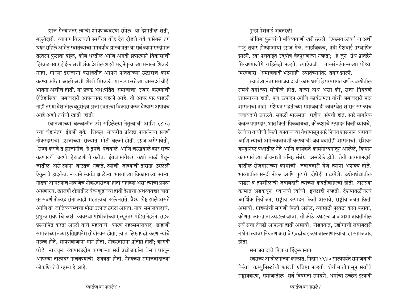इंग्रज गेल्यानंतर त्यांची शोषणव्यवस्था संपेल. या देशातील शेती. बलृतेदारी, व्यापार विलायती स्पर्धेला तोंड देत दीडशे वर्षे कसेबसे तग धरुन राहिले आहेत स्वातंत्र्याचा मृगवर्षाव झाल्यानंतर या सर्व व्यापारउदीमात तरतरुन फुटावा येईल, कोंब धरतील आणि अगदी झपाट्याने विकासाची हिरवळ तयार होईल अशी शंकादेखील शहरी भद्र नेतृत्वाच्या मनाला शिवली नाही. गोऱ्या इंग्रजांनी वसाहतीत आपण पतितांच्या उद्धाराचे काम करण्याकरिता आलो अशी शेखी मिरवली. या नव्या सत्तेच्या वारसदरांचीही भावना अशीच होती. या प्रचंड अध:पतित समाजाचा उद्धार करण्याची ऐतिहासिक जबाबदारी आपल्यावर पडली आहे, ती आपर पार पाडली नाही तर या देशातील बहुसंख्य प्रजा स्वत:चा विकास करुन घेण्यास अपात्रच आहे अशी त्यांची खात्री होती.

स्वातंत्र्याच्या चळवळीत उभे राहिलेल्या नेतृत्वाची आणि १८५७ च्या बंडानंतर इंग्रजी बुके शिकून नोकरीत प्रतिष्ठा पावलेल्या सवर्ण नोकरदारांची इंग्रजांच्या राज्यात मोठी चलती होती. इंग्रज असेपावेतो, 'राज्य करावे ते इंग्रजांनीच. हे तुमचे पंचेवाले आणि चरखेवाले कार राज्य करणार?' अशी हेटाळणी ते करीत. इंग्रज खरोखर कधी काळी येथून जातील असे त्यांना वाटतच नव्हते. त्यांची जाण्याची तारीख ठरलेली ऐकून ते हादलेच. नव्याने स्वतंत्र झालेल्या भारताच्या विकासाच्या साऱ्या नाड्या आपल्याच म्हणजेच नोकरदारांच्या हाती राहाव्या असा त्यांचा प्रयत्न असणारच. खाजगी क्षेत्रातील वैश्यशुद्रांच्या हाती देशाचा अर्थव्यवहार जाता तर सवर्ण नोकरदारांना काही महतत्वच उरले नसते. वैश्य श्रेष्ठ झाले असते आणि तो जातिव्यवस्थेचा मोठा उत्पात ठरला असता. नाव समाजवादाचे. प्रभुत्व सवर्णांचे अशी व्यवस्था गांधीजींच्या मृत्यूनंतर पंडित नेहरुंना सहज प्रस्थापित करता आली याचे महत्वाचे कारण नेहरुसमाजवाद ब्राह्मणी समाजाच्या नव्या प्रतिष्ठापनेस सोयीस्कर होता. त्यात लिखापढी करणाऱ्यांचे महत्व होते, भाषणबाजांना मान होता, नोकरदारांना प्रतिष्ठा होती; कागदी घोडे नाचवून, व्यापारउदीम करणाऱ्या सर्व उद्योजकांना वेसण घालून आपल्या तालावर नाचवण्याची शक्यता होती. नेहरुंच्या समाजवादाच्या लोकप्रियतेचे रहस्य हे आहे.

पुन्हा पेशवाई अवतरली

जोतिबा फुल्यांची भविष्यवाणी खरी ठरली. 'एकमय लोक' या अर्थी राष्ट्र तयार होण्याआधी इंग्रज गेले. साहजिकच, नवी पेशवाई प्रस्थापित झाली. त्या पेशवाईत उद्घोष वेदपुराणांचा नव्हता; हे जुने ग्रंथ प्रतिष्ठेने मिरवण्याजोगे राहिलेही नव्हते. त्याऐवजी, मार्क्स-एंगल्सच्या पोथ्या मिरवणारी 'समाजवादी भटशाही' स्वातंत्र्यानंतर तयार झाली.

स्वातंत्र्यानंतर समाजवादाची कास धरणे हे परंपरागत वर्णव्यवस्थेतील समर्थ वर्गांच्या सोयीचे होते. याचा अर्थ असा की, सत्ता-नियंत्रणे शासनाच्या हाती, पण उत्पादन आणि कार्यक्षमता यांची जबाबदारी मात्र शासनाची नाही. रशियन पद्धतीच्या समाजवादी व्यवस्थेत शासन सगळीच जबाबदारी उचलते. सगळी मालमत्ता राष्ट्रीय संपत्ती होते. सारे नागरिक केवळ पगारदार. भात किती पिकवायचा, कोळशाचे उत्पादन किती घ्यायचे, रेल्वेचा वाघीणी किती बनवायच्या येथापासून सारे निर्णय शासनाने करायचे आणि त्याची अमंलबजावणी करण्याची जबाबदारीही शासनाची. रशियन कम्युनिस्ट पक्षातील नेते आणि कार्यकर्ते कामगारवर्गातून आलेले, किमान कामगारांच्या जीवनाशी घनिष्ठ संबंध असलेले होते. शेती कारखानदारी यांतील रोजगाराच्या कामाची जबाबदारी घेणे त्यांना अशक्य होते. भारतातील सनदी नोकर आणि पुढारी दोघेही पांढरपेशे. उद्योगधंद्यातील धाडस व तपशीलाची जबाबदारी त्यांच्या कुवतीबाहेरची होती. असल्या कामात अडकवून घ्यायची त्यांची इच्छाही नव्हती. देशपातळीवरचे आर्थिक नियोजन, राष्ट्रीय उत्पादन किती असावे, राष्ट्रीय बचत किती असावी, ग्राहकांची मागणी किती असेल, त्यासाठी पुरवठा कसा करावा, कोणता कारखाना उघडला जावा, तो कोठे उघडला जाव अशा बाबतीतील सर्व सत्ता तेवढी आपल्या हाती असावी; थोडक्यात, उद्योगाची जबाबदारी न घेता त्यावर नियंत्रण असावे एवढीच इच्छा बाळगणाऱ्यांचा हा सप्ताजवाद होता.

## समाजवादाचे पिशाच हिंदुस्थानात

स्वराज्य आंदोलनाच्या काळात, निदान १९४० सालापर्यंत समाजवादी किंवा कम्युनिस्टांची फारशी प्रतिष्ठा नव्हती. शेतीभातीपासून सर्वांचे राष्टीयकरण, समाजातील सर्व विषमता संपवणे, धर्माचा उच्छेद इत्यादी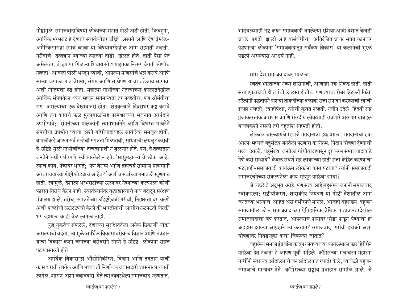गोष्टींमुळे समाजवादाविषयी लोकांच्या मनात मोठी अढी होती. किंबहुना, आर्थिक भरभराट हे देशाचे स्वातंत्र्योत्तर उद्दिष्टे असावे आणि देश इंग्लंड-अमेरिकेसारखा संपन्न व्हावा या विषयावरदेखील आम सहमती नव्हती. गरीबीचे तत्वज्ञान ज्याच्या त्याच्या तोंडी खेळत होते. हाती पैसा येत असेल तर, तो हपापा गिळल्याशिवाय सोडण्याइतका नि:संग वैरागी कोणीच नव्हता! आवली पोळी भाजून घ्यावी, आपल्या माणसांचे भले करावे आणि साऱ्या जगाला मात्र वैराग्य, संयम आणि साधेपण यांचा बडेजाव सांगावा अशी नीतिमत्ता रुढ होती. महात्मा गांधीच्या नेतृत्वाच्या काळातदेखील आर्थिक संपन्नतेला ध्येय म्हणून सर्वमान्यता तर नव्हतीच, पण श्रीमंतीचा राग असल्याचा एक देखावातरी होता. शेतकऱ्यांने दिवसभर कष्ट करावे आणि त्या कष्टाचे फळ मुलाबाळांसह परमेश्वराच्या भजनात आनंदाने उपभोगावे: संपत्तीच्या मालकांनी त्यागभावनेने आणि विश्वस्त भावनेने संपत्तीचा उपभोग घ्यावा अशी गांधीवादाबद्दल सार्वत्रिक समजूत होती. यापलीकडे जाऊन सर्व तऱ्हेची संपन्नता मिळवावी, साधनांची लयलूट करावी हे उद्दिष्टे मुळी गांधीजींच्या तत्वज्ञानाशी न जुळणारे होते. पण, हे तत्वाज्ञान जनतेने कधी गंभीरपणे स्वीकारलेले नव्हते. 'साधुमहात्म्यांचे ठीक आहे, त्यांचे काय, पंचावर भागते: पण वैराग्य आणि ब्रह्मचर्य सामान्य माणसांनी आचरावयाच्या गोष्टी थोड्याच आहेत?' अशीच सर्वांच्या मनातली खूणगाठ होती. त्यामुळे, देशाला भरभराटीच्या रस्त्यावर नेण्याच्या कल्पनेला कोणी फारसा विरोध केला नाही. स्वातंत्र्यानंतर युद्धाखात्याचे नाव बदलून सरंक्षण मंत्रालय झाले. तसेच, संपन्नतेच्या उद्दिष्टऐवजी गरीबी, निरक्षारता दूर करणे अशी शब्दांची लटलटपंची केली की भारतीयांची आधीच लटपटती विरक्ती भंग व्हायला काही वेळ लागला नाही.

युद्ध नुकतेच संपलेले, देशाच्या सुरक्षिततेला अनेक ठिकाणी धोका असल्याची वदंता. त्यामुळे आर्थिक विकासाबरोबरच विज्ञान आणि तंत्रज्ञान यांचा विकास करुन जगाच्या बरोबरीने राहणे हे उद्दिष्टे लोकांना सहज पटण्यासारखे होते.

आर्थिक विकासाठी औद्योगिकीरण, विज्ञान आणि तंत्रज्ञान यांची कास धरावी लागेल आणि मध्यवर्ती निर्णायक जबाबदारी शासनाला घ्यावी लागेल. शासन अशी जबाबदारी घेते त्या व्यवस्थेला समाजवाद म्हणतात.

भांडवलशाही नष्ट करुन समाजवादी बनलेल्या रशिया आदी देशात केवढी प्रचंड प्रगती झाली आहे यासंबंधीचा अतिरंजित प्रचार सतत कानावर पडणाऱ्या लोकांना 'समाजवादातून सर्वंकष विकास' या कल्पनेची भुरळ पडली असल्यास आश्चर्य नाही.

#### सारा देश समाजवादावर भाळला

स्वतंत्र भारताच्या नव्या शासनाची, आणखी एक निकड होती. हाती सत्ता एकवटावी ही त्यांची लालसा होतीच, पण त्याचबरोबर हिटलरी किंवा स्टॅलीनी पद्धतीपने पाशवी ताकदीच्या बळावर सत्ता संपादन करण्याची त्यांची इच्छा नव्हती; त्याहीपेक्षा, त्यांची कुवत नव्हती. नवीन उदेले हिंदवी राष्ट्र प्रजाकसत्ताक असणार आणि संसदीय लोकशाही रावणारे असणार याबदृल बावन्नकशी नसली तरी बहुतांश सहमती होती.

लोकतंत्र चालवायचे म्हणजे मतदानावा हक्क आला. मतदानाचा हक्क आला म्हणजे बहसंख्य जनतेला पटणारा कार्यक्रम, निदान घोषणा देण्याची गरज आली. बहुसंख्य जनतेला गांधीवादापासून दूर करुन समाजवादाकडे नेणे कसे साधावे? केवळ सवर्ण भद्र लोकांच्या हाती सत्ता केंद्रित करण्याचा भटशाही-समाजवादी कार्यक्रम लोकांना कसा पटावा? त्यांनी समाजवादी समाजरचनेच्या संकल्पनेला काय म्हणून पाठिंबा द्यावा?

जे घडले ते अद्भूत आहे, पण सत्य आहे बहुसंख्य जनांनी समाजवाद स्वीकारला; राष्ट्रीयीकरण, शासकीय नियंत्रण या गोष्टी देशातील आम जनतेच्या भल्याच आहेत असे गंभीरपणे मानले. आजही बहुसंख्य बहुजन समाजातील लोक समाजवादाच्या ऐतिहासिक वैश्विक पाडावानंतरदेखील समाजवादाचा जप करतात. आपल्याच पायावर धोंडा पाडून घेण्याचा हा अट्टहास इतक्या आग्रहाने का करतात? समाजवाद, गरीबी हटाओ अशा घोषणांवर निवडणूका कशा जिंकल्या जातात?

बहुसंख्य समाज इंग्रजांना काढून लावण्याच्या कार्यक्रमाला फार हिरीरीने पाठिंबा देत नव्हता हे आपण पूर्वी पाहिले. कॉंग्रेसच्या मंचावरुन महात्मा गांधींनी स्वराज्य आंदोलनाचे जनआंदोलपात रुपातर केले, त्यावेळी बहुजन समाजाचे मान्यवर नेते कॉंग्रेसच्या राष्ट्रीय प्रवाहात सामील झाले. जे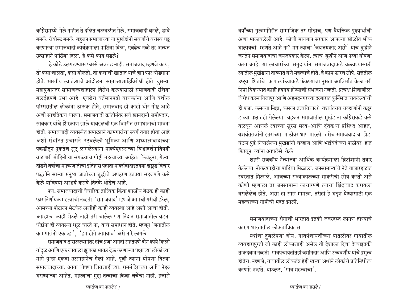कॉग्रेसमध्ये गेले नाहीत ते दलित चळवळीत गेले, समाजवादी बनले, डावे बनले, रॉयीस्ट बनले. बहजन समाजाच्या या मुखंडांनी सवर्णांचे वर्चस्व घट्ट करणाऱ्या समाजवादी कार्यक्रमाला पाठिंबा दिला, एवढेच नव्हे तर अत्यंत उत्साहाने पाठिंबा दिला. हे कसे काय घडले?

हे कोडे उलगडण्यास फारसे अवघड नाही. समाजवाद म्हणजे काय**.** तो कसा चालता, कसा बोलतो, तो कशाशी खातात याचे ज्ञान फार थोड्यांना होते. भारतीय स्वातंत्र्याचे आंदोलन साम्राज्यशाहिविरोधी होते. दुसऱ्या महायुद्धानंतर साम्राजज्यशाहीला विरोध करण्यासाठी समाजवादी रशिया बलदंडपणे उभा आहे एवढेच वर्तमानपत्री वाचकांना आणि येथील परिसरातील लोकांना ठाऊक होते: समाजवाद ही काही थोर गोष्ट आहे अशी साहतिकच धारणा. समाजवादी क्रांतीनंतर सर्व खानदानी जमीपदार**,** सावकार यांचे शिरकाण झाले याबद्दलची एक विपरीत समाधानाची भावना होती. समाजवादी व्यवस्थेत झपाट्याने कामगारांचा स्वर्ग तयार होतो आहे अशी संघटित प्रचाराने उठवलेली भूमिका आणि अध्यात्मवादाच्या पकडीतून नुकतेच सुटू लागलेल्यांना मार्क्यएंगल्सच्या विश्वादर्शनाविषयी वाटणारी मोहिनी या सगळ्याच गोष्टी महत्वाच्या आहेत; किंबहुना, गेल्या दीडशे वर्षांचा मनुष्यजातीचा इतिहास पहाता मार्क्सवादाइतक्या खल्लड विचार पद्धतीने साऱ्या मनुष्य जातीच्या बुद्धीचे अपहरण इतक्या सहजपणे कसे केले याविषयी आश्चर्य करावे तितके थोडेच आहे.

पण, समाजवादाची वैचारिक तात्विक किंवा शास्त्रीय बैठक ही काही फार निर्णायक महत्वाची नव्हती. 'समाजवाद' म्हणजे आमची गरीबी हटेल, आमच्या पोटाला भेटवेल अशीही काही व्यवस्था आहे अशी आशा होती. आम्हाला काही भेटले नाही तरी चालेल पण निदान समाजातील बड्या धेंडांना ही व्यवस्था धूळ चारते ना, याचे समाधान होते. म्हणून 'जगातील कामगारांनो एक व्हा $^{\prime}$ . 'हम होंगे कामयाब $^{\prime}$  असे नारे लागले.

समाजवाद ढासळल्यानंतर हीच प्रजा अगदी सहतपणे दोन रुपये किलो तांदुळ आणि एक रुपयाला झुणका भाकर देऊ करणाऱ्या पक्षाच्या लोकांच्या मागे पुन्हा एकदा उत्साहानेच गेली आहे. पूर्वी त्यांनी घोषणा दिल्या समाजवादाच्या, आता घोषणा शिवशाहीच्या, राममंदिराच्या आणि नेहरु घराण्याच्या आहेत. महत्वाचा मुद्दा तत्वाचा किंवा चर्चेचा नाही. हजारो वर्षांच्या गुलामगिरीत सामाजिक तर सोडाच, पण वैयक्तिक पुरुषार्थाची अशा मालावलेली आहे. कोणी मायबाप सरकार आपल्या झोळीत भीक घालायची म्हणते आहे ना? मग त्यांचा 'जयजयकार असो' याच बुद्धीने जनतेने समाजवादाचा जयजयकार केला. त्याच बुद्धीने आज नव्या घोषणा करत आहे. या लाचारांच्या समुदायांना समाजवादाकडे वळवण्यासाठी त्यातील मुखंडांना ताब्यात घेणे महत्वाचे होते. हे काम फारच सोपे. सत्तेतील उष्ट्या शितांचे कण त्यांच्याकडे फेकण्याचा नुसता आविर्भात केला तरी <u>निष्ठा विकण्यात काही हयगय होण्याची संभावना नव्हती. प्रत्यक्ष शिवाजीला</u> विरोध करुन विजापूर आणि अहमदनगरच्या दरबारात कुर्निसात घातलेल्यांची ही प्रजा. कसल्या निष्ठा, कसला तत्वविचार? यशवंतराव चव्हाणांनी कट्टर डाव्या पक्षांतही गेलेल्या बहुजन समाजातील मुखंडांना काँग्रेसकडे कसे वळवून आणले त्याच्या सुरस सत्य-आणि दंतकथा प्रसिध्द आहेत, यशवंतरावांनी इतरांच्या पाठीवर थाप मारली तसेच समाजवादाचा झेडा घेऊन पुढे निघालेल्या मुखडांनी चव्हाण आणि भाईबंदांच्या पाठीवर हात फिरवून त्यांना आपलेसे केले.

शहरी राजकीय नेत्यांच्या आर्थिक कार्यक्रमाला ब्रिटीशांनी तयार <u>केलेल्या नोकरशाहीचा पाठिंबा मिळाला. जनसामान्यांचे नेते बाजारहाटात</u> स्वस्तात मिळाले. आजच्या संध्याकाळच्या भाकरीची सोय करतो असे कोणी म्हणाला तर जनसामान्य लाचारपणे त्याचा झिंदाबाद करायला बसलेलेच होते. असा हा सारा मामला. तरीही हे घडून येण्यासाठी एक महत्त्वाच्या गोष्टीची मदत झाली.

समाजवादाच्या रोगाची भारतात इतकी जबरदस्त लागण होण्याचे कारण भारतातील लोकतांत्रिक स

स्थांचा दुबळेपणा होय. गावपंचायतींच्या पातळीवर गावातील व्यवहारापुरती जी काही लोकाशाही असेल ती देशाला दिशा देण्याइतकी ताकदवान नव्हती. गावपंचायतीतही जमीनदार आणि उच्चवर्णीय यांचे प्रभुत्व होतेच. म्हणजे, गावातील लोकतंत्र हेही खऱ्या अर्थाने लोकांचे प्रतिनिधीत्व करणारे नव्हते. याउलट, 'गाव महत्वाचा',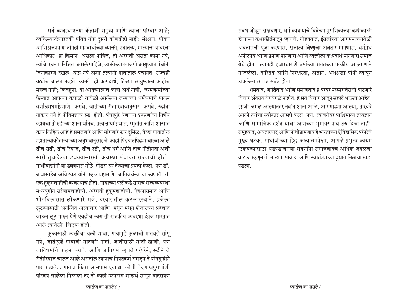सर्व व्यवस्थाएच्या केंद्राशी मनुष्य आणि त्याचा परिवार आहे; व्यक्तिस्वातंत्र्याइतकी पवित्र गोष्ट दुसरी कोणतीही नाही; संरक्षण, पोषण आणि प्रजनन या तीनही मानवार्थाच्या व्याक्ती, स्वातंत्र्य, मालमत्ता यांवरचा आधिकार हा किमान असला पाहिजे, तो अरेरावी असता कामा नये, त्यांचे स्वरुप निश्चित असले पाहिजे, व्यक्तीच्या खाजगी आयुष्यात पंचांनी विनाकारण दखल घेऊ नये अशा तत्वांनी गावातील पंचायत राज्यही कधीच चालत नव्हते. व्यक्ती ही क:पदार्थ, तिच्या आयुष्याला काहीच महत्व नाही; किंबहुना, या आयुष्यालाच काही अर्थ नाही, जन्मजन्मांच्या फेऱ्यात आपल्या कपाळी यावेळी आलेल्या जन्माच्या धर्मकर्माचे पालन वर्णाश्रमधर्माप्रमाणे करावे, जातीच्या रीतीरिवाजांनुसार करावे, रुढींना नाकारु नये हे नीतिमत्ताच रुढ होती. पंचापुढे येणाऱ्या प्रकरणांचा निर्णय ञ्हायचा तो रुढींच्या शास्त्रार्थानेच. प्रत्यक्ष धर्मग्रंथांत, स्मृतींत आणि शास्त्रांत काय लिहिल आहे हे समजणारे आणि सांगणारे फार दुर्मिळ, तेव्हा गावातील म्हाताऱ्याकोताऱ्यांच्या अनुभवानुसार जे काही पिढ्यानुपिढ्या चालत आले तीच रीती, तोच रिवाज, तीच रुढी, तोच धर्म आणि तीच नीतीमता अशी सारी तुंबलेल्या डबक्यासारखी अवस्था पंचायत राज्याची होती. गांधीवाद्यांनी या डबक्यास मोठे गोंडस रुप देण्याचा प्रयत्न केला, पण डॉ. बाबासाहेब आंबेडकर यांनी म्हटल्याप्रमाणे जातिवर्चस्व चालवणारी ती एक हुकूमशाहीची व्यवस्थाच होती. गावाच्या पलीकडे सारीच राज्यव्यवस्था मध्ययुगीन सरंजामशाहीची, अरेरावी हुकूमशाहीची. ऐषआरामात आणि भोगविलासात लोळणारे राजे, दरबारातील कटकारस्थाने, प्रजेला लूटण्यासाठी अनन्वित अत्याचार आणि मधून मधून शेजारच्या प्रदेशात जाऊन ऌूट मारुन येणे एवढीच काय ती राजकीय व्यवस्था इंग्रज भारतात आले त्यावेळी शिल्लक होती.

कुळासाठी व्यक्तीचा बळी द्यावा, गावापुढे कुळाची मातबरी सांगू नये, जातीपुढे गावाची मातबरी नाही. जातीसाठी माती खावी, पण जातिधर्माचे पालन करावे. आणि जातिधर्म म्हणजे परंपरेने, रुढीने जे रीतीरिवाज चालत आले असतील त्यांनाच नियतकर्म समजून ते योगबुद्धीने पार पाडावेत. गावात किंवा आसपास एखाद्या कोणी वेदशास्त्रपुराणांशी परिचय झालेला मिळाला तर तो काही उटपटांग शास्त्रर्थ सांगून बादरायण

संबंध जोडून दाखवणार. धर्म काय याचे विवेचन पुराणिकांच्या कधीकाळी होणाऱ्या कथाकीर्तनातून व्हायचे. थोडक्यात, इंग्रजांच्या आगमनाच्यावेळी अवतारांची पूजा करणारा, राजाला विष्णुचा अवतार मानणारा, धर्मग्रंथ अपौरुषेय आणि प्रमाण मानणारा आणि व्यक्तीला क:पदार्थ मानणारा समाज येथे होता. त्यातही हजारबाराशे वर्षांच्या सततच्या परकीय आक्रमणाने गांजलेला, दारिद्रय आणि निरक्षारता, अज्ञान, अंधश्रद्धा यांनी व्यापून  $\overline{C}$ कलेला समाज सर्वत्र होता.

धर्मवाद, जातिवाद आणि समाजवाद हे वरवर परस्परविरोधी वाटणारे विचार अंतराव वेगवेगळे नाहीत. हे सर्व विचार आतून सख्खे भाऊच आहेत. इंग्रजी अंमल आल्यानंतर नवीन शास्त्र आले, आगगाड्या आल्या, तारयंत्रे आली त्यांचा स्वीकार आम्ही केला. पण. त्याबरोबर पाश्चिमात्य तत्वज्ञान आणि सामाजिक दर्शन यांचा आमच्या भूमीवर पाय ठरु दिला नाही. समूहवाद, अवतारवाद आणि पोथीप्रामणाय हे भारताच्या ऐतिहासिक परंपरेचे मुख्य घटक. गांधीजींच्या हिंदु अध्यात्मापेक्षा, आपले प्रभुत्व कायम टिकवण्यासाठी धडपडाणाऱ्या सवर्णांना समाजवादच अधिक जवळचा वाटला म्हणून तो मान्यता पावला आणि स्वातंत्र्याच्या दुधात मिठाचा खडा पडला.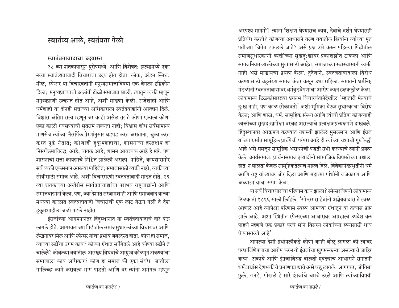## स्वातंत्र्य आले. स्वतंत्रता गेली

#### स्वातंत्रतावादाचा उदयास्त

१८ व्या शतकापासून युरोपमध्ये आणि विशेषत: इंग्लंडमध्ये एका नव्या स्वातंत्र्यतावादी विचाराचा उदय होत होता. लॉक, ॲडम स्मिथ, मील, स्पेन्सर या विचारवंतांनी मनुष्यसमाजाविषयी एक वेगळा दृष्टिकोन दिला; मनुष्यप्राण्याची उत्क्रांती टोळी समाजात झाली, त्यातून व्यक्ती म्हणून मनुष्यप्राणी उत्क्रांत होत आहे, अशी मांडणी केली. राजेशाही आणि धर्मशाही या दोनही सत्तांच्या अधिकाराला स्वतंत्रवाद्यांनी आव्हान दिले. विश्चास अंतिम सत्य म्हणून जर काही असेल तर ते कोणा एकाला कोणा एका काळी गवसण्याची सुतराम शक्यता नाही; विश्वास शोध सर्वसामान्य माणसेच त्यांच्या नैसर्गिक प्रेरणांनुसार धडपड करत असताना, चुका करत करत पुढे नेतात; कोणाही हकूमशहाचा, शासनाचा हस्तक्षेप हा निसर्गक्रमाविरुद्ध आहे, घातक आहे; शासन आवश्यक आहे हे खरे, पण शासनाची सत्ता कायद्याचे निश्चित झालेली असली पाहिजे. कायद्यासमोर सर्व व्यक्ती एकसमान असल्या पाहिजेत; समाजासाठी व्यक्ती नाही, व्यक्तीच्या सोयीसाठी समाज आहे. अशी विचारसरणी स्वतंत्रतावादी मांडत होते. १९ <u>व्या शतकाच्या अखेरीस स्वतंत्रतावाद्यांचा पराभव राष्टवाद्यांनी आणि</u> समाजवाद्यांनी केला. पण, ज्या देशात सरंजामशाही आणि समाजवाद यांच्या मधल्या काळात स्वतंत्रतावादी विचारांची एक लाट येऊन गेली ते देश हकूमशाहीला बळी पडले नाहीत.

इंग्रजांच्या आगमनानंतर हिंदुस्थानात या स्वतंत्रतावादाचे वारे येऊ लागले होते. आगरकरांच्या पिढीतील समाजसुधारकांच्या विचारावर आणि लेखनावर मिल आणि स्पेन्सर यांचा प्रभाव जबरदस्त होता. कोण हा समाज, <u>त्याच्या रुढींचा उगम काय? कोण्या ग्रंथात सांगितले आहे कोण्या रुढीने ते</u> चालेले? कोवळ्या वयातील असंख्य विधवांचे आयुष्य कोळपून टाकण्याचा समाजाला काय अधिकार? कोण हा समाज की एका संबंध जातीला गालिच्छ कामे करायला भाग पाडतो आणि वर त्यांना अमंगल म्हणून अस्पृश्य मानमो? त्यांना शिक्षण घेण्यासच काय, देवाचे दर्शन घेण्यासही प्रतिबंध करतो? कोणत्या आधाराने तरुण वयातील स्त्रियांना त्यांच्या मृत पतीच्या चितेत ढकलले जाते? असे प्रश्न उभे करुन पहिल्या पिढीतील समाजसुधारकांनी व्यक्तीच्या सुखदु:खावर प्रकाशझोत टाकला आणि समाजनियम व्यक्तीच्या सुखासाठी आहेत, समाजाच्या स्वास्थासाठी व्यक्ती नाही असे मांडायचा प्रयत्न केला. दुदैवाने, स्वतंत्रतावादाला विरोध करण्यासाठी बहुसंख्य समाज कंबर कसून उभा राहिला. समातनी धर्मनिष्ठ मंडळींनी स्वतंत्रतावाद्यांवर धर्मबुडवेपणाचा आरोप करुन हलकल्लोळ केला. लोकमान्य टिळकांसारख्या प्रगल्भ विचारवंतानेदेखील 'म्हातारी मेल्याचे दु:ख नाही, पण काळ सोकावतो<sup>'</sup> अशी भूमिका घेऊन सुधारकांचा विरोध केला; आणि शास्त्र, धर्म, सामूहिक संस्था आणि त्यांची प्रतिष्ठा कोणत्याही व्यक्तीच्या सुखदु:खापेक्षा वरचढ असल्याचे प्रत्यक्षअप्रत्यक्षपणे दाखवले. हिंदुस्थानवर आक्रमण करण्यात यशस्वी झालेले मुसलमान आणि इंग्रज यांच्या धर्मात सामूहिक प्रार्थपेची परंपरा आहे ही त्यांच्या यशाची गुरुकिल्ली आहे असे समजून सामूहिक अराधनेची पद्धती उभी करण्याचे त्यांनी प्रयत्न केले. आर्यसमाज, प्रार्थनासमाज इत्यादींनी सामाजिक विषमतेच्या प्रश्नाला हात) न घालता केवळ सामूहिकतेलाच महत्व दिले. विवेकानंदप्रभृतींनी धर्म आणि राष्ट्र यांच्यावर जोर दिला आणि महात्मा गांधींनी राजकारण आणि अध्यात्म यांचा संगम केला.

या सर्व विचारधारांचा परिणाम काय झाला? स्पेन्सरविषयी लोकमान्य टिळकांनी १८९६ साली लिहिले. 'स्पेन्सर साहेबांनी अज्ञेयवादास ते स्वरुप आणले आहे त्यापेक्षा परिणाम स्वरुप आमच्या ग्रंथातून या तत्वास प्राप्त झाले आहे. अशा स्थितीत स्पेन्सरच्या आधारावर आम्हाला उपदेश करु पाहणे म्हणजे एक प्रकारे घरचे सोने विसरुन लोकांच्या रुप्यासाठी धाव  $\overrightarrow{a}$ प्र्यासारखे आहे $'$ 

आपल्या देशी ग्रंथांपलीकडे कोणी काही बोलू लागला की त्यावर परधार्जिणेपणाचा आरोप करुन तो इंग्रजांचा खुषमस्कऱ्या असल्याचे जाहिर करुन टाकावे आणि इंग्रजांविरुद्ध बोलतो एवढ्याच आधाराने सनातनी धर्मवाद्यांस देशभक्तीचे प्रमाणपत्र द्यावे असे घडू लागले. आगरकर, जोतिबा फुले, रानडे, गोखले हे सारे इंग्रजांचे चमचे ठरले आणि त्यांच्याविषयी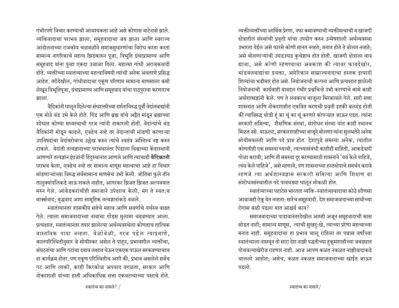गंभीरपणे विचार करण्याची आवश्यकता आहे असे कोणास वाटेनासे झाले. <u>व्यक्तिवादाचा पराभव झाला. सम</u>हवादाचा जय झाला आणि स्वराज्य आंदोलनाच्या राजकीय चळवळीने समाजसुधारणांचा विरोध करता करता सामान्य नागरिकाचे महत्व झिडकारुन पूजा, विभूति ग्रंथाप्रामाण्य आणि समूहवाद यांना पुन्हा एकदा उजाळा दिला. महात्मा गांधी अराजकवादी होते. व्यक्तीच्या स्वातंत्र्याच्या महत्वाविषयी त्यांची अनेक अवतरणे प्रसिद्ध आहेत. तरीदेखील, गांधीवादाचा एकूण परिणाम सामान्य माणसाला कमी लेखून विभूतिपूजा, ग्रंथप्रामाण्य आणि समूहवाद यांचा पाठपुरावा करणाराच झाला.

वैदिकांनी घाऌून दिलेल्या संघशक्तीच्या दर्शनाविरुद्ध पूर्वी वेदांतवाद्यांनी एक मोठे बंड उभे केले होते. पिंड आणि ब्रह्म यांचे अद्वैत मांडून ब्रह्माच्या शोधात कोण्या मध्यस्थाची गरज त्यांनी नाकारली होती. वेदांत्यांचे बंड वैदिकांनी मोडून काढले, एवढेच नव्हे तर वेदान्ताची मांडणी करणाऱ्या उपनिषदांचा वेदांबरोबरच उल्लेख करुन त्यांचे स्वतंत्र अस्तित्व नष्ट करुन टाकले. वेदांती तत्वज्ञानाच्या पराभवानंतर पिंडाला विश्वाच्या केंदरस्थानी आणणारे तत्वज्ञान इंग्रजांनी हिंदुस्थानात आणले आणि त्याचाही **वैदिकानी** पराभव केला, एवढेच नव्हे तर सामान्य माणूस महत्वाचा आहे हा विचार मांडणाऱ्यांच्या विरुद्ध सर्वसामान्य माणसेच उभी केली. जोतिबा फुले तीन तालुक्यांपलिकडे जाऊ शकले नाहीत, आगरकर झिजत झिजत अल्पवयात मरुन गेले. आंबेडकरांचीही समाजाने उपेक्षाच केली, मग ते स्वत:च मार्क्सवाद; बुद्धवाद अशा सामूहिक तत्वज्ञानांकडे वळले.

स्वातंत्र्यानंतर शासकीय सत्तेचे महत्व आणि सवर्णाचे वर्चस्व वाढत गेले. त्याला समाजवादाच्या नावाचा गोंडस मुलामा चढवण्यात आला. प्रत्यक्षात, स्वातंत्र्यानंतर तयार झालेल्या अर्थव्यवस्थेला कोणताच तात्विक वास्तविक पाया नव्हता. वेळोवेळी, गरज पडेल त्याप्रमाणे, कालपरिस्थितीनुसार जे सोयीस्कर असेल ते पाहन, प्रभावशील व्यक्तींचा, <u>संघटनांचा आणि गटांचा दबाव लक्षात घेऊन एकएक पाऊल सरकवण्याचाच</u> हा कार्यक्रम होता. पण एकूण परिस्थितीच अशी की, प्रभाव असलेले सर्वच गट आणि व्यक्ती, काही किरकोळ अपवाद वगळता, सरकार आणि नोकरशाही यांच्या हाती अधिकाधिक सत्ता एकवटण्याच्या पक्षाचे होते.

व्यक्तीव्यक्तींच्या आर्थिक प्रेरणा, नफा कमावण्याची व्यक्तीमत्वाची व खाजगी क्षेत्रातील संस्थांची प्रवृती यांचा उपयोग करुन उन्मेषशाली अर्थव्यवस्था उभारता येईल असे फारसे कोणी मानत नव्हते; मनात होते ते बोलत नव्हते; असे बोलणाऱ्यांची उघडउघड कुचेष्टाच होत होती. खाजगी क्षेत्राला वाव द्यावा, असे कोणी म्हणण्याचा अवकाश की त्यावर फायदेखोर, भांडवलवाद्यांचा प्रवक्ता, अमेरिकान साम्राज्यवादाचा हस्तक इत्यादी शिव्यांचा भडीमार होत असे. नियोजनाची कल्पना आणि प्रत्यक्षात झालेली नियोजनाची कार्यवाही याबद्दल गंभीर प्रश्नचिन्हे उभी करण्याचे कामे काही अर्थशास्त्रज्ञांनी केले. पण ते लवकरच बाजूला भिरकावले गेले. सारी सत्ता शासनात आणि नोकरशाहीत एकत्रित करणची प्रवृती इतकी बलदंड होती की त्याविरुद्ध थोडी हूं का चूं का चूं करणारे कोपऱ्यात जाऊन पडत. त्यांना सरकारी समित्या, शैक्षणिक संस्था, संशोधन संस्था यांत काही स्थानच मिळत नसे. याऊलट, सरकारशाहीच्या बाजूने बोलणाऱ्यांना सुलभतेने अनेक सोयीसवलती आणि पदे प्राप्त होत. देशापुढे समस्या अनेक, त्यातील कोणतीही एक समस्या घ्यावी, त्याच्यासंबंधी काहीही माहिती, आकडेवारी गोळा करावी; आणि ती समस्या दुर करण्यासाठी शासनाने 'यवं केले पाहिजे, त्यंव केले पाहिजे', असे म्हणावे, पण शासनाच्या हस्तक्षेपाचे समर्थन करावे म्हणजे त्या अर्थशास्त्रज्ञास सरकारी समित्या आणि शिक्षण वा संशोधनसंस्थातील पदे पायघड्या घालून मोकळी होत.

स्वातंत्र्याच्या पहाटेस भारतता व्यक्ति-स्वातंत्र्यावादाचा कोठे क्षीणसा आवाजही ऐकू येत नव्हता: सारेच समूहवादी. देश समाजवादाच्या साथीच्या रोगास बळी पडला यात आश्चर्य काय?

समाजवादाच्या पाडावानंतरदेखील आम्ही अजून समूहवादाची कास सोडत नाही; सामान्य माणूस, त्याची सुखदु:खे, त्याच्या प्ररेणा महत्वाच्या मनात नाही. समूहवादाचा हा प्रभाव चालू राहिला तर पन्नास वर्षांच्या स्वातंत्र्याला नासवून तो सारा देश नाझी पद्धतीच्या हुकूमशाहीच्या जबड्यात पोचवल्याखेरीज राहणार नाही. आज आपण कळत नकळत नाझीवादाकडे चाललो आहोत; असेच, कळत नकळत समाजवादाच्या खाईत जाऊन पडलो.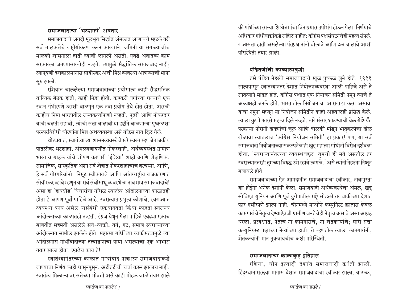#### समाजवादाचा $\,$ 'भटशाही $\,$ ' अवतार

समाजवादाचे अगदी मूलभूत सिद्धांत अंमलात आणायचे म्हटले तरी सर्व मालकत्तेचे राष्ट्रीयीकरण करुन कारखाने, जमिनी या सगळ्यांचीच मालकी शासनाला हाती घ्यावी लागली असती. एवढे अवाढव्य काम सरकारला जमण्यासारखेही नव्हते. त्यामुळे सैद्धांतिक समाजवाद नाही; त्याऐवजी देशकालमानास सोयीस्कर अशी मिश्र व्यवस्था आणण्याची भाषा सुरु झाली.

रशियात चाललेल्या समाजवादाच्या प्रयोगाला काही सैद्धसंतिक तात्विक बैठक होती; काही निष्ठा होती. कष्टकरी वर्गाच्या राज्याचे एक स्वप्न गंभीरपणे उराशी बाळगून एक नवा प्रयोग तेथे होत होता. असली काहीच निष्ठा भारतातील राज्यकर्त्यांपाशी नव्हती, पुढरी आणि नोकरदार यांची चलती राहावी, त्यांची सत्ता चालावी या दृष्टीने चालणाऱ्या पुष्कळशा परस्परविरोधी धोरणांना मिश्र अर्थव्यवस्था असे गोंडस नाव दिले गेले.

थोडक्यात, स्वातंत्र्याच्या शासनव्यवस्थेचे खरे स्वरुप म्हणजे राजकीय पातळीवर भटशाही, अंमलबजावणीत नोकरशाही, अर्थव्यवस्थेत ग्रामीण भारत व ग्राहक यांचे शोषण करणारी 'इंडिया' शाही आणि शैक्षणिक, सामाजिक, सांस्कृतिक अशा सर्व क्षेत्रात नोकरशाहीचाच वरचष्मा. आणि, हे सर्व गोरगरिबांनी निमूट स्वीकारावे आणि आंतरराष्ट्रीय राजकारणात सोयीस्कर व्हावे म्हणून या सर्व संधीसाधू व्यवस्थेला नाव मात्र समाजवादाचे! असा हा 'हायब्रीड' विचारांचा गोंधळ स्वातंत्र्य आंदोलनाच्या काळातही होता हे आपण पूर्वी पाहिले आहे. स्वरात्यात प्रभुत्व कोणाचे, स्वराज्यात व्यवस्था काय असेल यासंबंधी एकवाक्यता किंवा स्पष्टता स्वराज्य आंदोलनाच्या काळातही नव्हती. इंग्रज येथून गेला पाहिजे एवढ्या एकाच बाबतीत सहमती असलेले सर्व-व्यक्ती, वर्ग, गट, समाज स्वराज्याच्या आंदोलनात सामील झालेले होते. महात्मा गांधींच्या व्यक्तीमत्वामुळे त्या आंदोलनास गांधींवादाच्या तत्वाज्ञानाचा पाया असल्याचा एक आभास तयार झाला होता. एवढेच काय ते!

स्वातंत्र्यानंतरच्या काळात गांधीवाद नाकारुन समाजवादाकडे जाण्याचा निर्णय काही घासूनपुसून, अटीतटीची चर्चा करुन झालाच नाही. स्वातंत्र्य मिळाल्यावर सत्तेच्या भोवती असे काही मोहक जाळे तयार झाले की गांधींच्या साऱ्या शिष्येत्तमांचा विनापयास तपोभंग होऊन गेला. निर्णयाचे <u>अधिकार गांधीवाद्यांकडे राहिले नाहीत: काँग्रेस पक्षसंघटनेचेही महत्व संपले.</u> राज्यसत्ता हाती असलेल्या पंतप्रधानांनी बोलावे आणि दळ चालावे आशी परिस्थिती तयार झाली.

## पंडितजींची काव्यात्मबद्धी

तसे पंडित नेहरुंचे समाजवादाचे खूळ पुष्कळ जुने होते. १९३१ सालापासून स्वातंत्र्यानंतर देशात नियोजनव्यवस्था आली पाहिजे असे ते सातत्याने मांडत होते. काँग्रेस पक्षात एक नियोजन समिती नेमून त्याचे ते अध्यक्षही बनले होते. भारतातील नियोजनाचा आराखडा कसा असावा याचा नमुना म्हणून या नियोजन समितीने काही अहवालही प्रसिद्ध केले. त्याला कुणी फारसे महत्व दिले नव्हते. खरे संसार थाटण्याची वेळ येईपर्यंत परकऱ्या पोरींनी खड्यांची चूल आणि बोळकी मांडून भातुकलीचा खेळ <u>खेळावा त्यातलाच 'कॉंग्रेस नियोजन समिती' हा प्रकार! पण, या सर्व</u> समाजवादी नियोजनाच्या संकल्पनेलाही खुद्द महात्मा गांधींनी विरोध दर्शवला होता. 'स्वराज्यानंतरच्या व्यवस्थेबद्दल तुमची ही मते असतील तर स्वराज्यानंतरही तुमच्या विरुद्ध उभे रहावे लागले.' असे त्यांनी नेहरुंना निक्षून बजावले होते.

समाजवादाच्या ऐन आमदानीत समाजवादाचा स्वीकार, नावापुरता का होईना अनेक देशांनी केला. समाजवादी अर्थव्यवस्थेचा अंमल, खुद्द सोविएत युनियन आणि पूर्व युरोपातील राष्ट्रे सोडली तर बाकीच्या देशात फार गंभीरपणे झाला नाही. चीनमध्ये माओने कम्युनिस्ट क्रांतीस केवळ कामगारांचे नेतृत्व देण्याऐवजी ग्रामीण जनतेचेही नेतृत्व असावे असा आग्रह धरला. प्रत्यक्षात, नेतृत्व ना कामगारांचे, ना शेतकऱ्यांचे; सारी सत्ता कम्युनिरुस्ट पक्षाच्या नेत्यांच्या हाती; ते म्हणतील त्याला कामगारांनी, शेतकऱ्यांनी मान तुकवायचीच अशी परिस्थिती.

## समाजवादाचा काळाकुट्ट इतिहास

रशिया, चीन इत्यादी देशांत समाजवादी क्रांती झाली. हिंदुस्थानासरख्या मागास देशात समाजवादाचा स्वीकार झाला. याउलट,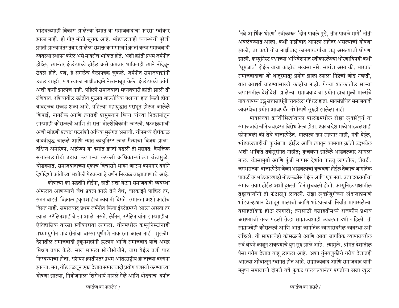'नवे आर्थिक धोरण' स्वीकारुन 'दोन पावले पुढे, तीन पावले मागे' नीती अवलंबण्यात आली. कधी नाझीवाद आपला सहोदर असल्याची घोषणा झाली, तर कधी तोच नाझीवाद कामगारवर्गाचा शत्रू असल्याची घोषणा झाली. कम्युनिस्ट पक्षाच्या अधिवेशनात स्वीकारलेल्या धोरणांविषयी कधी 'घूमजाव' होईल याचा काहीच भरवसा नसे. सारांश असा की, भारतात समाजवादाचा जो थातूरमातूर प्रयोग झाला त्याला निष्ठेची जोड नव्हती, यात आश्चर्य वाटण्यासारखे काहीच नाही. गेल्या शतकातील साऱ्या जगभरातील देशोदेशी झालेल्या समाजवादाचा प्रयोग हाच मुळी मार्क्सचे नाव वापरुन उल्लू सत्तासाधूंनी घातलेला गोंधळ होता. मार्क्सप्रणित समाजवादी व्यवस्थेचा प्रयोग आजपर्यंत गंभीरपणे सुरुही झालेला नाही.

मार्क्सच्या क्रांतीसिद्धांताला पोलंडमधील रोझा लुक्झेंबुर्ग या समाजवादी स्त्रीने जबरदस्त विरोध केला होता. एकाच देशामध्ये भांडवलशाही फोफावली की तेथे बाजारपेठेत. मालाला खप राहणार नाही. मंदी येईल. भांडवलशाहीची कुचंबणा होईल आणि त्यातून कामगार क्रांती उद्भवेल अशी भाकिते तर्कसुसंगत नाहीत; कुचंबणा झालेले भांडवलदार आपला माल, यंत्रसामुग्री आणि पुंजी मागास देशांत पाठवू लागतील; शेवटी, जगभराच्या बाजारपेठेप जेव्हा भांडवलाची कुचंबणा होईल तेव्हाच जागतिक पातळीवर भांडवलशाही मोडकळीस येईल आणि एक नवा, उत्पादकवर्गाचा समाज तयार होईल अशी दुरुस्ती तिनं सुचवली होती. कम्युनिस्ट पक्षातील ढुड्ढाचार्यानी ती फेटाळून लावली. रोझा लुक्झेंबुर्गच्या अंदाजाप्रमाणे भांडवलप्रधान देशातून मालाची आणि भांडवलाची निर्यात मागासलेल्या वसाहतींकडे होऊ लागली; त्यासाठी वसाहतींमध्ये राजकीय प्रभाव असण्याची गरज पडली तेव्हा साम्राज्यशाही व्यवस्था उभी राहिली. ती साम्राज्येही कोसळली आणि आता जागतिक व्यापारावरील व्यवस्था उभी राहिली. ती साम्राज्येही कोसळली आणि आता जागतिक व्यापारावरील सर्व बंधने काढून टाकण्याचे युग सुरु झाले आहे. त्यामुळे, श्रीमंत देशातील पैसा गरीब देशात वाहू लागला आहे. अशा गुंमवणुकीचे गरीब देशातही आरत्या ओवाळून स्वागत होत आहे. साम्राज्यवाद आणि समाजवाद यांनी मनुष्य समाजाची दोनशे वर्षे फुकट घालवल्यानंतर प्रगतीचा रस्ता खुला

भांडवलशाही विकास झालेल्या देशात या समाजवादाचा फारसा स्वीकार झाला नाही, ही गोष्ट मोठी सूचक आहे. भांडवलशाही व्यवस्थेची पुरेशी प्रगती झाल्यानंतर तयार झालेला सशक्त कामगारवर्ग क्रांती करुन समाजवादी व्यवस्था स्थापन करेल असे मार्क्सचे भाकित होते. अशी क्रांती प्रथम जर्मनीत होईल, त्यानंतर इंग्लंडमध्ये होईल असे क्रमवार भाकितही त्याने नोंदवून ठेवले होते. पण, हे सगळेच वेळापत्रक चुकले. जर्मनीत समाजवाद्यांनी उचल खाल्ली, पण त्याला नाझीवादाने नेस्तनाबूत केले. इंग्लंडमध्ये क्रांती अशी कशी झालीच नाही. पहिली समाजवादी म्हणवणारी क्रांती झाली ती रशियात. रशियातील क्रांतीत मुळात बोल्शेविक पक्षाचा हात किती होता याबद्दलच सज्जड शंका आहे. पहिल्या महायुद्धात पराभूत होऊन आलेले शिपाई, नागरीक आणि त्यातही प्रामुख्याने स्त्रिया यांच्या निदर्शनांतून झारशाही कोसळली आणि ती सत्ता बोल्शेविकांनी लाटली. घटनाक्रमाची अशी मांडणी प्रत्यक्ष घटनांशी अधिक सुसंगत असावी. चीनमध्ये दीर्घकाळ यादवीयुद्ध चालले आणि त्यात कम्युनिस्ट लाल सैन्याचा विजय झाला. दक्षिण अमेरिका, अफ्रिका या देशांत क्रांती घडली ती मुख्यत: वैयक्तिक सत्तालालपोटी उटाव करणाऱ्या लष्करी अधिकाऱ्यांच्या बंडामुळे. थोडक्यात, समाजवादाच्या एकाच विचाराने भारुन जाऊन कामगार वर्गाने देशोदेशी क्रांतीच्या मशीली पेटवल्या हे वर्णन निव्वळ वाह्यातपणाचे आहे.

कोणत्या का पद्धतीने होईना, हाती सत्ता घेऊन समाजवादी व्यवस्था अंमलात आणण्याचे जेथे प्रयत्न झाले तेथे तेथे, बारकाईने पाहिले तर, सतत वाढती विक्राळ हुकूमशाहीच काय ती दिसते. समानता अशी काहीच दिसत नाही. समाजवाद प्रथम जर्मनीत किंवा इंग्लंडमध्ये आला असता तर त्याला स्टॅलिनशाहीचे रुप आले नसते. लेनिन, स्टॅलिन यांना झारशाहीचा ऐतिहासिक वारसा स्वीकारावा लागला. चीनमधील कम्युनिस्टांनाही मध्यमयुगीन मांदारीनांचा वारसा पूर्णपणे नाकारता आला नाही. मुस्लीम देशातील समाजवादी हुकूमशहांनी इस्लाम आणि समाजवाद यांचे अभद्र मिश्रण तयार केले. सारा मामला सोयीसोयीने, वारा येईल तशी पाठ फिरवण्याचा होता. रशियन क्रांतीनंतर प्रथम आंतरराष्ट्रीय क्रांतीच्या बल्गना झाल्या. मग, तोंड वळवून एका देशात समाजवादी प्रयोग यशस्वी करण्याच्या घोषणा झाल्या, नियोजनाला शिरोधार्य मानले गेले आणि थोड्याच वर्षात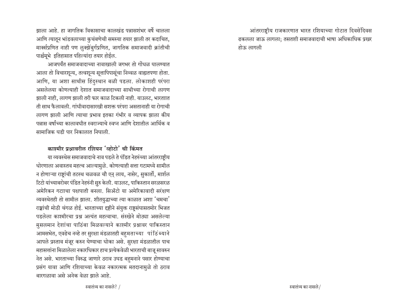झाला आहे. हा जागतिक विकासाचा कालखंड पन्नासशंभर वर्षे चालला आणि त्यातून भांडवलाच्या कुचंबणेची समस्या तयार झाली तर कदाचित**.** मार्क्सप्रणित नाही पण लुक्झेंबुर्गप्रणित, जागतिक समाजवादी क्रांतीची पार्श्वमूभे इतिहासात पहिल्यांदा तयार होईल.

आजपर्यंत समाजवादाच्या नावाखाली जगभर तो गोंधळ घालण्यात आला तो विचारशून्य, तत्वशून्य सूत्तापिपासूंचा निव्वळ वाह्यतपणा होता. आणि, या अशा साथीस हिंदुस्थान बळी पडला. लोकाशही परंपरा असलेलया कोणत्याही देशात समाजवादाच्या साथीच्या रोगाची लागण झाली नाही, लागण झाली तरी फार काळ टिकली नाही. याउलट, भारताात ती साथ फैलावली. गांधीवादासारखी सशक्त परंपरा असतानाही या रोगाची लागण झाली आणि त्याचा प्रभाव इतका गंभीर व व्यापक झाला कीय पन्नास वर्षांच्या कालावधीत स्वराज्याचे स्वप्न आणि देशातील आर्थिक व सामाजिक घडी पार निकालात निघाली.

#### काश्मीर प्रश्रावरील रशियन $\,$ ंक्रोटो $\,$  ची किंमत $\,$

या व्यवस्थेस समाजवादाचे नाव पडले ते पंडित नेहरुंच्या आंतरराष्ट्रीय धोरणाला अवास्तव महत्त्व आल्यामुळे. कोणत्याही सत्ता गटामध्ये सामील न होणाऱ्या राष्ट्रांची तटस्थ चळवळ चौ एन् लाय, नासेर, सुकार्तो, मार्शल टिटो यांच्याबरोबर पंडित नेहरुंनी सुरु केली. याउलट, पाकिस्तान सरळसरळ अमेरिकन गटााचा पक्षपाती बनला. सिॲटो या अमेरिकावादी सरंक्षण व्यवस्थेतही तो सामील झाला. शीतयुद्धाच्या त्या काळात अशा 'चमचा' राष्ट्रांची मोठी चंगळ होई. भारताच्या दृष्टीने संयुक्त राष्टसंघासतमोर भिजत पडलेला काश्मीरचा प्रश्न अत्यंत महत्वाचा. संस्खेने मोठ्या असलेल्या मुसलमान देशांचा पाठिंबा मिळवल्याने काश्मीर प्रश्नावर पाकिस्तान आमसभेत, एवढेच नव्हे तर सुरक्षा मंडळातही बहुमताच्या पांठिं ब्याने आपले प्रस्ताव मंजूर करुन घेण्याचा धोका असे. सुरक्षा मंडळातील पाच महासत्तांना मिळालेला नकारधिकार हाच प्रत्येकवेळी भारताची बाजू सावरुन नेत असे. भारताच्या विरुद्ध जाणारे ठराव उघड बहुमनाने पसार होण्याचा प्रसंग यावा आणि रशियाच्या केवळ नकारत्मक मतदानामुळे तो ठराव बारगळावा असे अनेक वेळा झाले आहे.

आंतरराष्ट्रीय राजकारणात भारत रशियाच्या गोटात दिवसेंदिवस ढकलला जाऊ लागला; तसतशी समाजवादाची भाषा अधिकाधिक प्रखर होऊ लागली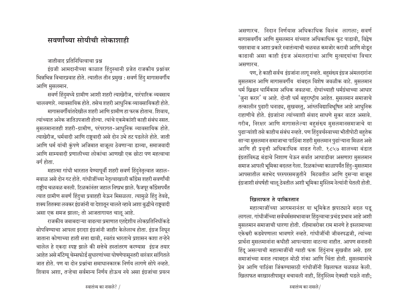## सवर्णांच्या सोयीची लोकाशाही

#### जातीवाद प्रतिनिधित्वाचा प्रश्न

इंग्रजी आमदानीच्या काळात हिंदुस्थानी प्रजेत राजकीय प्रश्नांवर भिन्नभिन्न विचारप्रवाह होते. त्यातील तीन प्रमुख : सवर्ण हिंदु मागासवर्गीय आणि मुसलमान.

सवर्ण हिंदुमध्ये ग्रामीण आशी शहरी त्याखेरीज, पारंपारिक व्यवसाय चालवणारे. व्यावसायिक होते. तसेच शहरी आधुनिक व्यावसायिकही होते. मागासवर्गीयांतदेखील शहरी आणि ग्रामीण हा फरक होताच. शिवाय. त्यांच्यात अनेक जातिउपजाती होत्या. त्यांचे एकमेकांशी काही संबंध नसत. मुसलमानातही शहरी-ग्रामीण, परंपरागत-आधुनिक व्यावसायिक होते. त्याखेरीज, धर्मवादी आणि राष्टवादी असे दोन उभे तट पडलेले होते. जाती आणि धर्म यांची कुंपणे अजिबात बाजूला ठेवणाऱ्या डाव्या, समाजवादी आणि साम्यवादी प्रणालीच्या लोकांचा आणखी एक छोटा पण महत्वाचा वर्ग होता.

महात्मा गांधी भारतात येण्यापूर्वी शहरी सवर्ण हिंदुनेतृत्वात जहाल-मवाळ असे दोन गट होते. गांधीजींच्या नेतृत्वाखाली कॉॅंग्रेस शहरी सवर्णांची राष्ट्रीय चळवळ बनली. टिळकांनंतर जहाल निष्प्रभ झाले. फैजपूर कॉॅंग्रेसपर्यंत त्यात ग्रामीण सवर्ण हिंदुचा प्रवाहही येऊन मिसळला. त्यामुळे हिंदु तेवढे, शक्य तितक्या लवकर इंग्रजांनी या देशातून चालते व्हावे अशा बुद्धीचे राष्ट्रवादी असा एक समज झाला; तो आजतागायत चालू आहे.

राजकीय जबाबदाऱ्या वाढत्या प्रमाणात एतद्देशीय लोकप्रतिनिधींकडे सोपविण्याचा आपला इरादाा इंग्रजांनी जाहीर केलेलाच होता. इंग्रज निघून जाताना कोणाच्या हाती सत्ता द्यावी, स्वतंत्र भारताचे प्रशासन कशा तऱ्हेने चालेल हे एकदा स्पष्ट झाले की सत्तेचे हस्तांतरण करण्यास इंग्रज तयार आहेत असे मॉटेग्यू चेम्सफोर्ड सुधारणांच्या घोषणेपासूनतरी वारंवार सांगितले जात होते. पण या दोन प्रश्नांचा समाधानकारक निर्णय लागणे सोपे नव्हते. शिवाय अशा, तऱ्हेचा सर्वमान्य निर्णय होऊच नये असा इंग्रजांचा प्रयत्न असणारच. निदान निर्णयास अधिकाधिक विलंब लागला; सवर्ण मागासवर्गीय आणि मुसलमान यांच्यात अधिकाधिक फुट पाडावी, विद्वेष पसरवावा व अशा प्रकारे स्वातंत्र्याची चळवळ कमजोर करावी आणि मोडून काढावी असा काही इंग्रज अंमलदारांचा आणि मुत्सद्दयांचा विचार असणारच.

पण, हे काही सर्वच इंग्रजांना लागू नव्हते. बहुसंख्य इंग्रज अंमलदारांना मुसलमान आणि मागासवर्गीय यांबद्दल विशेष जवळीक वाटे. मुसलमान धर्म ख्रिश्चन धार्मिकास अधिक जवळचा. दोघांच्याही धर्मग्रंथाच्या आधार 'जुना करार' च आहे. दोन्ही धर्म बहुराष्ट्रीय आहेत. मुसलमान समाजाचे तत्कालीन पुढारी धनाढ्य, सुखवस्तु, आंग्लविद्याविभूषित आहे आधुनिक राहाणीचे होते. इंग्रजांाना त्यांच्याशी संवाद साधणे सुकर वाटत असावे. गरीब, निरक्षर आणि मागासलेल्या बहसंख्य मुसलमानसमाजाचे या पुढाऱ्यांशी तसे काहीच संबंध नव्हते. पण हिंदुवर्चस्वाच्या भीतीपोटी बहुतेक साऱ्या मुसलमान समाजाचा पाठिंबा शहरी मुसलमान पुढांऱ्याना मिळत असे आणि ही प्रवृत्ती अधिकाधिक वाढत गेली. १८५७ सालच्या बंडात इंग्रतांविरुद्ध बंडाचे निशाण घेऊन सर्वात आघाडीवर असणारा मुसलमान समाज आपली भूमिका बदलत गेला. टिळकांच्या काळापर्यंत हिंदु-मुसलमान आपसातील मतभेद परस्परसमजुतीने मिटवतील आणि दुसऱ्या बाजूस इंग्रजाशी संघर्षही चालू ठेवतील अशी भूमिका मुस्लिम नेत्यांनी घेतली होती.

## खिलाफत ते पाकिस्तान

महात्माजींच्या आगमनानंतर या भूमिकेत झपाट्याने बदल घडू लागला. गांधीजींच्या सर्वधर्मसमभावावर हिंदुत्वाचा प्रचंड प्रभाव आहे अशी मुसलमान समाजाची धारणा होती. रहिमाबरोबर राम मानणे हे इस्लामाच्या एकेश्वरी कडवेपणाला भावणारे नव्हते. गांधीजींची जीवनपद्धजी, त्यांच्या प्रार्थना मुसलमानांना कधीही आपल्याशा वाटल्या नाहीत. आपण सनातनी हिंदू असल्याची महात्माजींची ग्वाही फक्त हिंदुंनाच सुखवीत असे. इतर समाजांच्या मनात त्याबद्दल मोठी शंका आणि चिंता होती. मुसलमानांचे प्रेम आणि पाठिंबा जिंकण्यासाठी गांधीजींनी खिलाफत चळवळ केली. खिलाफत बरखास्तीपासून बचावली नाही, हिंदुस्लिम ऐक्यही घडले नाही;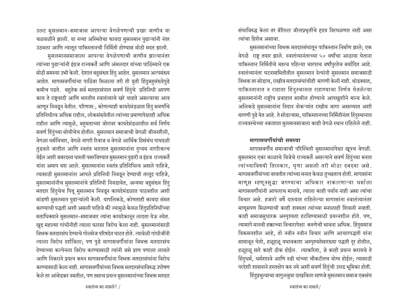उलट मुसलमान-समाजास आपल्या वेगळेपणाची प्रखर जाणीव या चळवळीने झाली. या नव्या अस्मितेचा फायदा मुसलमान पुढाऱ्यांनी नंतर उठवला आणि त्यातून पाकिस्तानची निर्मिती होण्यास मोठी मदत झाली.

मुसलमानसमाजाला आपल्या वेगळेपणाची जाणीव झाल्यानंतर त्यांच्या पुढाऱ्यांनी इंग्रज राज्यकर्ते आणि अंमलदार यांच्या पाठिंब्याने एक मोठी समस्या उभी केली. देशात बहुसंख्य हिंदु आहेत. मुसलमान अल्पसंख्य आहेत. मागासवर्गीयांचा पाठिंबा मिळाला तरी ती युती हिंदुबहसंख्येपुढे कमीच पडते. बहुतेक सर्व मतदारसंघात सवर्ण हिंदुंचे प्रतिनिधी आपण काय ते राष्टवादी आणि भारतीय स्वातंत्र्याचे खरे चाहते असल्याचा आव आणून निवडून येतील. परिणाम:, कोणत्याही कायदेमंडळात हिंदु सवर्णांचे प्रतिनिधीत्व अधिक राहील, लोकसंख्येतील त्यांच्या प्रमाणापेक्षाही अधिक राहील आणि त्यामुळे, बहमताच्या जोरावर कायदेमंडळातील सर्व निर्णय सवर्ण हिंदुंच्या सोयीचेच होतील. मुसलमान समाजाची वेगळी जीवनशैली, वेगळा धर्मविचार, वेगळे नागरी रिवाज व वेगळे आर्थिक हिसंबंध पायदळी तुडवले जातील आणि स्वतंत्र भारतात मुसलमानांना दुय्यम नागरिकत्च येईल अशी जबरदस्त धास्ती पसरविण्यात मुसलमान पुढारी व इंग्रज राज्यकर्ते यांना अमाप यश आले. मुसलमानांना स्वतंत्र प्रतिनिधित्व असले पाहिजे, त्यासाठी मुसलमानांना आपले प्रतिनिधी निवडून देण्याची तरतूद पाहिजे, मुसलमानांनीच मुसलमानांचे प्रतिनिधी निवडावेत, अन्यथा बहुसंख्य हिंदु मतदार हिंदुचेच पित्तू मुसलमान निवडून कायदेमंडळात पाठवतील अशी मांडणी मुसलमान पुढाऱ्यांली केली. यापलिकडे, कोणताही कायदा संमत करण्याची पद्धती अशी असली पाहिजे की ज्यामुळे केवळ हिंदुप्रतिनिधींच्या मताधिक्याने मुसलमान-समाजवार त्यांना कायदेकानून लादता येऊ नयेत. खुद्द महात्मा गांधीनीही त्याला फारसा विरोध केला नाही. मुसलमानांसाठी विभक्त मतदारसंघ देण्याचे गोलमेज परिषदेत घाटत होते. त्यावेळी गांधीजींनी त्याला विरोध दर्शविला; पण पुढे मागासवर्गीयांना विभक्त मतदारसंघ देण्याच्या कल्पेनला विरोध करण्यासाठी त्यांनी जसे प्राण पणाला लावले आणि निकराने प्रयत्न करुन मागासवर्गीयांना विभक्त मतदारसंघांना विरोध करण्यासाठी केला नाही. मागासवर्गीयांच्या विभक्त मतदारसंघाविरुद्ध उपोषण केले तर आंबेडकर नमतील, पण तसाच प्रयत्न मुसलमानांच्या विभक्त मतदार संघाविरुद्ध केला तर बॅरिस्टर जीनाप्रभृतींचे ह्दय विरघळणार नाही असा त्यांचा हिशेब असावा.

मुसलमानांच्या विभक्त मतदारसंघातून पाकिस्तान निर्माण झाले; एक वेगळे राष्ट्र तयार झाले. स्वातंत्र्यानंतरच्या ५० वर्षांचा आठावा घेताना पाकिस्तान निर्मितीचे महत्व पहिल्या चारपाच वर्षांपुरतेच मर्यादित आहे. स्वातंत्र्यानंतर घटनासमितीतील मुसलमान नेत्यांनी मुसलमान समाजसाठी विभक्त तर सोडाच, राखीव मतदारसंघांचीही मागणी केली नाही. थोडक्यात, पाकिस्तानात न राहाता हिंदुस्थानात राहाण्याचा निर्णय घेतलेल्या मुसलमानांनी राष्ट्रीय प्रवाहात सामील होण्याचे आपखुशीने मान्य केले. अलिकडे मुसलमानांना निदान नोकऱ्यांत राखीव जागा असाव्यात अशी मागणी पुढे येत आहे. ते सोडल्यास, पाकिस्तानच्या निर्मितीनंतर हिंदुस्थानात राज्यवस्थेच्या नकाशात मुलमानसाजला काही वेगळे स्थान राहिलेले नाही.

#### मागासवर्गीयांची समस्या

मागासवर्गीय समाजाची परिस्थिती मुसलमानांपेक्षा खूपच वेगळी. मुसलमान एका काळाचे विजेचे राज्यकर्ते असल्याने सवर्ण हिंदुंच्या मनात त्यांच्याविषयी तिरस्कार, घृणा असली तरी मोठा दबदबा असे. मागासवर्गीयांच्या बाबतीत त्यांच्या मनात केवळ तुच्छताच होती. मागासांना माणूस म्हणूनसुद्धा जगण्याचा अधिकार नाकारणाऱ्या धर्माला मागासवर्गीयांनी आपलाच मानावे, त्याला काही पर्याय नाही असा त्यांचा विचार असे. हजारो वर्षे दास्यात राहिलेल्या मागासांना स्वातंत्र्यानंतर माणूसपण मिळण्याची काही शक्यता त्यांच्या मनालाही शिवली नव्हती. काही समाजसुधारक अस्पृश्यता हटविण्यासाठी प्रयत्नशील होते. पण, त्यामागे मानवी हक्काच्या विचारापेक्षा करुणेची भावना अधिक. हिंदसमाज विकसनशील आहे, तो नवीन नवीन विचार आणि आचारपद्धती यांना सामावून घेतो, हळूहळू यथावकाश अस्पृश्यतेसारख्या पद्धती दूर होतील, हळूहळू सारे काही ठीक होईल. त्याकरिता, जे काही प्रयत्न करायचे ते हिंदुधर्म, धर्मशास्त्रे आणि रुढी यांच्या चौकटीतच योग्य होईल; त्यासाठी परदेशी शासनाने हस्तक्षेप करु नये अशी सवर्ण हिंदुंची उघड भूमिका होती. हिंदुप्रभुत्वाचा बागुलबुवा दाखविला म्हणजे मुसलमान समाज एकसंघ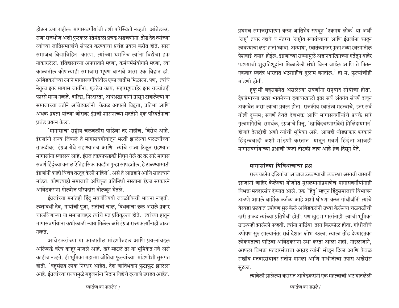होऊन उभा राहील; मागासवर्गीयांची तशी परिस्थिती नव्हती. आंबेडकर, राजा राजभोज अशी फुटकळ नेतेमंडळी प्रचंड अडचणींना तोड देत त्यांच्या त्यांच्या जातिसमाजांचे संघटन करण्याचा प्रचंड प्रयत्न करीत होते. सारा समाजच विद्याविहिन. कारण. त्यांच्या धर्मानेच त्यांना विद्येचा हक्क नाकारलेला. इतिहासाच्या अपघाताने म्हणा, कर्मधर्मसंयोगाने म्हणा, त्या काळातील कोणत्याही समाजास भूषण वाटावे असा एक विद्वान डॉ. आंबेडकरांच्या रुपाने मागासवर्गीयांतील एका जातीस मिळाला. पण, त्यांचे नेतृत्व इतर मागास जातींना, एवढेच काय, महाराष्ट्राबाहेर इतर राज्यांतही फारसे मान्य नव्हते. दारिद्य, निरक्षारता, अधंश्रद्धा यांनी ग्रासून टाकलेल्या या समाजाच्या वतीने आंबेडकरांनी केवळ आपली विद्वत्ता. प्रतिभा आणि अथक प्रयत्न यांच्या जोरावर इंग्रजी शासनाच्या मदतीने एक परिवर्तनाचा प्रचंड प्रयत्न केला.

'मागासांचा राष्टीय चळवळीस पाठिंबा तर नाहीच, विरोध आहे. इंग्रजांनी राज्य जिंकले ते मागासवर्गीयांतून भरती झालेल्या पलटणींच्या ताकदीवर. इंग्रज येथे राहाण्यातच आणि त्यांचे राज्य टिकून राहण्यात मागासांना स्वारस्य आहे. इंग्रज तडकाफडकी निघुन गेले तर तर सारे मागास सवर्ण हिंदुंच्या कराल ऐतिहासिक पकडीत पुन्हा सापडतील, हे टाळण्यासाठी इंग्रजांनी काही विशेष तरतूद केली पाहिजे'. असे ते आग्रहाने आणि सातत्याने मांडत. कोणत्याही समाजाचे अधिकृत प्रतिनिधी नसताना इंग्रज सरकारने आंबेडकरांना गोलमेज परिषदांस बोलवून घेतले.

इंग्रजांच्या मनांतही हिंदु सवर्णविषयी जवळीकिची भावना नव्हती. लक्षावधी देव, गायींची पूजा, सतीची चाल, विधवांचा छळ असले प्रकार चालविणाऱ्या या समाजाबद्दल त्यांचे मत प्रतिकूलच होते. त्यांच्या हातून मागासवर्गीयांना कधीकाळी न्याय मिळेल असे इंग्रज राज्यकर्त्यांनाही वाटत नव्हते.

आंबेडकरांच्या या काळातील मांडणीबद्दल आणि प्रयत्नांबद्दल अलिकडे बरेच काहर माजले आहे. खरे म्हटले तर या भूमिकेत नवे असे काहीच नव्हते. ही भूमिका महात्मा जोतिबा फुल्यांच्या मांडणीशी सुसंगत होती. 'बहसंख्य लोक निरक्षर आहेत, देश जातिभेदाने फुटाफूट झालेला आहे, इंग्रजांच्या राज्यामुळे बहुजनांना निदान विद्येचे दरवाजे उघडत आहेत,

प्रथमच समाजसुधारणा करुन जातिभेद संपवून 'एकमय लोक' या अर्थी 'राष्ट्र' तयार व्हावे व नंतरच 'राष्ट्रीय स्वातंत्र्याचा आणि इंग्रजांना काढून लावण्याचा लढा हाती घ्यावा. अन्याथा, स्वातंत्र्यानंतर पुन्हा नव्या स्वरुपातील पेशवाई तयार होईल, इंग्रजांच्या राज्यामुळे अज्ञानदारिद्याच्या गर्तेतून बाहेर पडण्याची शुद्रातिशूद्रांना मिळालेली संधी विरुन जाईल आणि ते फिरुन एकवार स्वतंत्र भारतात भटशाहीचे गुलाम बनतील.' ही म. फुल्यांचीही मांडणी होती.

हुकू मी बहुसंख्येत असलेल्या सवर्णांना राष्ट्रवाद सोयीचा होता. देशप्रेमाच्या प्रखर भावनेच्या दबावाखाली इतर सर्व अंतर्गत संघर्ष दाबून टाकावेत असा त्यांचा प्रयत्न होता. राजकीय स्वातंत्र्य महत्वाचे, इतर सर्व गोष्टी दुय्यम; सवर्ण तेवढे देशभक्त आणि मागासवर्गीयांचे प्रवक्ते सारे गुलामगिरीचे समर्थक, इंग्रजांचे पित्तू, 'खाविंदचरणारविंदी मिलिंदायमान' होणारे देशद्रोही अशी त्यांची भूमिका असे. आजही थोड्याफार फरकाने हिंदुत्ववादी अशी मांडणी करतात. यातून सवर्ण हिंदुंना आजही मागासवर्गीयांच्या प्रश्नाची किती तोटकी जाण आहे हेच दिसून येते.

### मागासांच्या विविधत्वाचा पश्र

राज्यघटनेत दलितांचा आवाज उठवण्याची व्यवस्था असावी यासाठी इंग्रजांनी जाहिर केलेल्या योजनेत मुसलमानांप्रमाणेच मागासवर्गीयांनाही विभक्त मतदारसंघ देण्यात आले. एक 'हिंदु' म्हणून हिंदुसमाजाचे विभाजन टाळणे आपले धार्मिक कर्तव्य आहे अशी घोषणा करुन गांधीजींनी त्यांचे येरवडा प्रख्यात उपोषण सुरु केले आंबेडकरांनी उभ्या केलेल्या चळवळीची खरी ताकद त्यांच्या प्रतिभेची होती. पण खुद्द मागासांनाही त्यांची भूमिका ठाऊकही झालेली नव्हती. त्यांना पाठिंबा तसा किरकोळ होता. गांधीजींचे उपोषण सुरु झाल्यानंतर सर्व देशात क्षोभ उठला. त्याला तोंड देण्याइतका लोकमताचा पाठिंबा आंबेडकरांना उभा करता आला नाही. नाइलाजाने, आपला विभक्त मतदारसंघाचा आग्रह त्यांनी सोडून दिला आणि केवळ राखीव मतदारसंघावर संतोष मानला आणि गांधीजींचा उपास अखेरीस सुटला.

त्यावेळी झालेल्या करारात आंबेडकरांनी एक महत्वाची अट घातलेली

स्वातंत्र्य का नासले/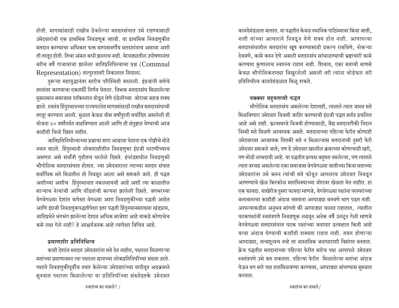होती. मागासांसाठी राखीव ठेवलेल्या मतदारसंघात उभे राहण्यासाठी उमेदवारांची एक प्राथमिक निवडणुक व्हावी. या प्राथमिक निवडणुकीत मतदान करण्याचा अधिकार फक्त मागासवर्गीय मतदारांनाच असावा अशी ती तरतूद होती. तिचा अंमल कधी झालाच नाही. येरवड्यातील उपोषणानंतर बरीच वर्षे गाजावाजा झालेला जातिप्रनिधित्वाचा प्रश्न (Commnal Representation) तात्पुरतातरी निकालात निघाला.

हुसऱ्या महायुद्धानंतर सारीच परिस्थिती बदलली. इंग्रजांनी सत्तेचे हस्तांतर करण्याचा एकतर्फी निर्णय घेतला. विभक्त मतदारसंघ मिळालेल्या <u>मु</u>सलमान समाजास पाकिस्तान तोडून घेणे दंडेलीच्या जोरावर सहज शक्य झाले. स्वतंत्र हिंदुस्थानच्या राज्यघटनेत मागासांसाठी राखीव मतदारसंघाची तरतूर करण्यात आली. मुळात केवळ वीस वर्षांपुरती मर्यादित असलेली ही योजना ४० वर्षांपर्यत वाढविण्यात आली आणि ती संपुष्टात येण्याची आज काहीही चिन्हे दिसत नाहीत.

जातिप्रतिनिधीत्वाच्या प्रश्नाचा सारा आढावा घेताना एक गोष्टीचे मोठे नवल वाटते. हिंदुस्थानी लोकशाहीतील निवडणुका इंग्रजी धाटणीच्याच असणार असे सर्वांनी गृहीतच धरलेले दिसते. इंग्लंडमधील निवडणुकी <u>भौगोलिक मतदारसंघात होतात. ज्या उमेदवाराला त्याच्या मतदार संघात</u> सर्वाधिक मते मिळतील तो निवडून आला असे समजले जाते. ही पद्धत अशीच्या अशीच हिंदुस्थानात नकलवायची आहे अशी त्या काळातील साऱ्याच नेत्यांची आणि पंडितांची कल्पना झालेली दिसते. जगभरच्या वेगवेगळ्या देशांत यापेक्षा वेगळ्या अशा निवडणुकीच्या पद्धती आहेत आणि इंग्रजी निवडणुकपद्धतीपेक्षा इतर पद्धती हिंदुस्थानसारख्या खंडप्राय, जातिप्रथेने भंगभंग झालेल्या देशात अधिक साजेशा आहे याकडे कोणाचेच कसे लक्ष गेले नाही? हे आश्चर्यजनक आहे त्यापेक्षा विचित्र आहे.

### प्रमाणशीर प्रतिनिधित्व

काही देशांत मतदार उमेदवारांना मते देत नाहीत, पक्षाला मिळणाऱ्या <u>मतांच्या प्रमाणावरुन त्या पक्षाला द्यायच्या लोकप्रतिनिधींच्या संख्या ठरते.</u> पक्षाने निवडणुकीपूर्वीच तयार केलेल्या उमेदवारांच्या यादीतून अग्रक्रमाने सुरुवात पक्षाला मिळालेल्या या प्रतिनिधींच्या संख्येइतके उमेदवार कायदेमंडळात जातात. या पद्धतीत केवळ स्थानिक पाठिंब्यावर किंवा जाती, नाती यांच्या आधाराने निवडून येणे शक्य होत नाही. आपापल्या मतदारसंघातील मतदारांना खूष करण्यासाठी प्रकल्प राबविणे, नोकऱ्या देववणे, कामे करुन देणे असली मतदारसंघ सांभाळण्याची भ्रष्टाचारी कामे करण्यात कुणालाच स्वारस्य राहात नाही. शिवाय, एका मताची माणसे केवळ भौगोलिकदष्ट्या विखुरलेली असली तरी त्यांना थोडेफार तरी प्रतिनिधीत्व कायदेमंडळात मिळू शकते.

### पक्क्या बहुमताची पद्धत

भौगोलिक मतदारसंघ असलेल्या देशातही, त्यातले त्यात जास्त मते <u>मिळविणारा उमेदवार विजयी जाहिर करण्याची इंग्रजी पद्धत सर्वत्र प्रचलित</u> आहे असे नाही. फ्रान्समध्ये विजयी होण्यासाठी, वैद्य मतदानापैकी निदान निम्मी मते मिळणे आवश्यक असते. मतदानाच्या पहिल्या फेरीत कोणाही उमेदवारास आवश्यक तितकी मते न मिळाल्यास मतदानाची दुसरी फेरी उमेदवार समजले जाते; पण हे उमेदवार खालील क्रमाच्या कोणत्याही खरी, पण मोठी लाभदायी आहे. या पद्धतीत प्रत्यक्ष बहुमत नसलेल्या, पण त्यातले त्यात वरचढ असलेल्या एका समाजास वेगवेगळ्या जातीच्या किंवा मताच्या उमेदवारांना उभे करुन त्यांची मते फोडून आपलाच उमेदवार निवडून आणण्याचे खेळ किरकोळ मताधिक्याच्या जोरावर खेळता येत नाहीत. हा एक फायदा. याखेरीज दुसरा फायदा म्हणजे, वेगवेगळ्या पक्षांना परस्परांच्या बलाबलाचा काहीही अंदाज नसताना आघाड्या बनवणे भाग पडत नाही. आपल्याकडील अनुभव सांगतो की आघाड्या चालत राहातात, त्यातील घटकपक्षांनी स्वतंत्रपणे निवडणूक लढवून अनेक वर्षे उलटून गेली म्हणजे वेगवेगळ्या मतदारसंघात घटक पक्षांच्या जनाधार प्रत्यक्षात किती आहे याचा अंदाज घेण्याची काहीही शक्यता राहात नाही. तयार होणाऱ्या आघाड्या, तत्वशून्यच नव्हे तर वास्तविक जनाधाराशी विसंगत बनतात. <u>फ्रेंच पद्धतीत मतदानाच्या पहिल्या फेरीत सारेच पक्ष आपापले उमेदवार</u> स्वतंत्रपणे उभे करु शकतात. पहिल्या फेरीत मिळालेल्या मतांचा अंदाज घेऊन मग सारे पक्ष हातमिळवण्या करण्यास, आघाड्या बांधण्यास सुरुवात करतात.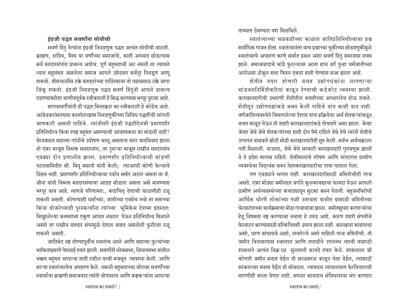## जातिभेद नष्ट होण्यापूर्वीच स्वातंत्र्य आले आणि महात्मा फुल्यांच्या

शकली असती.

इंग्रजी पद्धत सवर्णांना सोयीची

सवर्ण हिंदु नेत्यांना इंग्रजी निवडणुक पद्धत अत्यंत सोयीची वाटली.

ब्राह्मण, क्षत्रिय, वैश्य या वर्णांच्या समाजांचे, काही अपवाद सोडल्यास

सर्व मतदारसंघांत प्राबल्य आहेच. पूर्ण बहमताची अट नसली तर त्यातले

त्यात बहुसंख्य असलेला समाज आपले उमेदवार सर्वदूर निवडूण आणू

शकतो. तीसचाळीस टक्के मतदारांच्या पाठिंब्यावर तो पन्नाससाठ टक्के जागा

जिंकू शकतो. इंग्रजी निवडणूक पद्धत सवर्ण हिंदुंनी आपले प्राबल्य

राहाण्याकरिता जाणीवपूर्वक स्वीकारली हे सिद्ध करण्यास भरपूर पुरावा आहे.

आंबेडकरांसारख्या कायदेतज्ज्ञास निवडणुकीच्या विविध पद्धतींची चांगली

जाणकारी असली पाहिजे. त्यांनीतरी इंग्रजी पद्धतीऐवजी प्रमाणशीर

प्रतिनिधीत्व किंवा स्पष्ट बहुमत असण्याची आवश्यकता का मांडली नाही? येरवड्यात महात्मा गांधीचे उपोषण चालू असताना सारा वादविवाद झाला

तो एका बाजूस विभक्त मतदारसंघ, तर दुसऱ्या बाजूस राखीव मतदारसंघ

एवढ्या दोन प्रणालीत झाला. प्रमाणशीर प्रतिनिधीत्वाची मांडणी

घटनासमितीत श्री. मिनू मसानी यांनी केली; त्याआधी कोणी केल्याचे

दिसत नाही. प्रमाणशीर प्रतिनिधीत्वाचा पर्याय समोर आला असता तर बॅ.

जीना यांनी विभक्त मतदारसंघाचा आग्रह सोडला असता असे मानण्यास

भरपूर वाव आहे. म्हणजे परिणामत:, कदाचित् देशाची फाळणीही टळू

किंवा योजनेच्याही पुरस्कर्त्यांना त्यांच्या भूमिकेस देशभर इतस्तत:

विखुरलेल्या जनमताचा एकूण आधार लक्षात घेऊन प्रतिनिधीत्व मिळाले

असते तर राखीव मतदार संघांमुळे देशात वाढत असलेली फुटीरता टळू

मागासवर्गीयांनी ही पद्धत बिनतक्रार का स्वीकारली हे कोडेच आहे.

भाकिताप्रमाणे पेशवाई तयार झाली. सवर्णांनी लोकसभा, विधानसभा यांतील भक्कम बहुमत आपल्या हाती राहील याची मजबूत व्यवस्था केली. आणि साऱ्या स्वातंत्र्याचेच अपहरण केले. नकली बहुमताच्या जोरावर सवर्णांच्या स्वार्थाचा बाह्मणी समाजवाद त्यांनी जोपासला आणि कष्टकऱ्यांना आपल्या

शकली असती. कोणत्याही धर्माच्या, जातीच्या एवढेच नव्हे तर मताच्या

ताब्यात ठेवण्यात यश मिळविले.

स्वातंत्र्याच्या चळवळीच्या काळात जातिप्रतिनिधीत्वाचा प्रश्न सर्वाधिक गाजत होता. स्वातंत्र्यानंतर याच प्रश्नाच्या चुकीच्या सोडवणुकीमुळे स्वातंत्र्याचे अपहरण करणे सर्वात प्रबल अशा सवर्ण हिंदु समाजास शक्य झाले. समाजवादाचे भांडे फुटल्यावर आता हाच वर्ग पुन्हा धर्मजातीच्या आरोळ्या ठोकून सत्ता फिरुन एकदा हाती घेण्यास सज्ज झाला आहे.

शेतीत तयार होणारी बचत उद्योगधंद्यांना लागणाऱ्या भांडवलनिर्मितीकरितां काढून नेण्याची कडेकोट व्यवस्था झाली. कारखानदारीची उभारणी शेतीतील बचतीच्या आधारानेच होऊ शकते. शेतीतून उद्योगधंद्यांकडे बचत केली पाहिजे यांत काही वाद नाही. वर्णजातिव्यवस्थेने विभागलेल्या देशात याच प्रक्रियेचा अर्थ शेतकऱ्यांकडून बचत काढून घेऊन ती शहरी कारखानदारांकडे पोचवणे असा झाला. जेव्हा जेव्हा जेथे जेथे शेतकऱ्यांच्या हाती दोन पैसे राहिले तेथे तेथे त्यांनी शेतीचे उत्पादन वाढवले छोटी मोठी कारखानदारीही सुरु केली. सर्वच अर्थचक्राला गती मिळाली. याउलट, जेथे जेथे सरकारी कारखानदारी गुतवणुक झाली ते ते प्रदेश मागास राहिले. शेतीमालाचे शोषण आणि परंपरागत ग्रामीण व्यवस्थेचा विदुध्वंस करुन नेहरुकरखानदारीचा पाया घातला गेला.

पण एवढ्याने भागत नाही. कारखानदारीसाठी जमिनीचीही गरज असते. एका मोठ्या जमीनदार वर्गाने कूळकायद्याचा फायदा घेऊन आपली ग्रामीण अर्थव्यवस्थेच्या कचाट्यातून सुटका करुन घेतली. बहुजनविरोधी आर्थिक धोरणे लोकांच्या गळी उतरवता यावीत यासाठी जमिनीच्या फेरवाटपाच्या कार्यक्रमाचा मोठा गाजावाजा झाला. जमीतसुधार करणाऱ्यांचा हेतू विषमता नष्ट करण्याचा नव्हता हे उघड आहे. कारण शहरी संपत्तीचे फेरवाटप करण्यासाठी यत्किंचितही प्रयत्न झाला नाही. कारखाना काढायचा असो. धरण बांधायचे असो. रस्तारेल्वे असो पाहिली गरज जमिनीची. ती जमीन विनासायास स्वस्तात आणि तातडीने उपलब्ध व्हावी यासाठी शासनाने अत्यंत विक्राळ सुलतानी कायदे तयार केले. शासनाला जी कोणती जमीन मनात येईल ती सरळसरळ काढून घेता येईल, त्यासाठी सरकारच्या मनास येईल तो मोबदला. त्याबदल न्यायालयात फेरविचाराची मागणीही करता येणार नाही. सगळा कायदाच संविधानाचा भंग करणारा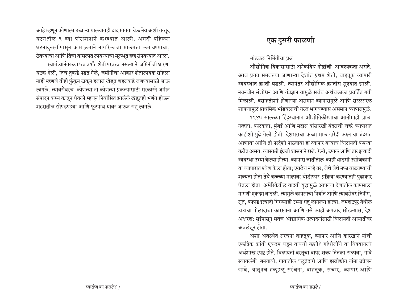आहे म्हणून कोणाला उच्च न्यायालयातही दाद मागता येऊ नेय अशी तरतूद घटनेतील ९ व्या परिशिष्टाने करण्यात आली. अगदी पहिल्या घटनादुरुस्तीपासून क्र माक्रमाने नागरिकांचा मालमत्ता कमावण्याचा, ठेवण्याचा आणि तिची वासलात लावण्याचा मूलभूत हक्क संपवण्यात आला. स्वातंत्र्यानंतरच्या ५० वर्षांत शेती परवडत नसल्याने जमिनींची धारणा घटक गेली, तिचे तुकडे पडत गेले, जमीनीचा आकार शेतीलायक राहिला नाही म्हणजे तीही फ़ुंकून टाकून हजारो खेडूत शहराकडे जणण्यासाठी जाऊ लागले. त्याबरोबरच कोणत्या ना कोणत्या प्रकल्पासाठी सरकारने जमीन संपादन करुन काढून घेतली म्हणून निर्वासित झालेले खेडूतही भणंग होऊन शहरातील झोपडपट्टया आणि फूटपाथ यावर जाऊन राह् लागले.

## एक दुसरी फाळणी

भांडवल निर्मितीचा प्रश्र

औद्योगिक विकासासाठी अनेकविध गोष्टींची आवश्यकता असते. आज प्रगत समजल्या जाणाऱ्या देशांत प्रथम शेती, वाहतूक व्यापारी व्यवस्थात क्रांती घडली. त्यानंतर औद्योगिक क्रांतीस सुरुवात झाली. नवनवीन संशोधन आणि तंत्रज्ञान यामुळे सर्वच अर्थचक्राला प्रवर्तित गती मिळाली. वसाहतींशी होणाऱ्या असमान व्यापारामुळे आणि सरळसरळ शोषणामुळे प्राथमिक भांडवलाची गरज भागवण्यास असमान व्यापारामुळे.

१९४७ सालच्या हिंदुस्थानात औद्योगिकीरणाचा आनोमाही झाला नव्हता. कलकत्ता, मुंबई आणि मद्रास यांसारखी बंदराची शहरे व्यापारात काहीशी पुढे गेली होती. देशभराचा कच्चा माल खरेदी करुन या बंदरांत आणावा आणि तो परदेशी पाठवावा हा व्यापार बऱ्याच विलायती कंपन्या करीत असत. त्यासाठी इंग्रजी शासनाने रस्ते, रेल्वे, टपाल आणि तार इत्यादी व्यवस्था उभ्या केल्या होत्या. व्यापारी जातीतील काही धाडसी उद्योजकांनी या व्यापारात प्रवेश केला होता; एवढेच नव्हे तर, जेथे जेथे नफा वाढवण्याची शक्यता होती तेथे कच्च्या मालावर थोडीफार प्रक्रिया करण्यातही पढाकार घेतला होता. अमेरिकेतील यादवी युद्धामुळे आपल्या देशातील कापसाला मागणी एकदम वाढली. त्यामुळे कापसाची निर्यात आणि त्याबरोबर जिनींग, सूत, कापड इत्यादी गिरण्याही उभ्या राहू लागल्या होत्या. जमशेटपूर येथील टाटाचा पोलादाचा कारखाना आणि तसे काही अपवाद सोडल्यास, देश अक्षरश: सुईपासून सर्वच औद्योगिक उत्पादनांसाठी विलायती आयातीवर अवलंबन होता.

अशा अवस्थेत सरंचना वाहतूक, व्यापार आणि कारखाने यांची एकत्रिक क्रांती एकदम घडून यायची कशी? गांधीजींचे या विषयावरचे अर्थशास्त्र स्पष्ट होते. विलायती वस्तूचा वापर शक्य तितका टाळावा, गावे स्वावलंबी बनवावी, गावातील बलुतेदारी आणि हस्तोद्योग यांना उत्तेजन द्यावे, यातूनच हळूहळू सरंचना, वाहतूक, संचार, व्यापार आणि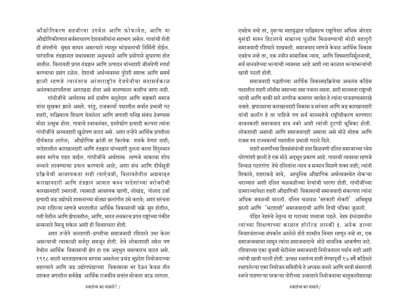औद्योगिकरण सहजीत्या उगवेल आणि फोफावेत; आणि या औद्योगिकीरणात सर्वसाधारण देशवासीयांना सहभाग असेल. गावांची शेती ही संपत्तीचे मुख्य साधन असल्याने त्यातून भांडवलाची निर्मिती होईल. पारंपारिक तंत्रज्ञानात यथावकाश अनुभवाने आणि प्रयोगाने सुधारणा होत जातील. विलायती प्रगत तंत्रज्ञान आणि उत्पादन यांच्याशी जीवघेणी स्पर्धा करण्याचा प्रसंग टळेल. देशाची अर्थव्यवस्था पुरेशी सशक्त आणि समर्थ झाली म्हणजे त्यानंतरच आंतरराष्ट्रीय देवघेवीचा सदासर्वकाळ अनंतकाळापर्यंतचा आराखडा होता असे मानण्याला काहीच जागा नाही.

गांधीजींचे अर्थशास्त्र सर्व ग्रामीण बलुतेदार आणि कष्टकरी समाज यांना सुखकर झाले असते. परंतु, राजकर्त्या पक्षातील सर्वात प्रभावी गट शहरी, पाश्चिमात्य शिक्षण घेतलेला आणि जगाशी घनिष्ठ संबंध ठेवण्यास मोठा उत्सुक होता. गावाचे स्वावलंबन, ग्रातोद्योग इत्यादी कल्पना त्यांना गांधीजींचे अव्यवहारी खुळेपण वाटत असे. अशा तऱ्हेने आर्थिक प्रगतीला दीर्घकाळ लागेल; औद्योगिक क्रांती तर कित्येक शतके येणार नाही; परदेशातील कारखानदारी आणि तंत्रज्ञान यांच्याशी तुलना करता हिंदुस्थान सतत मागेच पडत जाईल. गांधीजींचे अर्थशास्त्र म्हणजे चाकाचा शोध नव्याने लावण्याचा प्रयत्न करण्याचे आहे; अशा संथ आणि दीर्घसूत्री प्रक्रियेची आवश्यकता नाही त्याऐवजी, विलायतेतील अद्ययाव्त कारखानदारी आणि तंत्रज्ञान आयात करुन परदेशांच्या बरोबरीची कारखानदारी उभारावी. त्यासाठी आवश्यक खाणी, लोखंड, पोलाद उर्जा इत्यादी जड उद्योधंदे शासनाच्या मोठ्या छलांगीत उभे करावे; अशा सरंचना उभ्या राहिल्या म्हणजे भारतातील आर्थिक विकासाची चक्रे सुरु होतील. गती घेतील आणि झेपावतील; आणि, भारत लवकरच प्रगत राष्ट्रांच्या पंक्तीत सन्मानाने मिरवू शकेल अशी ही विचारधारा होती.

अशा तऱ्हेने जलदगती-प्रगतीचा समाजवादी रशियाने उभा केला असल्याची त्याकाळी सर्वदूर समजून होती. तेथे लोकाशाही नसेल पण तेथील आर्थिक विकासाची झेप हा एक अद्भुत चमत्कारच वाटत असे. १९१८ साली भारताइतकाच मागास असलेला प्रचंड भूप्रदेश नियोजनाच्या सहाय्याने आणि जड उद्योगधंद्याच्या विकासावर भर देऊन केवळ तीन दशकत जगातील सर्वश्रेष्ठ आर्थिक राजकीय सत्तांत मोजला जाऊ लागला.

एवढेच नव्हे तर, दुसऱ्या महायुद्धात पाश्चिमात्य राष्ट्रांपेक्षा अधिक जोरदार मुसंडी मारुन हिटलरचे साम्राज्य धुळीस मिळवण्याची मोठी बहादुरी समाजवादी रशियाने दाखवली. समाजवाद म्हणजे केवळ आर्थिक विकास एवढेच नव्हे तर, एक नवीन सामाजिक न्याय, आणि विषमतानिर्मूलनाची, सर्व मानवतेच्या भल्याची व्यवस्था आहे अशी त्या काळात भल्याभल्यांची खात्री पटली होती.

समाजवादी पद्धतीच्या आर्थिक विकासप्रक्रियेचा अवलंब कॉॅंग्रेस पक्षातील शहरी लॉबीस जसाच्या तसा पचला नसता. सारी मालमत्ता राष्ट्राची व्हावी आणि बाकी सारे नागरिक कामगार व्हावेत हे त्यांना परवडण्यासारखे नव्हते. झपाट्याचा कारखानदारी विकास व सरंचना आणि जड कारखानदारी यांची छलॉग हे तर पाहिजे पण सर्व मालमत्तेचे राष्टीयीकरण मागणारा बावनकशी समाजवाद मात्र नको अशी त्यांची दुटप्पी भूमिका होती. लोकशाही असावी आणि समाजवादही असावा असे मोठे मोहक आणि राजस रुप राज्यकर्त्या पक्षातील प्रभावी गटाने दिले.

शहरी सवर्णांच्या हितसंबंधांची हात मिळवणी दलित समाजाच्या ध्येय धोरणांशी झाली हे एक मोठे अद्भूत प्रकरण आहे. गावाची व्यवस्था म्हणजे निव्वळ गटारगंगा तेथे दलितांना न्याय व सन्मान मिळणे शक्य नाही; त्यांनी शिकावे, शहराकडे जावे, आधुनिक औद्यागिक अर्थव्यवस्थेत नोकऱ्या धराव्यात अशी दलित चळवळीच्या नेत्यांची धारणा होती. गांधीजींच्या गामराज्यापेक्षा शहरी औद्यागिकी विकासाची समाजवादी संकल्पपा त्यांना अधिक जवळची वाटली. दलित चळवळ 'सरकारी नोकरी' अभिमुख झाली आणि 'भटशाही' समाजवादाची आणि तिची पत्रिका जुळली.

पंडित नेहरुंचे नेतृत्व या गटाच्या पथ्यावर पडले. नेहरु इंग्लंडमधील त्यांच्या शिक्षाणाच्या काळात हॉरॉल्ड लास्की इ. अनेक डाव्या विचारवंताच्या संपर्कात आलेले होते शास्त्रीय विचार म्हणून नव्हे तर, एक समाजव्यवस्था म्हमून त्यांना समाजवादाचे मोठे भावनिक आकर्षणा वाटे. रशियाच्या एका जुजबी भेटीनंतर समाजवादी नियोजनाला पर्याय नाही अशी त्यांची खात्री पटली होती. प्रत्यक्ष स्वातंत्र्य हाती येण्यापूर्वी १७ वर्षे काँग्रेसने स्थापलेल्या एका नियोजन समितीचे ते अध्यक्ष बनले आणि भावी संसाराची स्वप्ने पाहणाऱ्या परकऱ्या पोरीच्या उत्साहाने नियोजनाचा भातुकलीसारखा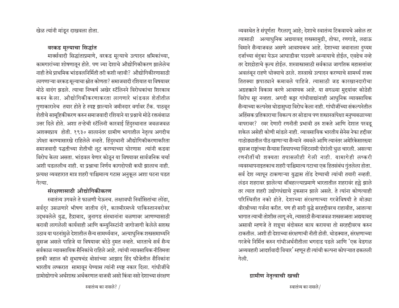खेळ त्यांनी मांडून दाखवला होता.

## वरकड मूल्याचा सिद्धांत

मार्क्सवादी सिद्धांताप्रमाणे, वरकड मूल्याचे उत्पादन श्रमिकांच्या, कामगारांच्या शोषणातून होते. पण ज्या देशाचे औद्योगिकीकरण झालेलेच नाही तेथे प्राथमिक भांडवलनिर्मिती तरी कशी व्हावी? औद्योगिकीरणासाठी लागणाऱ्या वरकड मूल्याचा स्रोत कोणता? समाजवादी रशियात या विषयावर मोठे वादंग झडले. त्याचा निष्कर्ष अखेर स्टॅलिनने विरोधकांचा शिरकाव करुन केला. औद्योगिकीकरणाकरता लागणारे भांडवल शेतीतील गुणाकारानेच तयार होते हे स्पष्ट झाल्याने जमीनदार वर्गावर टॅक. पाठवून शेतीचे सामूहिकीकरण करुन समाजवादी रशियाने या प्रश्नाचे मोठे रक्तबंबाळ उत्तर दिले होते. अशा तऱ्हेची स्टॅलिनी कारवाई हिंदुस्थानात जवळजवळ अशक्यप्राय होती. १९३० सालानंतर ग्रामीण भागातील नेतृत्व अगदीच उपेक्षा करण्यासारखे राहिलेले नव्हते. हिंदुस्थानी औद्योगिकीकरणाकरिता समाजवादी पद्धतीच्या शेतीची लूट करण्याच्या धोरणास त्यांनी कडवा विरोध केला असता. भांडवल येणार कोठून या विषयावर सार्वजनिक चर्चा अशी घडललीच नाही. या पश्राचा निर्णय कागदोपत्री कधी झालाच नाही. प्रत्यक्ष व्यवहारात मात्र शहरी पाश्चिमात्य गटास अनुकूल अशा घटना घडत गेल्याः

## संरक्षणासाठी औद्योगिकीकरण

स्वातंत्र्य उगवले ते फाळणी घेऊनच. लक्षावधी निर्वासितांचा लोंढा. सर्वदुर उसळणारे भीषण जातीय दंगे, काश्मीरमध्ये पाकिस्तानबरोबर उद्भवलेले युद्ध, हैद्राबाद, जुनागड संस्थानांना वळणावर आणण्यासाठी करावी लागलेली कार्यवाही आणि कम्युनिस्टांनी जागोजागी केलेले सशस्त्र उठाव या घटनांमुळे देशातील सैन्य सामर्थ्यवान, अत्याधुनिक शस्त्रसमार्थ्याने सुसज्ज असले पाहिजे या विषयावर कोठे दुमत नव्हते. भारताचे सर्व सैन्य सर्वकाळ व्यावसायिक सैनिकांचे राहिले आहे. त्यांची व्यावसायिक नीतिमत्ता इतकी जहाल की सुभाषचंद्र बोसांच्या आझाद हिंद फौजेतील सैनिकांना भारतीय लष्करात सामावून घेण्यास त्यांनी स्पष्ट नकार दिला. गांधीजींचे ग्रामोद्योगाचे अर्थशास्त्र अर्थकरणात वाजवी असो किंवा नसो देशाच्या संरक्षण

व्यवस्थेत ते संपूर्णता गैरलागू आहे; देशाचे स्वातंत्र्य टिकवायचे असेल तर त्यासाठी अत्याधुनिक अद्ययावत् शस्त्रसामुग्री, तोफा, रणगाडे, लढाऊ विमाने सैन्याजवळ असणे आवश्यकच आहे. देशाच्या जवानाला दुय्यम दर्जाच्या बंदुका घेऊन आघाडीवर पाठवणे अन्यायाचे होईल, एवढेच नव्हे तर देशद्रोहाचे कृत्य होईल. शस्त्रास्त्रासाठी सर्वकाळ जागतिक महासत्तांवर अवलंबून राहणे धोक्याचे ठरले. शस्त्रास्त्रे उत्पादन करण्याचे सामर्थ्य शक्य तितक्या झपाट्याने कमावले पाहिजे. त्यासाठी जड कारखानदारीचा अग्रहक्काने विकास करणे आवश्यक आहे. या सगळ्या मुद्दयांवर कोठेही विरोध सूर नव्हता. अगदी कट्टर गांधीवाद्यांनाही आधुनिक व्यावसायिक सैन्याच्या कल्पनेस थोडासुध्दा विरोध केला नाही. गांधीजींच्या संकल्पनेतील अहिंसक प्रतिकाराचा विकल्प तर सोडाच पण शस्त्रास्त्रांपेक्षा मनुष्यबळाच्या वापरावर? रमर देणारी रणनीती प्रभावी ठरु शकते आणि देशात परवडू शकेल असेही कोणी मांडले नाही. व्यावसायिक भारतीय सेनेस नेफा हद्दीवर गाठोड्यातील पीठ खाणाऱ्या सैन्याने नमवले आणि त्यानंतर अमेरिकेसारख्या सुसज्ज राष्ट्रांच्या सैन्यास जियापच्या व्हिटनामी पोरांली धुळ चारली. असल्या रणनीतींची शक्यता तपासलीही गेली नाही. यामागेही लष्करी व्यवस्थापनाइतकाच शहरी पाश्चिमात्य गटाचा एक हितसंबंध गुंतलेला होता. सर्व देश व्यापून टाकणाऱ्या युद्धास तोंड देण्याची त्यांची तयारी नव्हती. लंडन शहरावर झालेल्या बॉबहल्ल्याप्रमाणे भारतातील शहरावर हल्ले झाले तर त्यात शहरी उद्योगधंद्याचे नुकसान झाले असते. ते त्यांना कोणत्याही परिस्थितीत नको होते. देशाच्या संरक्षणाच्या गरजेविषयी ते मोठ्या वीरश्रीच्या गर्जना करीत. पण ही सारी युद्धे सरहद्दीवरच राहावीत, आतल्या भागात त्याची तोशीस लागू नये, त्यासाठी सैन्याजवळ शस्त्रसज्जता अद्ययावत् असावी म्हणजे ते शत्रूचा बंदोबस्त काय करायचा तो सरहद्दीवरच करुन टाकतील. अशी ही देशाच्या संरक्षणाची नीती होती. थोडक्यात, संरक्षणाच्या गरजेचे निर्मित्त करुन गांधीअर्थनीतीला भगदाड पडले आणि 'एक वेडगळ अव्यवहारी आदर्शवादी विचार' म्हणून ही त्यांची कल्पना कोपऱ्यात ढकलली गेली.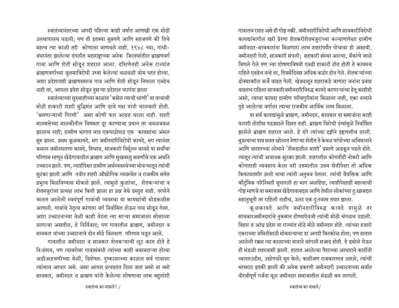गावातच राहत असे ही गोष्ट नक्की. जमीनदारीविरोधी आणि सावकारीविरोधी कायद्यांमागील खरी प्रेरणा शेतकरीशेतमजुरांच्या कल्याणापेक्षा ग्रामीण जमीनदार-सावकारांना मिळणारा लाभ शहरांपर्यंत पोचावा ही असावी. जमीनदारी गेली, सावकारी संपली; सहकारी संस्था आल्या, बँकांचे जाळे विणले गेले पण ज्या शोषणाविषयी एवढी हाकाटी होत होती ते कायमच राहिले एवढेच नव्हे तर, दिवसेंदिवस अधिक कठोर होत गेले. शेतकऱ्यांच्या डोक्यावरील कर्जे वाढत गेली. खेड्यातून शहराकडे जाणारा जनांना प्रवाह वाढतच राहिला सावकारिजमीनदारिविरुद्ध कायदे करणाऱ्यांचा हेतू काहीही असो, त्याचा फायदा ग्रामीण गरीबगुरीबांना मिळाला नाही, एका नव्याने पुढे आलेल्या वर्गाला त्याचा राजकीय आर्थिक लाभ मिळाला.

या सर्व कायद्यांमुळे ब्राह्मण, जमीनदार, सावकार या समाजांना काही फारशी तोशीस पडड्याले दिसत नाही. ब्राह्मण विरोधी दंग्यांमुळे निर्वासित झालेले ब्राह्मण शहरात आले. हे दंगे त्यांच्या दृष्टीने इष्टापत्तीच ठरली. बुडत्याचा पाय सतत खोलात नेणाऱ्या शेतीत ते केवळ परंपरेच्या अभिमानाने आणि वारशाच्या लोभाने 'शेंबडातील माशी' प्रमाणे अडकून पडले होते. त्यातून त्यांची अचानक सुटका झाली. शहरातील कोणतीही नोकरी आणि कोणताही व्यवसाय केला तरी उत्तमातील उत्तम शेतीपेक्षा तो अधिक किफायतशीर ठरतो याचा त्यांनी अनुभव घेतला. त्यांची वैयक्तिक आणि कौटुंबिक परिस्थिती सुधारली हा भाग अलहिदा, त्याहीपेक्षाही महत्वाची गोष्ट म्हणजे या समाजास खेडेगावाबद्दल आणि तेथील लोकांच्या दु:खाबद्दल सहानुभूती तर राहिली नाहीच, उलट एक दु:स्वास तयार झाला.

कूळकायदे आणि जमीनदारीविरुद्ध कायदे यामुळे तर सावकारजमीनदारांचे नुकसान होण्याऐवजी त्यांची मोठी चंगळच उडाली. बिहार व आंध्र प्रदेश या राज्यांत मोठे मोठे जमीनदार होते. त्यांच्या हजारो एकराच्या जमिनींसाठी मोबदल्याचा दर अगदी किरकोळ होता; पण हातात आलेली रक्कम त्या काळाच्या मानाने चांगली सज्जड होती. हे डबोले घेऊन ही मंडळी शहरवासी झाली. हातात आलेल्या पैशाच्या आधाराने काहींनी व्यापारउदीम, उद्योगधंदे सुरु केले; काहीजण राजकारणात उतरले, त्यांची भरभराट इतकी झाली की अनेक प्रकरणी जमीनदारी उच्चाटनाच्या सर्वात वीरश्रीपूर्ण गर्जना मूळ जमीनदार समाजातील मंडळी करु लागली.

स्वातंत्र्यानंतरच्या अगदी पहिल्या काही वर्षांत आणखी एक मोठी उलथापालथ घडली; पण ती इतक्या सुप्तपणे आणि सहजपणे की तिचे महत्व त्या काळी तरी कोणाला जाणवले नाही. १९४८ च्या, गांधी-वधानंतर झालेल्या दंगलीत महाराष्ट्राच्या अनेक जिल्ह्यांतील ब्राह्मणवर्ग गावा आणि शेती सोडून शहरात आला. दक्षिणेतही अनेक राज्यांत ब्राह्मणवर्गाच्या जुलमाविरोधी उभ्या केलेल्या चळवळी जोम धरत होत्या. अशा प्रदेशातही ब्राह्मणसमाज गाव आणि शेती सोडून निघाला एवढेच नाही तर, आपला प्रदेश सोडून दुसऱ्या प्रदेशात परागंदा झाला

स्वातंत्र्याच्या सुरुवातीच्या काळात 'कसेल त्याची धरणी' या तत्वाची मोठी हाकाटी शहरी बुद्धिमंत आणि डावे पक्ष यांनी चालवली होती. 'श्रमणाऱ्याची गिरणी' असा कोणी फार आग्रह धरला नाही. शहरी मालमत्तेच्या मालकीतील विषमता दूर करण्याचा प्रयत्न तर जवळजवळ झालाच नाही; ग्रामीण भागात मात्र एकपाठोपाठ एक कायद्यांचा अंमल सुरु झाला. प्रथम कूळकायदे, मग जमीनदारिविरोधी कायदे, मग त्यानंतर कमाल जमीनधारणा कायदे, शिवाय, सावकारी निर्मूलन कायदे या सर्वांचा परिणाम म्हणून खेडेगावातील ब्राह्मण आणि सुखवस्तु सवर्णांचे एक अर्थाने उच्चाटन झाले. पण, त्याहीपेक्षा ग्रामीण अर्थव्यवस्थेच्या भोवऱ्यातून त्यांची सुटका झाली आणि नवीन शहरी औद्योगिक व्यवस्थेत व राजकीय सत्तेत प्रभुत्व मिळविण्यास मोकळे झाले. त्यामुळे कुळांचा, शेतकऱ्यांचा व शेतमजुरांचा प्रत्यक्ष लाभ किती झाला हा प्रश्न येथे प्रस्तुत नाही. परंपरेने चालत आलेली स्वयंपूर्ण गावांची व्यवस्था या कायद्यांची मोडकळीस आणली. गावांचे नेतृत्व करणारा वर्ग निर्वासित होऊन गाव सोडून गेला. अशा उच्चाटनाच्या वेळी काही वेदना त्या साऱ्या समाजाला सोसाव्या लागल्या असतील, हे निर्विवाद; पण गावातील ब्राह्मण, जमीनदार व सावकार यांच्या उच्चाटनाचे दोन मोठे विलक्षण परिणाम घडून आले.

गावातील जमीनदार व सावकार शेतकऱ्याची लूट करत होते हे नि:संशय, पण त्याबरोबर गावासंबंधी त्यांच्या काही जबाबदाऱ्या होत्या अडीअडचणीच्या वेळी, विशेषत: दुष्काळाच्या काळात सर्व गावाला त्यांचाच आधार असे. असा आधार प्रत्यक्षात दिला जात असो वा नसो सावकार, जमीनदार व ब्राह्मण यांनी केलेल्या शोषणाचा लाभ बहुतांशी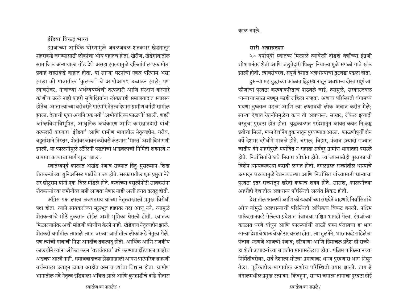#### इंडिया विरुद्ध भारत

इंग्रजांच्या आर्थिक धोरणामुळे जवळजवळ शतकभर खेड्यातून शहराकडे जगण्यासाठी लोकांचा ओघ वहातच होता. खेरीज, खेडेगावातील सामाजिक अन्यायाला तोड देणे असह्य झाल्यामुळे दलितांतील एक मोठा प्रवाह शहरांकडे वाहात होता. या साऱ्या घटनांचा एकत्र परिणाम असा झाला की गावातील 'कुलकां' चे आपोआप९ उच्चाटन झाले; पण त्याबरोबर, गावाच्या अर्थव्यवस्थेची तरफदारी आणि संरक्षण करणारे कोणीच उरले नाही शहरी सुशिक्षितांना लोकशाही समाजवादात स्वारस्य होतेच. आता त्यांच्या बरोबरीने पारंपारि नेतृत्व देणारा ग्रामीण वर्गही सामील झाला. देशाची एका अर्थाने एक नवी 'अभौगोलिक फाळणी' झाली. शहरी आंग्लविद्याविभूषित, आधुनिक अर्थकारण आणि कारखानदारी यांची तरफदारी करणारा 'इंडिया' आणि ग्रामीण भागातील नेतृत्वहीन, गरीब, बहुतांशाने निरक्षर, शेतीवर जीवन कसेबसे कंठणारा 'भारत' अशी विभागणी झाली. या फाळणीमुळे स्टॅलिनी पद्धतीची भांडवलाची निर्मिती शस्त्रास्त्रे न वापरता कण्याचा मार्ग खुला झाला.

स्वातंत्र्यपूर्व काळात अखंड पंजाब राज्यात हिंदु-मुसलमान-शिख शेतकऱ्यांच्या युनिअनिस्ट पार्टीचे राज्य होते. सरकारातील एक प्रमुख नेते सर छोटुराम यांनी एक बिल मांडले होते. कर्जाच्या वसुलीपोटी सावकरांना शेतकऱ्यांच्या जमीनीवर जप्ती आणता येणार नाही अशी त्यात तरतूद होती.

कॉंग्रेस पक्ष लाला लजपतराय यांच्या नेतृत्वाखाली प्रमुख विरोधी पक्ष होता. त्याने सावकरांच्या मूलभूत हक्कावर गदा आणू नये, त्यामुळे शेतकऱ्यांचे मोठे नुकसान होईल अशी भूमिका घेतली होती. स्वातंत्र्य मिळाल्यानंतर अशी मांडणी कोणीच केली नाही. खेडेगाव नेतृत्वहीन झाले. शेतकरी वर्गातील त्यातले त्यात वरच्या जातीतील लोकांकडे नेतृत्व गेले. पण त्यांची गावाची निष्ठा अगदीच तकलादू होती. आर्थिक आणि राजकीय लालचीने त्यांना अंकित करुन 'यशवंतराव' उभे करण्यात इंडियाला काहीच अडचण आली नाही. समाजवादाच्या झेंड्याखाली आपण पारंपारिक ब्राह्मणी वर्चस्वाला उखडून टाकत आहोत असाच त्यांचा विश्वास होता. ग्रामीण भागातील नवे नेतृत्व इंडियाला अंकित झाले आणि कुऱ्हाडीचे दांडे गोतास

### सारी अन्नान्नदशा

५० वर्षांपूर्वी स्वातंत्र्य मिळाले त्यावेळी दीडशे वर्षांच्या इंग्रजी शोषणानंतर शेती आणि बलुतेदारी पिळून निघाल्यामुळे सगळी गावे खंक झाली होती. त्याबरोबरच, संपूर्ण देशात अन्नधान्याचा तुटवडा पडला होता. दुसऱ्या महायुद्धाच्या काळात हिंदुस्थानातून अन्नधान्य दोस्त राष्ट्रांच्या फौजांचा पुरवठा करण्याकरिताच पाठवले जाई. त्यामुळे, सरकारजवळ धान्याचा साठा म्हणून काही राहिला नव्हता. अशाच परिस्थिती बंगामध्ये भयणा दुष्काळ पडला आणि त्या लक्षावधी लोक अन्नान्न करीत मेले; साऱ्या देशात रेशनींगमुळेच काय तो अन्नधान्य, साखर, रॉकेल इत्यादी वस्तुंचा पुरवठा होत होता. युद्धकाळात परदेशातून आयत कयन नि:कृष्ट प्रतीचा मिलो, मका रेशनिंग दुकानातून पुरवण्यात आला. फाळणीपूर्वी दोन वर्षे देशभर दंगेधोपे माजले होते. बंगाल, बिहार, पंजाब इत्यादी राज्यांत जातीय दंगे शहरांपुरते मर्यादित न राहाता सर्वदुर ग्रामीण भागातही पसरले होते. निर्वासितांचे थवे निवारा शोधीत होते. त्यांच्यासाठीही पुरवठ्याची विशेष धान्यव्यवस्था करावी लागत होती. दंगलग्रस्त राज्यांतील धान्याचे उत्पादन घटल्यामुळे रेशनव्यवस्था आणि निर्वासित यांच्यासाठी धान्याचा पुरवठा इतर राज्यांतून खरेदी करुनच शक्य होते. सारांश, फाळणीच्या आधीही देशातील अन्नधान्य परिस्थिती अत्यंत बिकट होती.

देशातील फाळणी आणि कोट्यवधींच्या संख्येने वाहणारे निर्वासितांचे ओघ यांमुळे अन्नधान्याची परिस्थिती अधिकच बिकट बनली. पश्चिम पाकिस्तानकडे गेलेल्या प्रदेशात पंजाबचा पश्चिम भागही गेला. इंग्रजांच्या काळात धरणे बांधुन आणि कालव्यांची जाळी करुन पंजाबचा हा भाग साऱ्या देशाचे धान्यचे कोठार बनला होता. त्या तुलनेने, भारताकडे राहिलेला पंजाब-म्हणजे आजची पंजाब, हरियाणा आणि हिमाचल प्रदेश ही राज्ये-हा शेती उत्पादनांच्या बाबतीत मागासलेलाच होता. पश्चिम पाकिस्तानच्या निर्मितीबरोबर, सर्व देशाला मोठ्या प्रमाणावर धान्य पुरवणारा भाग निघून गेला. पूर्वेकडील भागातील अशीच परिस्थिती तयार झाली. ताग हे बंगालमधील प्रमुख उत्पादन. किंबहना, साऱ्या जगाला तागाचा पुरवठा होई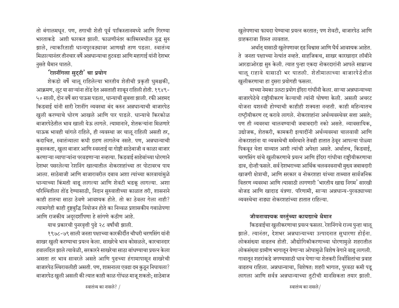तो बंगालमधून. पण, तगाची शेती पूर्व पाकिस्तानमध्ये आणि गिरण्या भारताकडे अशी फारकत झाली. फाळणीनंतर काश्मिरमधील युद्ध सुरु झाले, त्याकरिताही धान्यपुरवठ्यावर आणखी ताण पडला. स्वातंत्र्य मिळाल्यानंतर तीनचार वर्षे अन्नधान्याचा तुटवडा आणि महागाई यांनी देशभर नुसते थैमान घातले.

## $\hat{v}$ शनींगला सुट्टी $^{\prime}$  चा प्रयोग

शेकडो वर्षे चालू राहिलेल्या भारतीय शेतीची प्रकृती धुमश्चकी, आक्रमण, लूट या साऱ्यांना तोंड देत असताही शाबून राहिली होती. १९४९-५० साली, दोन वर्षे बरा पाऊस पडला, धान्याची सुबत्ता झाली. रफी अहमद किडवाई यांनी सारी रेशनींग व्यवस्था बंद करुन अन्नधान्याची बाजारपेठ *प्*वली करण्याचे धोरण आखले आणि पार पाडले. धान्याचे किरकोळ बाजारपेठेतील भाव खाली येऊ लागले. त्यामानाने. शेतकऱ्यांना मिळणारे घाऊक भावही चांगले राहिले, ही व्यवस्था जर चालू राहिली असती तर, कदाचित, स्वातंत्र्याला कधी ग्रहण लागलेच नसते. पण, अन्नधान्याची मुबलकता, खुला बाजार आणि स्वस्ताई या गोष्टी साठेबाजी व काळा बाजार करणाऱ्या व्यापाऱ्यांना परवडणाऱ्या नव्हत्या. किडवाई साहेबांच्या धोरणाने <u>देशभर पसरलेल्या रेशनिंग खात्यातील नोकरशहांच्या तर पोटावरच पाय</u> आला. साठेबाजी आणि बाजारावरील दबाव अशा त्यांच्या कारवायांमुळे धान्याच्या किंमती वाढू लागल्या आणि शेवटी भडकू लागल्या. अशा परिस्थितीला तोंड देण्यासाठी, निदान सुरुवातीच्या काळात तरी, शासनाने काही हातचा साठा ठेवणे आवश्यक होते. तो का ठेवला गेला नाही? त्यामागेही काही दुष्टबुद्धि नियोजन होते का निव्वळ प्रशासकीय गबाळेपणा आणि राजकीय अदूरदर्शीपणा हे सांगणे कठीण आहे.

याच प्रकारची पुनरवृत्ती पुढे २८ वर्षांची झाली.

१९७८-७९ साली जनता पक्षाच्या कारकीर्दीत चौधरी चरणसिंग यांनी साखर खुली करण्याचा प्रयत्न केला. साखरेचे भाव कोसळले, कारचानदार हवालदिल झाले त्यावेळी, सरकारने साखरेचा साठा बांधण्याचा प्रयत्न केला असता तर भाव सावरले असते आणि पुढच्या हंगामापासून साखरेची बाजारपेठ स्थिरावलीही असती. पण, शासनाला एवढा दम कुठून निघायला? बाजारपेठ खुली असली की त्यात काही काळ गोंधळ माजू शकतो; साठेबाज ⁄प्बुलेपणाचा फायदा घेण्याचा प्रयत्न करतात; पण शेवटी, बाजारपेठ आणि  $\overline{\mathbf{u}}$  ग्राहकराजा शिस्त लावतात.

अर्थात् यासाठी खुलेपणावर दृढ विश्वास आणि धैर्य आवश्यक आहेत. ते जनता पक्षाच्या नेत्यांत नव्हते. साहजिकच, साखर कारखादार लॉबीने आरडाओरडा सुरु केली. त्यात पुन्हा एकदा नोकरदारांनी आपले साम्राज्य चाऌ राहावे यासाठी भर घातली. शेतीमालाच्या बाजारपेठेतील *प्*बुलीकरणाचा हा दुसरा प्रयोगही फसला.

याच्या नेमका उलटा प्रयोग इंदिरा गांधींनी केला. साऱ्या अन्नधान्याच्या बाजारपेठेचे राष्ट्रीयीकरण केल्याची त्यांनी घोषणा केली. असली अचरट योजना यशस्वी होण्याची काहीही शक्यता नव्हती. काही महिन्यातच राष्ट्रीयीकरण रद्द करावे लागले. नोकरशहांना अर्थव्यवस्थेवर सत्ता असते; पण ती व्यवस्था चालवण्याची जबाबदारी नको असते. व्यावसायिक. उद्योजक, शेतकरी, कामकरी इत्यादींनी अर्थव्यवस्था चालवावी आणि नोकरशहांना या व्यवस्थेची मर्मस्थाने तेवढी हातात ठेवून आपल्या पोळ्या पिकवून घेता याव्यात अशी त्यांची अपेक्षा असते. अर्थातच, किडवाई, चरणसिंग यांचे खुलीकरणाचे प्रयत्न आणि इंदिरा गांधीचा राष्ट्रीयीकरणाचा डाव, दोन्ही फसले. सर्व देशभराच्या आर्थिक चलवनवनाची मुख्य जबाबदारी खाजगी क्षेत्राची, आणि सरकार व नोकरशहा यांच्या ताब्यात सार्वजनिक वितरण व्यवस्था आणि त्यासाठी लागणारी 'भारतीय खाद्य निगम' सारखी बोजड आणि खादाड यंत्रणा. परिणामी, साऱ्या अन्नधान्य-पुरवठ्याच्या <u>व्यवस्थेचा नाड्या नोकरशहांच्या हातात राहिल्या.</u>

## जीवनावश्यक वस्तुंच्या कायद्याचे थैमान

किडवाईचा खुलीकरणाचा प्रयत्न फसला. रेशनिंगचे राज्य पुन्हा चालू झाले. त्यानंतर, देशभर अन्नधान्याच्या उत्पादनात सुधारणा होईना. लोकसंख्या वाढतच होती. औद्योगिकीकरणाच्या धोरणामुळे शहरातील लोकसंख्या ग्रामीण भागातून येणाऱ्या ओघामुळे विशेष वेगाने वाढू लागली. गावातून शहरांकडे जगण्यासाठी धाव घेणाऱ्या शेतकरी निर्वासितांचा प्रवाह वाढतच राहिला. अन्नधान्याचा, विशेषत: शहरी भागात, पुरवठा कमी पडू लागला आणि सर्वत्र अन्नधान्याच्या तुटीची मानसिकता तयार झाली.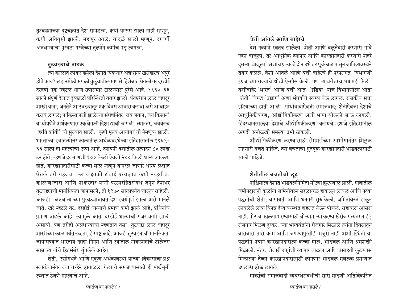तुटवड्याच्या दुष्टचक्रात देश सापडला. कधी पाऊस झाला नाही म्हणून, कधी अतिवृष्टी झाली, महापूर आले, वादळे झाली म्हणून. दरवर्षी अन्नधान्याचा पुरवठा गरजेच्या तुलनेने कमीच पडू लागला.

#### तटवड्याचे नाटक

त्या काळात लोकसंख्येला देशात पिकणारे अन्नधान्य खरोखरच अपुरे होते काय? लहानमोठी सगळी कुटुंबातील माणसे हिशेबात घेतली तर दरडोई दरवर्षी एक क्विंटल धान्य उपासमार टाळण्यास पुरेसे आहे. १९६५-६६ साली संपूर्ण देशात दुष्काळी परिस्थिती तयार झाली. पंतप्रधान लाल बहादुर शास्त्री यांना, जनतेने आठवड्यातून एक दिवस उपवास करावा असे आवाहन करावे लागले; पाकिस्तानशी झालेल्या संघर्षानंतर 'जय जवान, जय किसान' या घोषणेने अर्थकरणास एक वेगळी दिशा द्यावी लागली. त्यानंतर, लवकरच 'हरति क्रांती' ची सुरुवात झाली. 'कृषी मूल्य आयोगा'ची नेमणूक झाली. भारताच्या स्वातंत्र्योत्तर काळातील अर्थव्यवस्थेच्या इतिहासातील १९६५- $\epsilon$ ६ साला हा महत्वाचा टप्पा आहे. त्यावर्षी देशातील उत्पादन ८० लाख टन होते; म्हणजे दर माणशी १०० किलो ऐवजी २०० किलो धान्य उपलब्ध होते. कारखानदारीसाठी कच्चा माल म्हणून वापरले जाणारे धान्य लक्षात घेतले तरी गहजब करण्याइतकी टंचाई प्रत्यक्षात कधी नव्हतीच. काळाबाजारी आणि नोकरदार यांनी परस्परहितसंबंध जपून देशभर ह्तटवड्याची मानसिकता जोपासली, ती १९७० सालापर्यंत चालूच राहिली. आजही अन्नधान्याच्या पुरवठ्याबाबत देश स्वयंपूर्ण झाला असे मानले जाते. खरे म्हटले तर, दरडोई धान्याचे प्रमाण कमी झाले आहे, प्रथिनांचे प्रमाण वाढले आहे. त्यामुळे आता दरडोई धान्याची गजर कमी झाली असावी. पण तरीही अन्नधान्याचा म्हणतात तसा तुटवडा लाल बहादूर शास्त्रींच्या काळापर्यंत नव्हता, हे स्पष्ट आहे. आजही तुटवड्याची मानसिकता जोपासण्यात भारतीय खाद्य निगम आणि त्यातील नोकरशहांचे टोलेजंग साम्राज्य यांचे हितसंबंध गुंतलेले आहेत.

शेती, उद्योगधंदे आणि एकूण अर्थव्यवस्था यांच्या विकासाचा प्रश्न स्वातंत्र्यानंतर ज्या तऱ्हेने हाताळला गेला ते समजण्यासाठी ही पार्श्वभूमी लक्ष्मात ठेवणे महत्वाचे आहे.

## वेशी आंतले आणि बाहेरचे

देश नव्याने स्वतंत्र झालेला. शेती आणि बलुतेदारी करणारी गावे एका बाजूला. तर आधूनिक व्यापार आणि कारखानदारी करणारी शहरे हुसऱ्या बाजूला. अशाच प्रकारचे दोन उभे तट पूर्वकाळापासून जातिव्यवस्थने तयार केलेले. वेशी आतले आणि वेशी बाहेरचे ही परंपरागत विभागणी इंग्रजांच्या राज्याचे थोडी ऐसपैस केली. पण त्याबरोबरच भक्कमही केली. वेशीबाहेर 'भारत' आणि वेशी आतर् 'इंडिया' याच विभागणीला आता 'शेती' विरुद्ध 'उद्योग' अशा संघर्षाचे स्वरुप येऊ लागले. राजकीय सत्ता इंडियाच्या हाती आली. गांधीवादाऐवजी समाजवाद: शेतीऐवजी देशाचे आधुनिकीकरण, औद्योगिकीकरण अशी भाषा बोलली जाऊ लागली. हिंदुस्थानसारख्या देशाचे औद्योगिकीकरण करायचे म्हणजे इतिहसातील अगदी अनोळखी समस्या उभी ठाकली.

औद्योगिकीकरण करण्यासाठी रोममर्राच्या उपभोगानंतर शिल्लक राहणारी बचत पाहिजे. त्या बचतीची गुंतवूक कारखानदारी भांडवलासाठी झाली पाहिजे.

## शेतीतील बचतीची लूट

पाश्चिमात्य देशात भांडवलनिर्मिती मोठ्या क्रूरपणाले झाली. गावांतील जमीनदारांनी कुळांना जमिनींवरुन सरळसरळ हाकलून लावले आणि नव्या पद्धतीची शेती, बागायती आणि धनगरी सुरु केली. जमिनीवरुन हाकून <u>लावलेले लोक विपन्न दैन्याव्यस्थेत शहरात येऊन पोचले. राहायला आसरा</u> नाही. पोटाचा खळगा भरण्यासाठी चोऱ्यामाऱ्या करण्याखेरीज गत्यंतर नाही**:** रोजगार मिळणे दुष्कर. ज्या भाग्यवंतांना रोजगार मिळाले त्यांना दिवसातून बाराबारा तास काम आणि जगण्यापुरतीही मज़ुरी नाही अशी स्थिती या पद्धतीने नवीन कारखानदारीला कच्चा माल, भांडवल आणि श्रमशक्ती मिळाली. नंतर, शेजारी राष्ट्रांशी व्यापार वाढला आणि वसाहती लुटण्यास मिळाल्या तेव्हा कारखानदारीसाठी लागणारे भांडवल मुबलक प्रमाणात उपलब्ध होऊ लागले.

मार्क्सची समाजवादी व्यवस्थेसंबंधीची सारी मांडणी अतिविकसित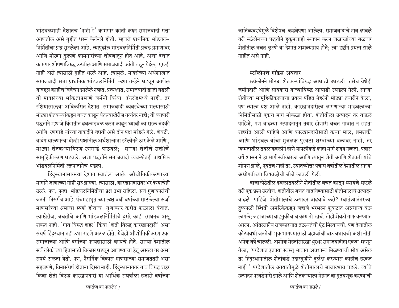भांडवलशाही देशातच $^{\circ}$ नाही रे $^{\prime}$  कामगार क्रांती करुन समाजवादी सत्ता आणतील असे गहीत धरुन केलेली होती. म्हणजे प्राथमिक भांडवल-निर्मितीचा प्रश्न सुटलेला आहे, त्यापुढील भांडवलनिर्मिती प्रचंड प्रमाणावर आणि मोठ्या दुष्टपणे कामगारांच्या शोषणातून होत आहे, अशा देशात कामगार शोषणाविरुद्ध उठतील आणि समाजवादी क्रांती घडून येईल, एरव्ही नाही असे त्यासाठी गृहीत धरले आहे. त्यामुळे, मार्क्सच्या अर्थशास्त्रात समाजवादी सत्ता प्राथमिक भांडवलनिर्मिती कशा तन्हेने घडवून आणेल याबद्दल काहीच विवेचन झालेले नव्हते. प्रत्यक्षात, समाजवादी क्रांती घडली ती मार्क्सच्या भकिताप्रमाणे जर्मनी किंवा इंग्लंडमध्ये नाही, तर रशियासारख्या अविकसित देशात. समाजवादी व्यवस्थेच्या भल्यासाठी मोठ्या शेतकऱ्यांकडून बचत काढून घेतल्याखेरीज गत्यंतर नाही; ती व्यापारी पद्धतीने म्हणजे किंमतीत ढवळाढवळ करुन काढून घ्यावी का सरळ बंदुकी आणि रणगाडे यांच्या ताकदीने व्हावी असे दोन पक्ष मांडले गेले. शेवटी, वादंग घालणाऱ्या दोन्ही पक्षांतील अर्थशास्त्रांना स्टॅलीनने ठार केले आणि , मोठ्या शेतकऱ्यांविरुद्ध रणगाडे पाठवले: साऱ्या शेतीचे सक्तीचे सामूहिकीकरण घडवले. अशा पद्धतीने समाजवादी व्यवस्थेतही प्राथमिक भांडवलनिर्मिती रक्तपातानेच घडली.

हिंदुस्थानासारख्या देशात स्वातंत्र्य आले. औद्योगिकीकरणाच्या मार्गाने जाणाच्या गोष्टी सुरु झाल्या. त्यासाठी, कारखानदारीवर भर देण्याचेही ठरले. पण, पुन्हा भांडवलनिर्मितीचा प्रश्न उभा राहिला. सर्व गुणाकारांची जननी निसर्गच आहे. पंचमहाभूतांच्या लक्षावधी वर्षाच्या साठलेल्या ऊर्जा माणसांच्या श्रमाचा स्पर्श होताच गुणाकार करीत फळाला येतात. त्याखेरीज, बचतीचे आणि भांडवलनिर्मितीचे दुसरे काही साधनच असू शकत नाही. 'गाव विरुद्ध शहर' किंवा 'शेती विरुद्ध कारखानदारी' असा संघर्ष हिंदुस्थानातही उभा राहणे अटळ होते. येथेही औद्योगिकीकरण एका समाजाच्या आणि वर्गाच्या फायद्यासाठी व्हायचे होते. साऱ्या देशातील सर्व लोकांच्या हितासाठी विकास घडवून आणण्याचा हेतू असला तर असा संषर्घ टाळता येतो. पण, नैसर्गिक विकास माणसांच्या समाजततरी असा सहजपणे, विनासंघर्ष होताना दिसत नाही. हिंदुस्थानाततर गाव विरुद्ध शहर किंवा शेती विरुद्ध कारखानदारी या आर्थिक संघर्षाला हजारो वर्षांच्या

जातिव्यवस्थेमुळे विशेषच कडवेपणा आलेला. समाजवादाचे नाव लावले तरी स्टॅलीनच्या पद्धतीने हुकूमशाही स्थापन करुन शस्त्रास्त्रांच्या बळावर शेतीतील बचत लुटणे या देशात अशक्यप्राय होते; त्या दृष्टीने प्रयत्न झाले नाहीत असे नाही.

### $\vec{z}$ स्टॉलीनचे गोंडस अवतार

स्टॉलीनने मोठ्या शेतकऱ्यांविरुद्ध आघाडी उघडली तसेच येथेही जमीनदारी आणि सावकारी यांच्याविरुद्ध आघाडी उघडली गेली. साऱ्या शेतीच्या सामूहिकीकरणाचा प्रयत्न पंडित नेहरुंनी मोठ्या तयारीने केला, पण त्याला यश आले नाही. कारखानदारीला लागणाऱ्या भांडवलाच्या निर्मितीसाठी एकच मार्ग मोकळा होता. शेतीतीला उत्पादन तर वाढले पाहिजे, पण वाढत्या उत्पादनातून तयार होणारी बचत गावात न राहता शहरांत आली पाहिजे आणि कारखानदारीसाठी कच्चा माल, श्रमशक्ती आणि भांडवल यांचा मुबलक पुरवठा शस्त्रांच्या बळावर नाही, तर <u>किंमतीतील हवळाहवळीनं होणे यापलीकडे काही मार्ग शक्य नव्हता. पन्नास</u> वर्षे शासनाने हा मार्ग स्वीकारला आणि त्यातून शेती आणि शेतकरी यांचे शोषण झाले. एवढेच नाही तर. स्वातंत्र्योत्तर पन्नास वर्षांतील देशातील साऱ्या अधोगतीच्या विषवल्लीची बीजे लावली गेली.

बाजारपेठेतील ढवळाढवळीने शेतीतील बचत काढून घ्यायचे म्हटले तरी एक प्रश्न उरतोच. शेतीतील बचत वाढविण्यासाठी शेतीमालाचे उत्पादन वाढले पाहिजे. शेतीमालाचे उत्पादन वाढवावे कसे? स्वातंत्र्यानंतरच्या दुष्काळी स्थिती अमेरिकेकडून जहाजे भरभरुन फुकटात अन्नधान्य येऊ लागले; जहाजाच्या वाहतुकीचाच काय तो खर्च. तोही शेवटी गाफ करण्यात आला. आंतरराष्ट्रीय राजकारणात तटस्थतेची ऐट मिरवायची, पण देशातील कोट्यवधी जनतेची भूक भागण्यासाठी जहाजांची वाट बघायची अशी नीती अनेक वर्षे चालली. अशोक मेहतांसारखा धुरंधर समाजवादीही एकदा म्हणून गेला, 'परदेशात इतक्या स्वस्त् भावात अन्नधान्य मिळण्याची सोय असेल तर हिंदुस्थानातील शेतीकडे उदारबुद्धीने दुर्लक्ष करण्यास काहीच हरकत नाही.' परदेशातील आयातीमुळे शेतीमालाचे बाजारभाव पडले. त्यांचे उत्पादन परवडेनासे झाले आणि शेतकऱ्याला मेहनत वा गुंतवणूक करण्याची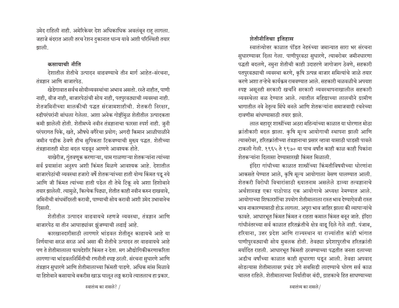उमेद राहिली नाही. अमेरिकेवर देश अधिकाधिक अवलंबून राहू लागला. जहाजे बंदरात आली तरच रेशन दुकानात धान्य यावे अशी परिस्थिती तयार झाली.

### कमायाची नीति

देशातील शेतीचे उत्पादन वाढवण्याचे तीन मार्ग आहेत-संरचना, तंत्रज्ञान आणि बाजारपेठ.

खेडेगावात सर्वच सोयीव्यवस्थांचा अभाव असतो. रस्ते नाहीत, पाणी नाही, वीज नाही, बाजारपेठांची सोय नाही, पतपुरवठ्याची व्यवस्था नाही. शेतजमिनीच्या मालकीची पद्धत संरजामशाहीची. शेतकरी निरक्षार, रुढीपरंपरांनी बांधला गेलेला. अशा अनेक गोष्टींमुळ शेतीतील उत्पादकता कमी झालेली होती. शेतीमध्ये नवीन तंत्रज्ञानाचा फारसा स्पर्श नाही. जुनी परंपरागत पिके, खते, औषधे वगैरेचा प्रयोग; अगदी किमान आळीपाळीने जमीन पडीक ठेवणे हीच सुपिकता टिकवण्याची मुख्य पद्धत. शेतीच्या तंत्रज्ञानातही मोठा बदल घडवून आणणे आवश्यक होते.

याखेरीज, गुंतवणूक करणाऱ्या, घाम गाळणाऱ्या शेतकऱ्यांना त्यांच्या सर्व प्रयासांना अनुरुप अशी किंमत मिळणे आवश्यक आहे. देशातील बाजारपेठांची व्यवस्था हजारो वर्षे शेतकऱ्यांच्या हाती योग्य किंमत पडू नये आणि जी किंमत त्यांच्या हाती पडेल ती तेथे टिकू नये अशा हिशोबाने तयार झालेली. त्यामुळे, कित्येक पिढ्या, शेतीत काही नवीन करुन दाखवावे, जमिनीची बांधबंदिस्ती करावी, पाण्याची सोय करावी अशी उमेद उभावानेच दिसली.

शेतीतील उत्पादन वाढवायचे म्हणजे व्यवस्था, तंत्रज्ञान आणि बाजारपेठ या तीन आघाड्यांवर झुंजण्याची लढाई आहे.

कारखानदारीसाठी लागणारे भांडवल शेतीतून काढायचे आहे या निर्णयाचा सरळ सरळ अर्थ असा की शेतीचे उत्पादन तर वाढवायचे आहे पण ते शेतीमालाला फायदेशीर किंमत न देता. मग औद्योगिकीकरणाकरिता लागणाऱ्या भांडवलनिर्मितीची रणनीती स्पष्ट ठरली. संरचना सुधारणे आणि तंत्रज्ञान सुधारणे आणि शेतीमालाच्या किंमती पाडणे. अधिक मांस मिळावे या हिशेबाने कसायाचे बकरीस खाऊ घालून लठ्ठ करावे त्यातलाच हा प्रकार.

स्वातंत्र्योत्तर काळात पंडित नेहरुंच्या जमान्यात सारा भर संरचना सुधारण्यावर दिला गेला. पाणीपुरवठा सुधारणे, त्याबरोबर जमीनधारणा पद्धती बदलणे, नमुना शेतीची काही उदाहरणे जागोजाग ठेवणे, सहकारी पतपुरवठ्याची व्यवस्था करणे, कृषि उत्पन्न बाजार समित्यांचे जाळे तयार करणे अशा तऱ्हेचे कार्यक्रम राबवण्यात आले. सहकारी चळवळीचे अपयश स्पष्ट असूनही सरकारी खर्चांने सरकारी व्यवस्थापनाखालील सहकारी व्यवस्थेला बळ देण्यात आले. त्यातील महिद्याच्या लालचीने ग्रामीण भागातील नवे नेतृत्व मिंधे बनले आणि शेतकऱ्यांना समाजवादी रचनेच्या दावणीस बांधण्यासाठी तयार झाले.

लाल बहादुर शास्त्रींच्या अठरा महिन्यांच्या काळात या धोरणात मोठा क्रांतीकारी बदल झाला. कृषि मूल्य आयोगाची स्थापना झाली आणि त्याबरोबर, हरितक्रांतीच्या तंत्रज्ञानाचा प्रसार व्हावा यासाठी धाडसी पावले टाकली गेली. १९६५ ते १९७० या पाच वर्षांत काही काळ काही पिकांना शेतकऱ्यांना दिलासा देण्यासारखी किंमत मिळाली.

इंदिरा गांधीच्या काळात शास्त्रींच्या किंमतीविषयीच्या धोरणांना आकसते घेण्यात आले, कृषि मूल्य आयोगाला वेसण घालण्यात आली. शेतकरी विरोधी विचारांसाठी ख्यातनाम असलेले डाव्या तत्वज्ञानाचे अर्थशास्त्रज्ञ एका पाठोपाठ एक आयोगाचे अध्यक्ष नेमण्यात आले. आयोगाच्या शिफारशींचा उपयोग शेतीमालाला रास्त भाव देण्याऐवजी रास्त भाव नाकारण्यासाठी होऊ लागला. अपुरा भाव जाहिर झाला की व्यापाऱ्यांचे फावते. आधारभूत किंमत किंमत न राहता कमाल किंमत बनून जाते. इंदिरा गांधीनंतरच्या सर्व काळात हरितक्रंतीचे क्षेत्र वाढू दिले गेले नाही. पंजाब, हरियाना. उत्तर प्रदेश आणि राज्यस्थान या राज्यांतीत कांही भांगात पाणीपुरवठ्याची सोय मुबलक होती. तेवढ्या प्रदेशापुरतीच हरितक्रांती मर्यादित राहली. आधारभूत किंमती ठरवण्याच्या पद्धतीत जनता दलाच्या अडीच वर्षांच्या काळात काही सुधारणा घडून आली. तेवढा अपवाद सोडल्यास शेतीमालावर प्रचंड उणे सबसिडी लादण्याचे धोरण सर्व काळ चालत राहिले. शेतीमालाच्या निर्यातीवर बंदी, ग्राहकाचे हित साधण्याच्या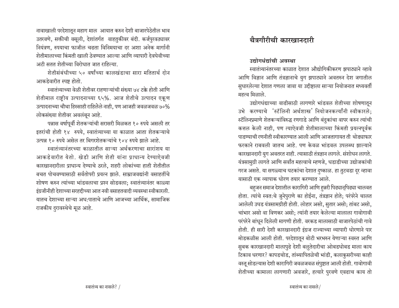नावाखाली परदेशातून महाग माल आयात करुन देशी बाजारपेठेतील भाव उतरवणे, सक्तीची वसूली, देशांतर्गत वाहतुकीवर बंदी. कर्जपुरवठ्यावर नियंत्रण, रुपयाचा फाजील चढता विनिमयाचा दर अशा अनेक मार्गानी शेतीमालाच्या किंमती खाली ठेवण्यात आल्या आणि व्यापारी देवघेवीच्या अटी सतत शेतीच्या विरोधात जात राहिल्या.

शेतीसंबंधीच्या ५० वर्षांच्या कालखंडाचा सारा मतितार्थ दोन आकडेवारीत स्पष्ट होतो.

स्वातंत्र्याच्या वेळी शेतीवर राहणाऱ्यांची संख्या ७४ टक्के होती आणि शेतीमाल राष्ट्रीय उत्पादनाच्या ६५%. आज शेतीचे उत्पादन एकूण उत्पादनाच्या चौथा हिस्साही राहिलेले नाही, पण आजही जवळजवळ ७०% लोकसंख्या शेतीवर अवलंबून आहे.

पन्नास वर्षापूर्वी शेतकऱ्यांची सरासरी मिळकत १० रुपये असली तर इतरांची होती १४ रुपये, स्वातंत्र्याच्या या काळात आता शेतकऱ्याचे उत्पन्न १० रुपये असेल तर बिगरशेतकऱ्यांचे १०४ रुपये झाले आहे.

स्वातंत्र्यानंतरच्या काळातील साऱ्या अर्थकरणाचा सारांशय या आकडेवारीत येतो. खेडी आणि शेती यांना प्राधान्य देण्याऐवजी कारखानदारीला प्राधान्य देण्याचे ठरले, शहरी लोकांच्या हाती शेतीतील बचत पोचवण्यासाठी सर्वतोपरी प्रयत्न झाले. साम्राजवद्यांनी वसाहतींचे शोषण करुन त्यांच्या भांडवलाचा प्रश्न सोडवला; स्वातंत्र्यानंतर काळ्या इंग्रजीनीही देशाच्या सरहद्दीच्या आत नवी वसाहतवादी व्यवस्था स्वीकारली. यातच देशाच्या साऱ्या अध:पाताचे आणि आजच्या आर्थिक, सामाजिक राजकीय दुरावस्थेचे मूळ आहे.

## चैत्रगौरीची कारखानदारी

#### उद्योगधंद्यांची अवस्था

स्वातंत्र्यानंतरच्या काळात देशात औद्योगिकीकरण झपाट्याने व्हावे आणि विज्ञान आणि तंत्रज्ञानाचे युग झपाट्याने अवतरुन देश जगातील सुधारलेल्या देशात गणला जावा या उद्दीष्टाला साऱ्या नियोजनात मध्यवर्ती महत्व मिळाले.

उद्योगधंद्याच्या वाढीसाठी लागणारे भांडवल शेतीच्या शोषणातून उभे करण्याचे 'स्टॅलिनी अर्थशास्त्र' नियोजनकर्त्यांनी स्वीकारले: स्टॅलिनप्रमाणे शेतकऱ्यांविरुद्ध रणगाडे आणि बंदुकांचा वापर करुन त्यांची कत्तल केली नाही, पण त्याऐवजी शेतीमालाच्या किंमती प्रयत्नपूर्वक पाडण्याची रणनीती स्वीकारण्यात आली आणि आजतागायत ती थोड्याफार फरकाने राबवली जातच आहे. पण केवळ भांडवल उपलब्ध झाल्याने कारखानदारी युग अवतरत नाही. त्यासाठी तंत्रज्ञान लागले. संशोधन लागते. यंत्रसामुग्री लागते आणि सर्वांत महत्वाचे म्हणजे, धडाडीच्या उद्योजकांची गरज असते. या सगळ्याच घटकांचा देशात दुष्काळ. हा तुटवडा दूर व्हावा यासाठी एक व्यापाक धोरण तयार करण्यात आले.

बहुजन समाज देशातील कारागिरी आणि हुन्नरी पिढ्यान्पिढ्या चालवत होता. त्यांचे स्वतःचे जुनेपुराणे का होईना, तंत्रज्ञान होते; परंपरेने चालत आलेली उघड यंत्रसामग्रीही होती. लोहार असो, सुतार असो; तांबट असो, चांभार असो वा विणकर असो; त्यांनी तयार केलेल्या मालाला गावोगावी परंपरेने बांधून दिलेली मागणी होती. वरकड मालासाठी बाजारपेठांची गावे होती. ही सारी देशी कारखानदारी इंग्रज राज्याच्या व्यापारी धोरणाने पार मोडकळीस आली होती. परदेशातून बोटी भरभरुन येणाऱ्या स्वस्त आणि सुबक कारखानदारी मालापुढे देशी बलुतेदारीचा ओबडधोबड माला काय टिकाव धरणार? कापडचोड, तांब्यापितळेची भांडी, कलाकुसरीच्या काही वस्तू सोडल्यास देशी कारागिरी जवळजवळ संपुष्टात आली होती. गावोगावी शेतीच्या कामाला लागणारी अवजारे, हत्यारे पुरवणे एवढाच काय तो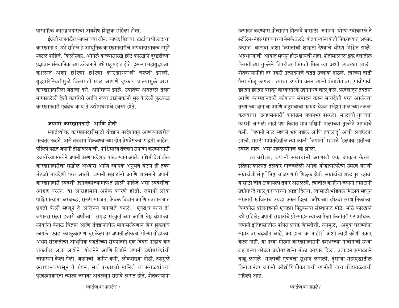पारंपारिक कारखानदारीचा अवशेष शिल्लक राहिला होता.

इंग्रजी राजवटीत कापसाच्या जीन, कापड गिरण्या, टाटांचा पोलादाचा कारखाना इं. उभे राहिले हे आधूनिक कारखानदारीचे अपवादात्मकच नमुने म्हटले पाहिजे. किर्लोस्कर, ओगले यांच्यासारखे छोटे कारखाने दूरदृष्टीच्या प्रज्ञावान संस्थानिकांच्या उत्तेजनाने उभे राह पहात होते. दुसऱ्या महायुद्धाच्या काळात अशा छोट्या छोट्या कारखान्यांची चलती झाली. युद्धपरिस्थितीमुळे विलायती माल आणणे दुष्कार झाल्यामुळे अशा कारखानदारीला बढावा देणे. अपरिहार्य झाले. स्वातंत्र्य अवतरले तेव्हा मागासलेली देशी कारगिरी आणि नव्या उद्योजकांनी सुरु केलेली फुटकळ कारखानदारी एवढेच काय ते उद्योगधंद्याचे स्वरुप होते.

## जपानी कारखानदारी आणि शेती

स्वातंत्र्योत्तर कारखानदारीसाठी तंत्रज्ञान परदेशातून आणण्याखेरीज गत्यंतर नव्हते. असे तंत्रज्ञान मिळवण्याच्या दोन वेगवेगळ्या पद्धती आहेत. <u>पहिली पद्धत जपानी तोंडावळ्याची. पाश्चिमात्य तंत्रज्ञान संपादन करण्यासाठी</u> हजारोंच्या संख्येने जपानी तरुण परदेशात पाठवण्यात आले. पश्चिमी देशांतील कारखानदारीचा सखोल अभ्यास आणि व्यापक अनुभव घेऊन ही तरुण मंडळी मायदेशी परत आली. जपानी सम्राटांनी आणि शासनाने जपानी कारखानदारी स्वदेशी उद्योजकांच्यामार्फत झाली पाहिजे असा स्वदेशीचा आग्रह धरला. या आग्रहामागे अनेक कारणे होती. जपानी लोक पाश्चिमात्यांना अस्वच्छ. रानटी समजत. केवळ विज्ञान आणि तंत्रज्ञान यात प्रगती केली म्हणून ते अजिंक्य जगज्जेते बनले, एवढेच काय ते! जपानसारख्या हजारो वर्षांच्या समृद्ध संस्कृतीच्या आणि श्रेष्ठ वंशाच्या लोकांना केवळ विज्ञान आणि तंत्रज्ञानातील मागासलेपणाने शिर झुकवावे लागले. एवढा कमकुवतपणा दुर केला तर जपानी लोक या गोऱ्या तोडाच्या अधम संस्कृतीचा आधुनिक पद्धतीच्या संघर्षातही एक दिवस पाडाव करु शकतील अशा आशेने, योजनेने आणि जिद्दीने जपानी उद्योगधंद्यांची जोपासना केली गेली. जपानची जमीन कमी, लोकसंख्या मोठी. त्यामुळे अन्नधान्यापासून ते इंधन, सर्व प्रकारची खनिजे या सगळ्यांच्या पुरवठ्याकरिता त्याला जगावर अवलंबून राहावे लागत होते. शेतकऱ्यांना उत्पादन करण्यास प्रोत्साहन मिळावे यासाठी जपानने धोरण स्वीकारले ते स्टॅलिन-नेहरु धोरण्याच्या नेमके उलटे. शेतकऱ्यांना शेती पिकवण्यात अफाट उत्साह वाटावा अशा किंमतीची शाश्चती देण्याचे धोरण निश्चित झाले. अन्नधान्याची आयात म्हणून होऊ द्यायची नाही. शेतीमालाला इतर देशातील किंमतीच्या तुलनेने तिपटीवर किंमती मिळाव्या अशी व्यवस्था झाली. शेतकऱ्यांनीही दर एकरी उत्पादनाचे चढते उच्चांक गाठले. त्यांच्या हाती पैसा खेळू लागला. त्याचा उपयोग करुन त्यांनी शेताशेतावर, गावोगावी छोट्या छोट्या घरातून बारकेसारके उद्योगधंदे चालू केले. परदेशातून तंत्रज्ञान आणि कारखानदारी कौशल्य संपादन करुन मायदेशी परत आलेल्या तरुणांच्या ज्ञानाचा आणि अनुभवाचा फायदा घेऊन परदेशी मालाच्या नकला करण्याचा 'उल्हासनगरी' कार्यक्रम जपानभर पसरला. मालाची गुणवत्ता फारशी चांगली नाही पण किंमत मात्र पश्चिमी पालाच्या तुलनेने अगदीचे कमी. 'जपानी माल म्हणजे भ्रष्ट नक्कल आणि तकलाद्' अशी अवहेलना झाली. मराठी भाषेतदेखील त्या काळी 'जपानी' म्हणजे 'हलक्या प्रतीच्या स्वस्त माल' असा शब्दपयोगच रुढ झाला.

त्याबरोबर, जपानी सम्राटांनी आणखी एक उपकम केला. इतिहासकाळात तलवार गाजवलेली अनेक योद्धापारंपरेची उमरव घराणी सम्राटांशी संपूर्ण निष्ठा बाळगणारी शिल्लक होती; सम्राटांचा शब्द पुरा व्हावा यासाठी जीव टाकायला तयार असलेली. त्यातील काहींना जपानी सम्राटांनी उद्योगधंदे चालू करण्याच्या आज्ञा दिल्या. त्यासाठी भांडवल मिळावे म्हणून सरकारी खजिनाच उघडा करुन दिला. औधच्या छोट्या संस्थानिकांच्या किरकोळ प्रोत्साहनाने एवढ्या पिट्कल्या संस्थानात मोठे मोठे कारखाने उभे राहिले; जपानी सम्राटांचे प्रोत्साहन त्याच्यापेक्षा कितीतरी पट अधिक. जपानी इतिहासातील परंपरा प्रचंड शिस्तीची. त्यामुळे, 'अमुक घराण्यांना सम्राट वर चढवीत आहे. आम्हाला का नाही?' अशी काही कोणी तक्रार केला नाही. या नव्या मोठ्या कारखानदारांनी देशभरच्या गावोगावी उभ्या राहणाऱ्या छोट्या उद्योगधंद्यांना मोठा आधार दिला. उत्पादन झपाट्याने वाढू लागले. मालाची गुणवत्ता सुधारु लागली. दुसऱ्या महायुद्धातील विनाशानंतर जपानी औद्योगिकीकरणाची रणनीती याच तोंडावळ्याची राहिली आहे.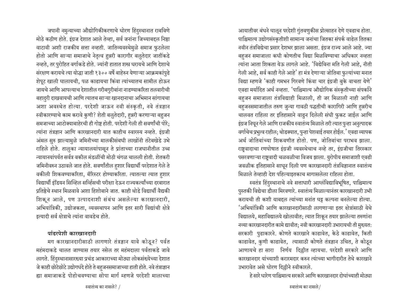जपानी नमुन्याच्या औद्योगिकीकरणाचे धोरण हिंदुस्थानात राबविणे मोठे कठीण होते. इंग्रज देशात आले तेव्हा, सर्व जनांना जिच्याबद्दल निष्ठा वाटावी अशी राजकीय सत्ता नव्हती. जातिव्यवस्थेमुळे समाज फुटलेला होतो आणि साऱ्या समाजाचे नेतृत्व हुन्नरी कारागीर बलुतेदार जातींकडे नव्हते, तर पुरोहित वर्गाकडे होते. ज्यांनी हातात शस्त्र धरायचे आणि देशाचे संरक्षण करायचे त्या योद्धा जाती १३०० वर्षे बाहेरुन येणाऱ्या आक्रमकांपुढे शेपूट खाली घालायची, पळ काढायचा किंवा त्यांच्यातच सामील होऊन जायचे आणि आपल्याच देशातील गरीबगुरीबांना नाडण्याकरिता तलवारीची बहादुरी दाखवायची आणि त्यातच साऱ्या खानदानाचा अभिमान सांगायचा अशा अवस्थेत होत्या. परदेशी जाऊन नवी संस्कृती, नवे तंत्रज्ञान स्वीकारण्याचे काम करावे कुणी? शेती बलुतेदारी, हुन्नरी करणाऱ्या बहुजन समजाच्या आटोक्याबाहेरची ही गोष्ट होती. परदेशी गेली ती सवर्णांची पोरे; त्यांना तंत्रज्ञान आणि कारखानदारी यात काहीच स्वारस्य नव्हते. इंग्रजी अंमल सुरु झाल्यामुळे जमिनीच्या मालकीसंबधी लाखोंनी तंटेबखेडे उभे राहिले होते. तालुका न्यायालयांपासून ते प्रांताच्या राजधानीतील उच्च न्यायानयांपर्यंत सर्वत्र वकील मंडळींची मोठी चंगळ चालली होती. शेतकरी जमिनीवरुन उठावले जात होते. सवर्णांतील हशार विद्यार्थी परदेशात गेले ते वकीली शिकवण्याकरिता, बॅरिस्टर होण्याकरिता. त्यातल्या त्यात हुशार विद्यार्थी इंडियन सिव्हिल सर्व्हिसची परीक्षा देऊन राज्यकर्त्यांच्या दरबारात प्रतिष्ठेचे स्थान मिळवावे अशा हिशोबाने जात. काही थोडे विद्यार्थी वैद्यकी शिकून आले, पण उत्पादनाशी संबंध असलेल्या कारखानदारी, अभियांत्रिकी, उद्योजकता, व्यवस्थापन आणि इतर सारी विद्यांची क्षेत्रे इत्यादी सर्व क्षेत्राचे त्यांना वावडेच होते.

#### पांढरपेशी कारखानदारी

मग कारखानदारीसाठी लागणारे तंत्रज्ञान यावे कोठून? पर्वत महंमदाकडे चालत जाण्यास तयार नसेल तर महंमदाला पर्वताकडे जावे लागते. हिंदुस्थानासारख्या प्रचंड आकाराच्या मोठ्या लोकसंख्येच्या देशात जे काही छोटेछोटे उद्योगधंदे होते ते बहुजनसमाजाच्या हाती होते. नवे तंत्राज्ञान ह्या समाजाकडे पोहोचवण्याचा सोपा मार्ग म्हणजे परदेशी मालाच्या आयातीवर बंधने घालून परदेशी गुंतवणुकीस प्रोत्साहन देणे एवढाच होता. पाश्चिमात्य उद्योगसंस्कृतीशी सामान्य जनांचा जितका संपर्क वाढेल तितका नवीन तंत्रविद्येचा प्रसार देशभर झाला असता. इंग्रज राज्य आले आहे. ज्या बहजन समाजाला कधी कोणतीच विद्या मिळविण्याचा अधिकार नव्हता त्यांना आता शिकता येऊ लागले आहे. 'विद्येविना मति गेली आहे, नीती गेली आहे, सर्व काही गेले आहे' हा मंत्र देणाऱ्या जोतिबा फुल्यांच्या मनात विद्या म्हणजे 'काही गमभन गिरवणे किंवा चार इंग्रजी बुके वाचता येणे' एवढा मर्यादित अर्थ नव्हता. 'पाश्चिमात्य औद्योगिक संस्कृतीच्या संपर्काने बहुजन समाजाला तंत्रविद्याही मिळाली, ती जर मिळाली नाही आणि बहजनसमाजातील तरुण जुन्या गावठी पद्धतीची कारागिरी आणि हन्नरीच चालवत राहिला तर इतिहासाने वाढुन दिलेली संधी फुकट जाईल आणि इंग्रज निघून गेले आणि राजकीय स्वातंत्र्य मिळाले तरी त्यात पुन्हा अनुत्पादक वर्गाचेच प्रभुत्व राहील; थोडक्यात, पुन्हा पेशवाई तयार होईल.' एवढा व्यापक अर्थ जोतिबांच्या शिकवणीत होतो. पण, जोतिबांचा पराभव झाला. राष्ट्रवादाचा रणघोषात इंग्रजी व्यवस्थेचाच नव्हे तर, इंग्रजीचा तिरस्कार पसरवणाऱ्या राष्ट्रवादी चळवळीचा विजय झाला. युरोपीय समाजाशी एवढी जवळीक इतिहासाने साधन दिली पण कारखानदारी तंत्रविज्ञानात स्वातंत्र्य मिळाले तेव्हाही देश पहिल्याइतकाच मागासलेला राहिला होता.

स्वतंत्र हिंदुस्थानाचे नवे सत्ताधारी आग्लंविद्याविभूषित, पाश्चिमात्य पुस्तकी विद्येचा डौला मिरवणारे. स्वातंत्र्य मिळाल्यानंतर कारखानदारी उभी करायची ती कशी याबद्दल त्यांच्या मनांत घट्ट कल्पना बनलेल्या होत्या. 'अभियांत्रिकी आणि कारखानदारीसाठी लागणाऱ्या इतर क्षेत्रांसाठी येथे विद्यालये, महाविद्यालये खोलावीत; त्यात शिकून तयार झालेल्या तरुणांना नव्या कारखानदारीत कामे द्यावीत; नवी कारखानदारी उभारायची ती मुख्यत: सरकारी पुढाकारने. कोणते कारखाने काढावेत, केठे काढावेत, किती काढावेत, कुणी काढावेत, त्यासाठी कोणते तंत्रज्ञान उचित, ते कोठून आणायचे हा सारा निर्णय दिल्लीत व्हायचा. परदेशी सरकारे आणि कारखानदार यांच्याशी करारमदार करुन त्यांच्या भागीदारीत तेथे कारखाने उभारावेत असे धोरण दिल्लीने स्वीकारले.

हे सारे धारेण पाश्चिमात्य सरकारे आणि कारखानदार दोघांच्याही मोठ्या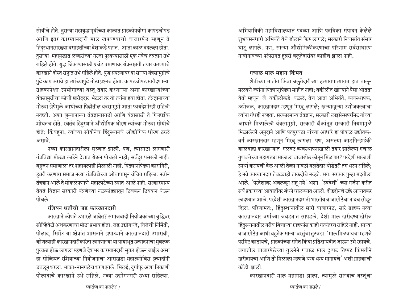सोयीचे होते. दुसऱ्या महायुद्धापूर्वीच्या काळात ग्राहकोपयोगी कापडचोपड आणि इतर कारखानदारी माल खपवण्याची बाजारपेठ म्हणून ते हिंदुस्थानसारख्या वसाहतींच्या देशांकडे पहात. आता काळ बदलला होता. दुसऱ्या महायुद्धात लष्करांच्या गरजा पुरवण्यासाठी एक नवेच तंत्रज्ञान उभे राहिले होते. युद्ध जिंकण्यासाठी प्रचंड प्रमाणावर यंत्रसाम्रगी तयार करण्याचे कारखाने दोस्त राष्ट्रात उभे राहिले होते. युद्ध संपल्यावर या साऱ्या यंत्रसामुग्रीचे <u>पु</u>ढे काय करावे हा त्यांच्यापुढे मोठा प्रश्नच होता. कापडचोपड खरीदणाऱ्या ग्राहकापेक्षा उपभोगाच्या वस्तू तयार करणाऱ्या अशा कारखान्यांच्या यंत्रसामुग्रीचा कोणी खरीददार भेटला तर तो त्यांना हवा होता. तंत्रज्ञानाच्या मोठ्या झेपेमुळे आधीच्या पिढीतील यंत्रसामुग्री आता फायदेशीरही राहिली नव्हती. अशा जुन्यापान्या तंत्रज्ञानासाठी आणि यंत्रासाठी ते गिऱ्हाईक शोधतच होते. स्वतंत्र हिंदुस्थाने औद्योगिक धोरण त्यांच्या मोठ्या सोयीचे होते; किंबहुना, त्यांच्या सोयीनेच हिंदुस्थानचे औद्योगिक धोरण ठरले असावे.

नव्या कारखानदारीला सुरुवात झाली. पण, त्यासाठी लागणारी तंत्रविद्या मोठ्या लाटेने देशात येऊन पोचली नाही; सर्वदूर पसरली नाही; बहुजन समाजाला तर पाहायलाही मिळाली नाही. पिढ्यानपिढ्या कारागिरी, हन्नरी करणारा समाज नव्या तंत्रविद्येच्या ओघापासून वंचित राहिला. नवीन तंत्रज्ञान आले ते मोकळेपणाणे महालाटेच्या रुपात आले नाही. सरकारमान्य तेवढे विज्ञान सरकारी यंत्रणेच्या नळकांड्यातून ठिबकन ठिबकन येऊन पोचले

### रशियन धर्तीची जड कारखान**दा**री

कारखाने कोणते उभारले जावेत? समाजवादी नियोजकांच्या बुद्धिवर सोव्हियेटी अर्थकरणाचा मोठा प्रभाव होता. जड उद्योगधंदे, विजेची निर्मिती, पोलाद, सिमेंट या क्षेत्रांत शासनाने झपाट्याने कारखानदारी उभारावी, कोणत्याही कारखानदारीकरिता लागणाऱ्या या पायाभूत उत्पादनांचा मुबलक <u>पु</u>रवठा होऊ लागला म्हणजे देशभर कारखानदारी सुकर होऊन जाईल असा हा सोव्हियत रशियाच्या नियोजनाचा आराखडा महालनोबिस इत्यादींनी उचलून धरला. भाक्रा-नानगलेच धरण झाले. भिलई, दुर्गापूर अशा ठिकाणी <u>पोलादाचे कारखाने उभे राहिले. नव्या उद्योगनगरी उभ्या राहिल्या.</u>

अभियांत्रिकी महाविद्यालयांत पदव्या आणि पदविका संपादन केलेले शुभ्रवसनधारी अभियंते येथे डौलाने फिरु लागले: सरकारी निवासांत संसार थाटू लागले. पण, साऱ्या औद्योगिकीकरणाचा परिणाम सर्वसाधारण गावोगावच्या परंपरागत हुन्नरी बलुतेदारांवर काहीच झाला नाही.

#### गचाळ माल महाग किंमत

शेतीच्या मातीत किंवा बलुतेदारीच्या हत्यारापात्यारात हात घालून मळवणे ज्यांना पिढ्यानुपिढ्या माहीत नाही; वकीलीत खोऱ्याने पैसा ओढता येतो म्हणून जे वकीलीकडे वळले, तेच आता अभियंते, व्यवस्थापक, उद्योजक, कारखानदार म्हणून मिरवू लागले; खऱ्याखुऱ्या उद्योजकत्वाचा त्यांना गंधही नव्हता. सरकारमान्य तंत्रज्ञान, सरकारी लाइसेन्सपरमिट यांच्या आधारे मिळालेली यंत्रसामुग्री, सरकारी बॅकांतून सरकारी नियमामुळे मिळालेली अनुदाने आणि पतपुरवठा यांच्या आधारे हा पोकळ उद्योतक-वर्ग कारखानदार म्हणून मिरवू लागला. पण, असल्या आडगिऱ्हाईकी कालबाह्य कारखान्यांत गळबट व्यवस्थापनाखाली तयार झालेल्या गचाळ गुणवत्तेच्या महागड्या मालाला बाजारपेठ कोठून मिळणार? परदेशी मालाशी स्पर्धा करायची वेळ आली तेव्हा गावठी बलुतेदार थोडेतरी तग धरुन राहिले; हे नवे कारखानदार तेवढ्याही ताकदीचे नव्हते. मग, सरकार पुन्हा मदतीला आले. 'परदेशावर अवलंबून राह् नये' अशा 'स्वदेशी' च्या गर्जना करीत सर्व प्रकारच्या आयातींवर बंधने घालण्यात आली. दीडदोनशे टक्के आयातकर लादण्यात आले. परदेशी कारखानदारांनी भारतीय बाजारपेठेचा नादच सोडून दिला. परिणामत:, हिंदुस्थानातील सारी बाजारपेठ, सारे ग्राहक नव्या कारखानदार वर्गाच्या जबड्यात सापडले. देशी माल खरीदण्याखेरीज हिंदस्थानातील गरीब बिचाऱ्या ग्राहकांस काही गत्यंतरच राहिले नाही. साऱ्या बाजारपेठेत आधी बहुतेक साऱ्या वस्तुंचा तुटवडा. 'माल मिळवायचा म्हणजे परमिट काढायचे, ग्राहकांच्या रांगेत किंवा प्रतिक्षायदीत जाऊन उभे रहायचे. जगातील बाजारपेठेच्या तुलनेने गचाळ माल दुप्पट तिप्पट किंमतीने <u>खरीदायचा आणि तो मिळाला म्हणजे धन्य धन्य मानायचे' अशी ग्राहकांची</u> कोंडी झाली.

कारखानदारी माल महागडा झाला. त्यामुळे साऱ्याच वस्तूंचा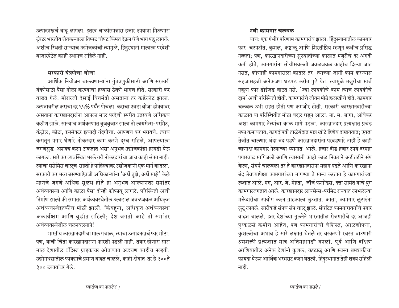उत्पादनखर्च वाढू लागला. इतरत्र चाळीसपन्नास हजार रुपयांना मिळणारा टॅक्टर भारतीय शेतकऱ्याला तिप्पट चौपट किंमत देऊन घेणे भाग पडू लागले. अशीच स्थिती साऱ्याच उद्योजकांची त्यामुळे, हिंदुस्थानी मालाला परदेशी बाजारपेठेत काही स्थानच राहिले नाही.

### $\overline{H}$ मरकारी यंत्रणेचा बोजा

आर्थिक नियोजन चालवणाऱ्यांना गुंतवणुकीसाठी आणि सरकारी यंत्रणेसाठी पैसा गोळा करण्याचा हव्यास ठेवणे भागच होते. सरकारी कर वाढत गेले. मोरारजी देसाई वित्तमंत्री असताना तर कडेलोट झाला. उत्पन्नावरील कराचा दर ९५% पर्यंत पोचला. कराचा एवढा बोजा डोक्यावर असताना कारखानदारांना आपला माल परदेशी स्पर्धेत उतरवणे अधिकच कठीण झाले. साऱ्याच अर्थकरणात बुजबुजाट झाला तो लायसेन्स-परमिट, कंट्रोल, कोटा, इन्स्पेक्टर इत्यादी गंदगीचा. आपणच कर भरायचे, त्याच करातून पगार घेणारे नोकरदार काम करणे दूरच राहिले, आपल्याला जगणेसुद्ध अशक्य करुन टाकतात असा अनुभव उद्योजकांन्ना हरघडी येऊ <u>लागला. सारे कर व्यवस्थित भरले तरी नोकरदारांचा जाच काही संपत नाही;</u> त्यांचा ससेमिरा चालूच राहतो हे पाहिल्यावर उद्योजकांनी एक मार्ग काढला. सरकारी कर भरत बसण्याऐवजी अधिकाऱ्यांना 'अर्धे तुझे, अर्धे माझे' केले म्हणजे जगणे अधिक सुलभ होते हा अनुभव आल्यानंतर समांतर अर्थव्यवस्था आणि काळा पैसा दोन्ही फोफावू लागले. परिस्थिती अशी निर्माण झाली की समांतर अर्थव्यवस्थेतील उलाढाल जवळजवळ अधिकृत अर्थव्यवस्थेइतकीच मोठी झाली. किंबहुना, अधिकृत अर्थव्यवस्था अकार्यक्षम आणि बुडीत राहिली; देश जगतो आहे तो समांतर अर्थव्यवस्थेजील चलनवलनाने!

भारतीय कारखानदारीचा माल गचाळ, त्याचा उत्पादनखर्च फार मोठा*.* पण, याची चिंता कारखानदारांना फारशी पडली नाही. तयार होणारा सारा माल देशातील बंदिस्त ग्राहकावर ओतण्यात अडचण काहीच नव्हती. उद्योगधंद्यातील फायद्याचे प्रमाण वाढत चालले, काही क्षेत्रांत तर हे २००ते ર૦૦ टक्क्यांवर गेले.

#### नवी कामगार चळवळ

याच: एक गंभीर परिणाम कामगारांव झाला. हिंदुस्थानातील कामगार फार चटपटीत, कुशल, कष्टाळू आणि शिस्तीप्रिय म्हणून कधीच प्रसिद्ध नव्हता; पण, कारखानदारीच्या सुरुवातीच्या काळात मजुरीचे दर अगदी कमी होते, कामगारांना सोयीसवलती जवळजवळ काहीच दिल्या जात नसत, कोणाही कामगाराला काढले तर त्याच्या जागी काम करण्यास सहजासहजी अनेकजण धडपड करीत पुढे येत. त्यामुळे मजुरीचा खर्च एकूण फार डोईजड वाटत नसे. <sup>'</sup>ज्या लायकीचे काम त्याच लायकीचे दाम' अशी परिस्थिती होती. कामगारांचे जीवन मोठे हलाखीचे होते. कामगार चळवळ उभी राहत होती पण कमजोर होती. सरकारी कारखानदारीच्या काळात या परिस्थितीत मोठा बदल घडून आला. ना. म. जागा, आंबेकर <u>अशा कामगार नेत्यांचा काळ मागे पडला. कारखानदार प्रत्यक्षात प्रचंड</u> नफा कमावतात, कागदोपत्री ताळेबंदात मात्र खोटे हिशेब दाखवतात; एवढा तेजीत चालणार धंदा बंद पडणे कारखानदारांना परवडणारे नाही हे काही चाणाक्ष कामगार नेत्यांच्या ध्यानात आले. हजार दीड हजार रुपये दरमहा पगारवाढ मागिजली आणि त्यासाठी काही काळ निकराने अटीतटीने संप केला, संघर्ष चालवला तर ते कारखानदारांना महाग पडते आणि कारखाना कंद ठेवण्यापेक्षा कामगारांच्या मागण्या ते मान्य करतात हे कामगारांच्या लक्षात आले. मग, आर. जे. मेहता, जॉर्ज फर्नांडिस, दत्ता सामंत यांचे युग कामगारजगतात आले. कारखानदार लायसेन्स-परमिट राज्यात लाभलेल्या मक्तेदारीचा उपयोग करुन ग्राहकाला लुटतात. आता, कामगार लुटारुंना लुटू लागले. सारीकडे संपच संप चालू झाले. संघटित कामगारावर्गाचे पगार वाढत चालले. इतर देशांच्या तुलनेने भारतातील रोजगारीचे दर आजही पुष्कळसे कमीच आहेत, पण कामगारांची बेशिस्त, आळशीपणा, कुशलतेचा अभाव हे सारे लक्षात घेतले तर वरकरणी स्वस्त वाटणारी श्रमशक्ती प्रत्यक्षात मात्र अतिमहागडी बनली. पूर्व आणि दक्षिण आशियातील अनेक देशांनी कुशल, कष्टाळू आणि स्वस्त श्रमशक्तीचा फायदा घेऊन आर्थिक भरभराट करुन घेतली. हिंदुस्थानात तेही शक्य राहिली नाही.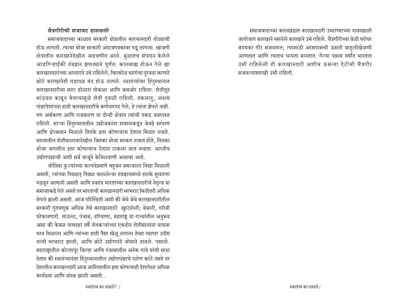#### चैत्रगौरीची सजावट ढासळली

समाजवादाच्या काळात सरकारी क्षेत्रातील कारचानदारी तोट्याची होऊ लागली. त्याचा बोजा सरकारी अंदाजपत्रकावर पडू लागला. खाजगी क्षेत्रातील कारखानेदेखील अडचणीत आले. मुळातच संपादन केलेले आडगिऱ्हाईकी तंत्रज्ञान झपाट्याने पूर्णत: कालबाह्य होऊन गेले ह्या कारखानदारांच्या आधाराने उभे राहिलेले, किरकोळ भागांचा पुरवठा करणारे छोटे कारखानेही धडाधड बंद होऊ लागले. स्वातंत्र्योत्तर हिंदुस्थानात कारखानदारीचा सारा डोलारा पोकळा आणि कमजोर राहिला. शेतीतून भांडवल काढून घेतल्यामुळे शेती दुबळी राहिली. तकलादु, अक्षम पांढरपेशांच्या हाती कारखानदारीचे कर्णधारपद गेले; ते त्यांना झेपले नाही. पण अर्थकरण आणि राजकारण या दोन्ही क्षेत्रांत त्यांची पकड जबरदस्त राहिली. साऱ्या हिंदुस्थानातील उद्योजकांना शासनाकडून जेवढे सरंक्षण आणि प्रोत्साहन मिळाले तितके इतर कोणत्याच देशात मिळत नव्हते. भारतातील शेतीमालावरदेखील जितका बोजा सरकार टाकत होते, तितका बोजा जगातील इतर कोणत्याच देशात टाकला जात नव्हता. भारतीय उद्योगधंद्याची अशी सर्व बाजूने केविलवाणी अवस्था आहे.

जोतिबा फुल्यांच्या कल्पनेप्रमाणे बहुजन समाजाला विद्या मिळाली असती, त्यांच्या पिढ्यान् पिढ्या चाललेल्या तंत्रज्ञानामध्ये हलके सुधारणा घडवून आणली असती आणि स्वतंत्र भारताच्या कारखानदारीचे नेतृत्व या समाजाकड़े गेले असते तर भारताची कारखानदारी भरभराट कितीतरी अधिक वेगाने झाली असती. आज परिस्थिती अशी की जेथे जेथे कारखानदारीतील सरकारी गुंतवणूक अधिक तेथे कारखानदारी खुरटलेली; बेकारी, गरीबी फोफावणारी. याउलट, पंजाब, हरियाणा, महाराष्ट्र या राज्यांतील अनुभव असा की केवळ पाचदहा वर्षे शेतकऱ्यांच्या एकदोन शेतीमालांना माफक भाव मिळाला आणि त्यांच्या हाती पैसा खेळू लागला तेव्हा व्यापार उदीम यांची भरभराट झाली, आणि छोटे उद्योगधंदे जोमाने वाढले. पसरले. महाराष्ट्रातील कोल्हापूर जिल्हा आणि पंजाबातील अनेक गावे यांची साक्ष देतात की स्वातंत्र्यानंतर हिंदुस्थानातील उद्योगधंद्याचे धारेण करंटे नसते तर देशातील कारखानदारी आज आशियातील इतर कोणत्याही देशापेक्षा अधिक कार्यक्षम आणि संपन्न झाली असती..

समाजवादाच्या कालखंडात कारखानदारी उभारण्याच्या नावाखाली जागोजाग कारखाने नसलेले कारखाने उभे राहिले. चैत्रगौरीच्या वेळी घरोघर बाायका गौर सजवतात; त्यासाठी आसपासची ऊसनी बाहुलीखेळणी आणतात आणि त्यातच धन्यता मानतात. गेल्या पन्नास वर्षांत भारतात उभी राहिलेली ही कारखानदारी अशीच ऊसन्या ऐटीची चैत्रगौर सजवल्यासारखी उभी राहिली.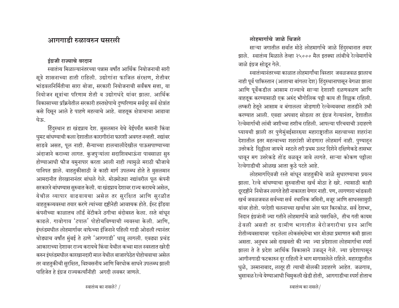## आगगाडी रुळावरुन घसरली

#### इंग्रजी राज्याचे वरदान

स्वातंत्र्य मिळाल्यानंतरच्या पन्नास वर्षांत आर्थिक नियोजनाची सारी सूत्रे शासनाच्या हाती राहिली. उद्योगांना फाजिल संरक्षण, शेतीवर भांडवलनिर्मितीचा सारा बोजा, सरकारी नियोजनाची सर्वंकष सत्ता, या नियोजन सुत्रांचा परिणाम शेती व उद्योगधंदे यांवर झाला. आर्थिक विकासाच्या प्रक्रियेतील सरकारी हस्तक्षेपाचे दुष्परिणाम सर्वदूर सर्व क्षेत्रांत कसे दिसून आले हे पाहणे महत्वाचे आहे. वाहतूक क्षेत्राचाचा आढावा घेऊ.

हिंदुस्थान हा खंडप्राय देश. मुसलमान येथे येईपर्यंत कमानी किंवा घुमट बांधण्याची कला देशातील कारागीरांना फारशी अवगत नव्हती. नद्यांवर साडवे असत, पूल नाही. सैन्याच्या हालचालीदेखील पाऊसपाण्याच्या अंदाजाने कराव्या लागत. कुजपुऱ्यांला सदाशिवभाऊंना पावसाळा सुरु होण्याआधी फौज यमुनापार करता आली नाही त्यामुळे मराठी फौजाचे पानिपत झाले. वाहतुकीसाठी जे काही मार्ग उपलब्ध होते ते मुसलमान आमदानीत शेरखानानंतर बांधले गेले. मोठमोठ्या नद्यांवरील पूल कंपनी सरकारने बांधण्यास सुरुवात केली. या खंडप्राय देशावर राज्य करायचे असेल, येथील व्यापार वाढवायचा असेल तर सुरक्षिात आणि सुरळीत वाहतुकव्यवस्था तयार करणे त्यांच्या दृष्टीनेही आवश्यक होते. ईस्ट इंडिया कंपनीच्या काळातच लॉर्ड बेंटीकने ठगीचा बंदोबस्त केला. रस्ते बांधून काढले. गावोगाव 'टपाल' पोहोचविण्याची व्यवस्था केली. आणि. इंग्लंडमधील लोहमार्गावर वाफेच्या इंजिनाने पहिली गाडी ओढली त्यानंतर थोड्याच वर्षांत मुंबई ते ठाणे 'आगगाडी' धावू लागली. एवढ्या प्रचंड आकाराच्या देशावर राज्य करायचे किंवा येथील कच्चा माल स्वस्तात खरेदी करुन इंग्लंडमधील कारखानदारी माल येथील बाजारपेठेत पोहोचवाचा असेल तर वाहतुकीची सुरक्षित, विश्वसनीय आणि बिरधोक साधने उपलब्ध झाली पाहिजेत हे इंग्रज राज्यकर्त्यांनीही अगदी लवकर जाणले.

## लोहमार्गाचे जाळे थिजले

साऱ्या जगातील सर्वात मोठे लोहमार्गाचे जाळे हिंदुस्थानात तयार झाले. स्वातंत्र्य मिळाले तेव्हा २५००० मैल इतक्या लांबीचे रेल्वेमार्गाचे जाळे इंग्रज सोडून गेले.

स्वातंत्र्यानंतरच्या काळात लोहमार्गांचा विस्तार जवळजवळ झालाच नाही पूर्व पाकिस्तान (आताचा बांगला देश) हिंदुस्थानापासून वेगळा झाला आणि पूर्वेकडील आसाम राज्याचे साऱ्या देशाशी दळणवळण आणि वाहतूक करण्यासाठी एक अरुंद भौगोलिक पट्टी काय ती शिल्लक राहिली. लष्करी हेतूने आसाम व बंगालला जोडणारी रेल्वेव्यवस्था तातडीने उभी करण्यात आली. एवढा अपवाद सोडला तर इंग्रज गेल्यानंतर, देशातील रेल्वेमार्गाची लांबी जशीच्या तशीच राहिली. आपल्या परिचयाची उदाहरणे घ्यायची झाली तर पुणेमुंबईसारख्या महाराष्ट्रातील महत्वाच्या शहरांना देशातील इतर महत्वाच्या शहरांशी जोडणारा लोहमार्ग नाही. पुण्याहून उत्तरेकडे दिल्लीला जायचे म्हटले तरी प्रथम उलट दिशेने दक्षिणेकडे तासभर धावून मग उत्तरेकडे तोंड वळवून जावे लागते. साऱ्या कोकण पट्टीला रेल्वेगाडीची ओळख आता कुठे पटते आहे.

लोहमार्गाऐवजी रस्ते बांधून वाहतुकीचे जाळे सुधारण्याचा प्रयत्न झाला. रेल्वे बांधण्याचा सुरुवातीचा खर्च मोठा हे खरे. त्यासाठी काही दूरदृष्टीने नियोजन लागते हेही नाकारता येणार नाही. पण, लागणारा भांडवली खर्च जवळजवळ सर्वच्या सर्व स्थानिक जमिनी, मजूर आणि साधनसामुग्री यांवर होतो. परदेशी चलनाच्या खर्चाचा अंश फार किरकोळ. सर्व देशभर, निदान इंग्रजांनी ज्या गतीने लोहमार्गाचे जाळे पसरविले. तीच गती कायम ठेवली असती तर ग्रामीण भागातील बेरोजगारीचा पश्न आणि शेतीव्यवसायावर पडलेला लोकसंख्येचा भार मोठ्या प्रमाणात कमी झाला असता. अनुभव असे दाखवतो की ज्या ज्या प्रदेशाला लोहमार्गाचा स्पर्श झाला ते ते प्रदेश आर्थिक विकासाने उजळून गेले. ज्या प्रदेशापासून आगीनगाडी फटकारुन दूर राहिली ते भाग मागासलेले राहिले. महाराष्ट्रातील धुळे, उस्मानाबाद, लातूर ही त्याची बोलकी उदाहरणे आहेत. जळगाव, भुसावळ रेल्वे येण्याआधी चिमुकली खेडी होती, आगगाडीचा स्पर्श होताच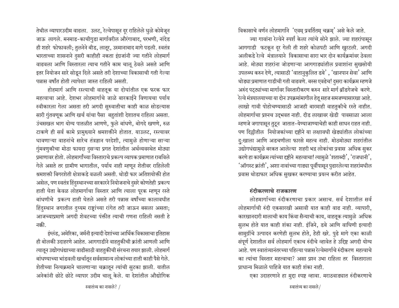तेथील व्यापारउदीम वाढला. उलट, रेल्वेपासून दूर राहिलेले धुळे कोमेजून जाऊ लागले. मनमाड-काचीगुडा मार्गावरील औरंगाबाद, परभणी, नांदेड ही शहरे फोफावली; तुलनेने बीड, लातूर, उस्मानाबाद मागे पडली. स्वतंत्र भारताच्या शासनाने दुसरी काहीही नकता इंग्रजांनी ज्या गतीने लोहमार्ग वाढवला आणि विस्तारला त्याच गतीने काम चालू ठेवले असते आणि इतर नियोजन सारे सोडून दिले असते तरी देशाच्या विकासाची गती गेल्या पन्नास वर्षांत होती त्यापेक्षा जास्त राहिली असती.

होहमार्ग आणि रस्त्याची वाहतूक या दोघांतील एक फरक फार महत्वाचा आहे. देशभर लोहमार्गाचे जाळे बारकाईने विणायचा पर्याय स्वीकारला गेला असता तरी अगदी सुरुवातीचा काही काळ सोडल्यास सारी गुंतवणूक आणि खर्च यांचा पैसा बहुतांशी देशातच राहिला असता. उंचसखल भाग योग्य पातळीत आणणे, फुले बांधणे, बोगदे खणणे, रुळ टाकणे ही सर्व कामे प्रामुख्याने श्रमशक्तीने होतात. याउलट, रस्त्यावर धावणाऱ्या वाहनांचे सारेच तंत्रज्ञान परदेशी, त्यामुळे होणाऱ्या साऱ्या गुंमवणुकीचा मोठा फायदा दुसऱ्या प्रगत देशांतील अर्थव्यवस्थेत मोठ्या प्रमाणावर होतो. लोहमार्गांच्या विस्ताराचे प्रकल्प व्यापक प्रमाणात राबविले गेले असते तर ग्रामीण भागातील, पर्याय नाही म्हणून शेतीवर राहिलेली श्रमशक्ती बिगरशेती क्षेत्राकडे वळली असती. थोडी फार अतिशयोक्ती होत असेल, पण स्वतंत्र हिंदुस्थानच्या सरकारने नियोजनाचे दुसरे कोणतेही प्रकल्प हाती घेता केवळ लोहमार्गाचा विस्तार आणि त्याला पूरक म्हणून रस्ते बांधणीचे प्रकल्प हाती घेतले असते तरी पन्नास वर्षांच्या कालावधीत हिंदुस्थान जगातील दुय्यम राष्ट्रांच्या रांगेत तरी जाऊन बसला असता; आजच्याप्रमाणे अगदी शेवटच्या पंक्तीत त्याची गणना राहिली नसती हे नक्री

इंग्लंड, अमेरिका, जर्मनी इत्यादी देशांच्या आर्थिक विकासाचा इतिहास ही बोलकी उदाहरणे आहेत. आगगाडीने वाहतुकीची क्रांती आणली आणि त्यातून उद्योगधंद्याच्या वाढीसाठी वाहतुकीची संरचना तयार झाली. लोहमार्ग बांधण्याच्या भांडवली खर्चातून सर्वसामान्य लोकांच्या हाती काही पैसे गेले. शेतीच्या नित्यक्रमाने चालणाऱ्या चक्रातून त्यांची सुटका झाली. यातील अनेकांनी छोटे छोटे व्यापार उदीम चालू केले. या देशांतील औद्योगिक विकासाचे वर्णन लोहमार्गाने 'एवम् प्रवर्तितम् चक्रम्' असे केले जाते. ज्या गावांना रेल्वेने स्पर्श केला त्यांचे सोने झाले. ज्या शहरांपासून आगगाडी फटकून दुर गेली ती शहरे कोळपटी आणि खुरटली. अगदी अलीकडे रेल्वे मंत्रालयाने विकासाचा सारा भार दोन कार्यक्रमांवर ठेवला आहे. मोठ्या शहरांना जोडणाऱ्या आगगाड्यांतील प्रवाशांना सुखसोयी उपलब्ध करुन देणे, त्यासाठी 'वातानुकुलित डबे', 'खानपान सेवा' आणि थोड्या प्रमाणात गाडीची गती वाढवणे. बस्स एवढेच! दुसरा कार्यक्रम म्हणजे अरुंद पट्ट्यांच्या मार्गावर विस्तारीकरण करुन सारे मार्ग ब्रॉडगेजचे करणे. रेल्वे मंत्रयालयाच्या या दोन उपक्रमांमागील हेतू सहज समजण्यासारखा आहे. लाखो गावी पोहोचण्यासाठी आजही बारमाही वाहतुकीचे रस्ते नाहीत. लोहमार्गाचा प्रश्नच उद्भवत नाही. दीड लाखावर खेडी पावसाळा आला म्हणजे जगापासून तुटून जातात-येण्याजाण्याचेही काही साधन राहत नाही. पण दिल्लीतील नियोजकांच्या दृष्टीने या लक्षावधी खेड्यांतील लोकांच्या दु:खाला आणि अडचणीला फारसे महत्व नाही. मोठमोठ्या शहरांतील उद्योगधंद्यामुळे बरकत आलेल्या शहरी भद्र लोकांचा प्रवास अधिक सुकर करणे हा कार्यक्रम त्यांच्या दृष्टीने महत्वाचा! त्यामुळे 'शताब्दी', 'राजधानी', 'ऑगस्ट क्रांती', अशा नावांच्या गाड्या पूर्वीपासून पुढारलेल्या शहरांमधील प्रवास थोडाफार अधिक सुखकर करण्याचा प्रयत्न करीत आहेत.

### रुंदीकरणाचे राजकारण

लोहमार्गाच्या रुंदीकरणाचा प्रकार असाच. सर्व देशातील सर्व लोहमार्गाची रुंदी एकसारखी असावी यात काही वाढ नाही. व्यापारी, कारखानदारी मालाची काय किंवा सैन्याची काय, वाहतूक त्यामुळे अधिक सुलभ होते यात काही शंका नाही. इंजिने, डबे आणि वाघिणी इत्यादी सामुग्रींचे उत्पादन करणेही सुलभ होते, हेही खरे. पुढे मागे एका काळी संपूर्ण देशातील सर्व लोहमार्ग एकाच रुंदीचे व्हावेत हे उद्दिष्ट अगदी योग्य आहे. पण स्वातंत्र्यानंतरच्या पहिल्या पन्नास रेल्वेमार्गाचे रुंदीकरण महत्वाचे का त्यांचा विस्तार महत्वाचा? असा प्रश्न उभा राहिला तर विस्ताराला प्राधान्य मिळाले पाहिजे यात काही शंका नाही.

एका उदाहरणाने हा मुद्दा स्पष्ट व्हावा. मराठवाड्यात रुंदीकरणाचे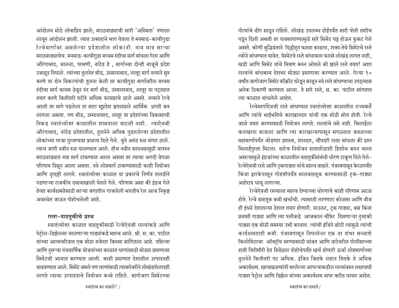आंदोलन मोठे लोकप्रिय झाले; मराठवाड्याची सारी 'अस्मिता' पणाला लावून आंदोलन झाली. त्यात उत्साहाने भाग घेतला ते मनमाड-काची<u>गु</u>डा रेल्वेमार्गावर असलेल्या प्रदेशातील लोकांनी. नाव मात्र साऱ्या मराठवाड्याचेच. मनमाड-काचीगुडा मध्यम रुंदीचा मार्ग बांधला गेला आणि औरंगाबाद, जालना, परभणी, नांदेड हे, मार्गाच्या दोन्ही बाजूचे प्रदेश उजळून निघाले. त्यांच्या तुलनेत बीड, उस्मानाबाद, लातूर मार्ग नव्याने सुरु करणे या दोन विकल्पांची तुलना केली तर काचीगुडा मार्गावरील मध्यम हंदीचा मार्ग कायम ठेवून रुंद मार्ग बीड, उस्मानाबाद, लातूर या पट्ट्यात तयार करणे कितीतरी पटीने अधिक फायद्याचे ठरले असते. नव्याने रेल्वे आली तर मागे पडलेला हा सारा भूप्रदेश झपाट्याने आर्थिक प्रगती करु लागला असता. पण बीड, उस्मानाबाद, लातूर या प्रदेशांच्या विकासाची निकड स्वातंत्र्योत्तर काळातील शासनाला वाटली नाही. त्याऐवजी औरंगाबाद, नांदेड प्रदेशातील, तुलनेने अधिक पुढारलेल्या प्रदेशातील लोकांच्या गरजा पुरवण्यास प्रधान्य दिले गेले. जुने अरुंद रुळ भंगार ठरले. त्याच जागी नवीन रुळ घालण्यात आले. हीच नवीन साधनसामुग्री वापरुन मराठवाड्यात नवा मार्ग टाकण्यात आला असता तर त्याचा अगदी वेगळा परिणाम दिसून आला असता. नवे लोहमार्ग टाकण्यासाठी काही नियोजन आणि दूरदृष्टी लागते. स्वातंत्र्योत्तर काळात या प्रकारचे निर्णय तातडीने पडणाऱ्या राजकीय दबावाखाली घेतले गेले. परिणाम असा की इंग्रज गेले तेव्हा कार्यक्षमतेसाठी साऱ्या जगातील गाजलेली भारतीय रेल आज निकृष्ट अवस्थेत जाऊन पोहोचलेली आहे.

### रस्ता-वाहतुकीचे प्रस्थ

स्वातंत्र्योत्तर काळात वाहतुकीसाठी रेल्वेऐवजी रस्त्यांकडे आणि पेटोल-डिझेलवर चालणाऱ्या गाड्यांकडे महत्व आले. श्री. स. का. पाटील यांच्या आत्मचरित्रात एक मोठा मजेदार किस्सा सांगितला आहे. पहिल्या आणि दुसऱ्या पंचवार्षिक योजनांच्या काळात धरणांसाठी मोठ्या प्रमाणावर सिमेंटची आयात करण्यात आली. काही प्रमाणात देशातील उत्पादनही वाढवण्यात आले. सिमेंट जमले पण धरणांसाठी त्याबरोबरीने लोखंडपोलादही <u>लागते त्याचा उत्पादनाचे नियोजन कच्चे राहिले. जागोजाग सिमेंटच्या</u> पोत्यांचे ढीग साठून राहिले. लोखंड उपलब्ध होईपर्यंत सारी पोती तशीच पडून दिली असती तर पावसापाण्यामुळे सारे सिमेंट घट्ट होऊन फुकट गेले असते. कोणी बुद्धिमंताने दिल्लीहन फतवा काढला, शक्य तेथे सिमेंटचे रस्ते त्वरेने बांधण्यात यावेत. सिमेंटचे रस्ते बांधायला फारसे लोखंड लागत नाही, *खडी आ*णि सिमेंट यांचे मिश्रण करुन ओतले की झाले रस्ते तयार! अशा रस्त्यांचे बांधकाम देशभर मोठ्या प्रमाणावर करण्यात आले. गेल्या १० वर्षांत जागोजाग सिमेंट कॉक्रीट फोडून काढून नवे रस्ते बांधण्याचा उपद्व्यास अनेक ठिकाणी करण्यात आला. ते सारे रस्ते, स. का. पाटील सांगतात त्या काळात बांधलेले आहेत.

रेल्वेमार्गाऐवजी रस्ते बांधण्यात स्वातंत्र्योत्तर काळातील राज्यकर्ते आणि त्यांचे भाईभतिचे कारखानदार यांची एक मोठी सोय होती. रेल्वे जाळे तयार करण्यासाठी नियोजन लागते. रस्त्यांचे तसे नाही. भिलाईला कारखाना काढला आणि त्या कारखान्यापासून सगळ्यात जवळच्या महामार्गापर्यंत जोडणार प्रशस्त, शानदार, चौपदरी रस्ता बांधला की प्रश्न भिलाईपुरता मिटला. सारेच नियोजन हातातोंडाशी हिशोब करुन चलत असल्यामुळे इंग्रजांच्या काळातील वाहतुकीसंबंधी धोरण टाकूण दिले गेले-रेल्वेऐवजी रस्ते आणि ट्कगाड्या यांचे महत्व वाढले. पंजाबपासून केरळपर्यंत किंवा द्वारकेपासून गोहत्तीपर्यंत मालवाहतूक करण्यासाठी ट्क-गाड्या अहोरात्र धाव लागल्या.

रेल्वेऐवजी रस्त्याला महत्व देण्याच्या धोरणाचे काही परिणाम अटळ होते. रेल्वे वाहतूक कमी खर्चाची. त्यासाठी लागणारा कोळसा आणि वीज ही इंधने देशातल्या देशात तयार होणारी. याउलट, ट्क गाड्या, बस किंवा प्रवासी गाड्या आणि त्या पलीकडे आजकाल चौफेर दिसणाऱ्या दुचाकी गाड्या एक मोठी समस्या उभी करतात. त्यांची इंजिने छोटी त्या<u>मु</u>ळे त्यांची कार्यक्षमताही कमी. पंजाबपासून निघालेला एक दर शंभर सव्वाशे किलोमिटरवर ऑक्ट्रॉय भरण्यासाठी थांबत आणि वाटेवरील पोलीसाच्या हाती चिरीमीरी देत त्रिवेंद्रला पोहोचेपर्यंत खर्च होणारी ऊर्जा लोहमार्गाच्या तुलनेने कितीतरी पट अधिक. इंजिन जितके लहान तितके ते अधिक अकार्यक्षम. खाचखळग्यांनी भरलेल्या आपल्याकडील रस्त्यांवरुन लक्षावधी गाड्या पेट्रोल आणि डिझेल यांच्या अकार्यक्षम वापर करीत धावत आहेत.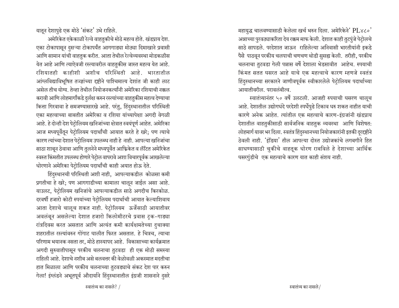यातून देशापुढे एक मोठे 'संकट' उभे राहिले.

अमेरिकेत एकेकाळी रेल्वे वाहतुकीचे मोठे महत्व होते. खंडप्राय देश. एका टोकापासून दुसऱ्या टोकापर्यंत आगगाड्या मोठ्या दिमाखाने प्रवासी आणि सामान यांची वाहतुक करीत. आता तेथील रेल्वेव्यवस्था मोडकळीस येत आहे आणि त्याऐवजी रस्त्यावरील वाहतुकीस जास्त महत्व येत आहे. रशियातही काहीशी अशीच परिस्थिती आहे. भारतातील आंग्लविद्याविभूषित तज्ज्ञांच्या दृष्टीने पाश्चिमात्य देशांत जी काही लाट असेल तीच योग्य. तेव्हा तेथील नियोजनकर्त्यांनी अमेरिका रशियाची नक्कल करावी आणि लोहमार्गांकडे दुर्लक्ष करुन रस्त्यांच्या वाहतुकीस महत्व देण्याचा कित्ता गिरवावा हे समजण्यासारखे आहे. परंतु, हिंदुस्थानातील परिस्थिती एका महत्वाच्या बाबतीत अमेरिका व रशिया यांच्यापेक्षा अगदी वेगळी आहे. हे दोन्ही देश पेट्रोलियम खनिजांच्या क्षेत्रात स्वयंपूर्ण आहेत. अमेरिका आज मध्यपूर्वेतून पेट्रोलियम पदार्थांची आयात करते हे खरे; पण त्याचे कारण त्यांच्या देशात पेट्रोलियम उपलब्ध नाही हे नाही. आपल्या खनिजांचा साठा शाबून ठेवावा आणि तुलनेने मध्यपूर्वेत आफ्रिकेत व लॅटित अमेरिकेत स्वस्त किंमतीत उपलब्ध होणारे पेट्रोल वापरावे अशा विचारपूर्वक आखलेल्या धोरणाने अमेरिका पेटोलियम पदार्थांची काही अयात होऊ देते.

हिंदुस्थानची परिस्थिती अशी नाही, आपल्याकडील कोळसा कमी प्रगतीचा हे खरे; पण आगगाडीच्या कामाला चालून जाईल असा आहे. याउलट, पेटोलियम खनिजांचे आपल्याकडील साठे अगदीच किरकोळ. दरवर्षी हजारो कोटी रुपयांच्या पेट्रोलियम पदार्थाची आयात केल्याशिवाय आता देशाचे चालूच शकत नाही. पेट्रोलियम ऊर्जेसाठी आयातीवर अवलंबून असलेल्या देशात हजारो किलोमीटरचे प्रवास ट्रक-गाड्या रांत्रदिवस करत असतात आणि अत्यंत कमी कार्यक्षमतेच्या दुचाक्या शहरातील रस्त्यांवरुन गोंगाट घालीत फिरत असतात. हे चित्रच. त्याचा परिणाम भयानक नसता तर, मोठे हास्यापद आहे. विकासाच्या कार्यक्रमात अगदी सुरुवातीपासून परकीय चलनाचा तुटवडा ही एक मोठी समस्या राहिली आहे. देशाचे नशीब असे बलवत्तर की वेळोवळी अकस्मात मदतीचा हात मिळाला आणि परकीय चलनाच्या तुटवड्याचे संकट देश पार करुन गेला! इंग्लंडने अभूतपूर्व औदार्याने हिंदुस्थानातील इंग्रजी शासनाने दुसरे महायुद्ध चालवण्यासाठी केलेला खर्च भरुन दिला. अमेरिकेने' PL४८०' अन्नाच्या पुरवठ्याकरिता देय रक्कम माफ केली. देशात काही तुटपुंजे पेटोलचे साठे सापडले. परदेशात जाऊन राहिलेल्या अनिवासी भारतीयांनी इकडे पैसे पाठवून परकीय चलपाची चणचण थोडी सुसह्य केली. तरीही, परकीय चलनाचा तुटवडा गेली पन्नास वर्षे देशाला भेडसावीत आहेच. रुपयाची किमत सतत घसरत आहे याचे एक महत्वाचे कारण म्हणजे स्वतंत्र हिंदुस्थानच्या सरकारने जाणीवपूर्वक स्वीकारलेले पेट्रोलियम पदार्थाच्या आयातीवरील. परावलंबीत्व.

स्वातंत्र्यानंतर ५० वर्षे उलटली. आजही रुपयाची घसरण चालूच आहे. देशातील उद्योगधंदे परदेशी स्पर्धेपुढे टिकाव धरु शकत नाहीत याची कारणे अनेक आहेत. त्यांतील एक महत्वाचे कारण-इंग्रजांनी खंडप्राय देशातील वाहतुकीसाठी सार्वजनिक वाहतुक व्यवस्था आणि विशेषत: लोहमार्ग यावर भर दिला. स्वतंत्र हिंदुस्थानच्या नियोजकारांनी इतकी दूरदृष्टीने ठेवली नाही. 'इंडिया' तील आपल्या दोस्त उद्योजकांचे लगबगीने हित साधण्यासाठी चुकीचे वाहतूक धोरण राबविले हे देशाच्या आर्थिक घसरगुंडीचे एक महत्वाचे कारण यात काही संशय नाही.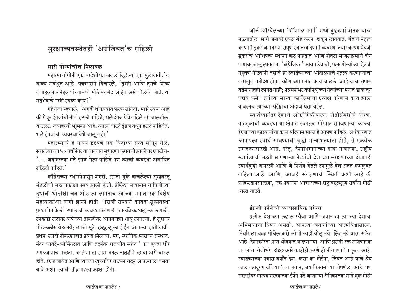## सुरक्षाव्यवस्थेतही 'अग्रेजियत'च राहिली

## सारी गोऱ्यांचीच पिलावळ

महात्मा गांधीनी एका परदेशी पत्रकाराला दिलेल्या एका मुलाखतीतील वाक्य सर्वश्नुत आहे. पत्रकाराने विचारले, 'तुम्ही आणि तुमचे शिष्य जवाहरलाल नेहरु यांच्यामध्ये मोठे मतभेद आहेत असे बोलले जाते. या मतभेदांचे नक्की स्वरुप काय?'

गांधीजी म्हणाले. 'अगदी थोडक्यात फरक सांगतो. माझे स्वप्न आहे की येथून इंग्रजांची नीती हटली पाहिजे, भले इंग्रज येथे राहिले तरी चालतील. याउलट, जवाहरची भूमिका आहे. त्याला वाटते इंग्रज येथून हटले पाहिजेत, भले इंग्रजांची व्यवस्था येथे चालू राहो.'

महात्म्याचे हे वाक्य दृष्ठेपणे एक विदारक सत्य सांगून गेले. स्वातंत्र्याच्या ५० वर्षानंतर या वाक्यात सुधारणा करायची झाली तर एवढीच-.....जवाहरच्या मते इंग्रज गेला पाहिजे पण त्याची व्यवस्था अबाधित राहिली पाहिजे.'

काँग्रेसच्या स्थापनेपासून शहरी, इंग्रजी बुके वाचलेल्या सुखवस्तू मंडळींची महत्वाकांक्षा स्पष्ट झाली होती. इंग्लिश भाषानाम वाघिणीच्या दुधाची थोडीशी चव ओठाला लागताच त्यांच्या मनात एक विशेष महत्वाकांक्षा जागी झाली होती. 'इंग्रजी राज्याने कायदा सुव्यवस्था प्रस्थापित केली, टपालाची व्यवस्था आणली, तारयंत्रे कडकट्ट करु लागली, लोखंडी रुळावर वाफेच्या ताकदीवर आगगाड्या धावू लागल्या. हे सुराज्य मोडकळीस येऊ नये; त्याची सूत्रे, हळूहळू का होईना आपल्या हाती यावी. प्रथम सनदी नोकरशाहीत प्रवेश मिळावा. मग, स्थानिक स्वराज्य संस्थात. नंतर कायदे-कौन्सिलात आणि तदुनंतर राजकीय सत्तेत.' पण एवढा धीर सगळ्यांनाच नव्हता. काहींना हा सारा बदल तातडीने व्हावा असे वाटल होते. इंग्रज जावेत आणि त्यांच्या खुर्च्यांवर चटकन चढून आपल्याला बसता यावे अशी त्यांची तीव महत्वाकांक्षा होती.

जॉर्ज ऑरवेलच्या 'ॲनिमल फार्म' मध्ये दुष्टकर्मा शेतकऱ्याला मळ्यातील सारी जनावरे एकत्र बंड करुन हाकून लावतात. बंडाचे नेतृत्व करणारी डुकरे जनावरांना संपूर्ण स्वातंत्र्य देणारी व्यवस्था तयार करण्याऐवजी डुकरांचे आधिपत्य स्थापन करु पाहतात आणि शेवटी माणसाप्रमाणे दोन पायावर चालू लागतात. 'अंग्रेजियत' कायम ठेवावी, फक्त गोऱ्यांच्या ऐवजी गहवर्ण नेटिवांनी बसावे हा स्वातंत्र्याच्या आंदोलनाचे नेतृत्व करणाऱ्यांचा खराखुरा मनोदय होता. कोणाच्या मनात काय चालले आहे याचा तपास वर्तमानातही लागत नाही; पन्नसशंभर वर्षांपूवीच्या नेत्यांच्या मनात डोकावून पहावे कसे? त्यांच्या साऱ्या कार्यक्रमाचा प्रत्यक्ष परिणाम काय झाला यावरुनच त्यांच्या उद्दिष्टांचा अंदाज घेता येईल.

स्वातंत्र्यानंतर देशाचे औद्योगिकीकरण, शेतीसंबंधीचे धोरण, वाहतुकीची व्यवस्था या क्षेत्रांत स्वत:ला गोरेपान समजणाऱ्या काळ्या इंग्रजांच्या कारवायांचा काय परिणाम झाला हे आपण पाहिले. अर्थकारणात आपापला स्वार्थ साधण्याची बुद्धी भल्याभल्यांना होते, ते एकवेळ समजण्यासारखे आहे. परंतू, देशाभिमानाच्या गाथा गाणाऱ्या, राष्ट्रीय स्वातंत्र्याची महती सांगणाऱ्या नेत्यांची देशाच्या संरक्षणाच्या क्षेत्रातही स्वार्थबुद्धी वापरली आणि जे निर्णय घेतले त्यामुळे देश सतत कमकुवत राहिला आहे. आणि, आजही संरक्षणाची स्थिती अशी आहे की पाकिस्तानसारख्या, एक नवमांश आकाराच्या राष्ट्राबद्दलसुद्ध सर्वांना मोठी धास्त वाटते.

## इंग्रजी फौजेची व्यावसायिक परंपरा

प्रत्येक देशाच्या लढाऊ फौजा आणि जवान हा त्या त्या देशाचा अभिमानाचा विषय असतो. आपल्या जवानांच्या आत्मविश्वासाला. निर्धाराला धक्का पोचेल असे कोणी काही बोलू नये, लिह नये असा संकेत आहे. देशाकरिता प्राण धोक्यात घालणाऱ्या आणि प्रसंगी रक्त सांडणाऱ्या जवानांचा तेजोभंग होईल असे काहीही करणे ही नीचपणाचेच कृत्य आहे. स्वातंत्र्याच्या पन्नास वर्षांत देश, कसा का होईना, जिवंत आहे याचे श्रेय लाल बहादुरशास्त्रींच्या 'जय जवान, जय किसान' या घोषणेला आहे. पण सरहद्दीवर मारण्यामरण्याच्या ईर्षेने पुढे जाणाऱ्या सैनिकाच्या मागे एक मोठी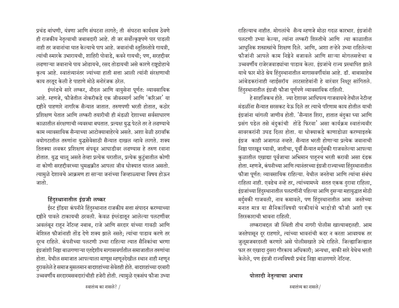प्रचंड बांधणी, यंत्रणा आणि संघटना लागते; ती संघटना कार्यक्षम ठेवणे ही राजकीय नेतृत्वाची जबाबदारी आहे. ती जर सर्वोत्कृष्टपणे पार पाडली नाही तर जवानांचा घात केल्याचे पाप आहे. जवानांची स्तुतिस्तोत्रे गायत्री, त्यांची स्मारके उभारायची, शाहिरी पोवाडे, कवने गायची; पण, सरहद्दीवर लढणाऱ्या जवानाचे पाय ओढायचे, रसद तोडायची असे कारणे राष्ट्रद्रोहाचे कृत्य आहे. स्वातंत्र्यानंतर ज्यांच्या हाती सत्ता आली त्यांनी संरक्षणाची काय तरतूद केली हे पाहाणे मोठे मनोरंजक ठरेल.

इंग्लंडचे सारे लष्कर, नौदल आणि वायुसेना पूर्णत: व्यावसायिक आहे. म्हणजे, फौजेतील नोकरीकडे एक जीवनमार्ग आणि 'करिअर' या दृष्टीने पाहणारे नागरिक सैन्यात जातात. तरुणपणी भरती होतात, कठोर प्रशिक्षण घेतात आणि लष्करी तयारीची ही मंडळी देशाच्या सर्वसाधारण काळातील संरक्षणाची व्यवस्था बघतात. प्रत्यक्ष युद्ध पेटले तर ते लढण्याचे काम व्यावसायिक सैन्याच्या आटोक्याबाहेरचे असते. अशा वेळी ठरावकि वयोगटातील तरुणांना युद्धसेवेसाठी सैन्यात दाखल व्हावे लागते. शक्य तितक्या लवकर प्रशिक्षण संपवून आघाडीवर लढण्यास हे तरुण खाना होतात. युद्ध चालू असते तेव्हा प्रत्येक घरातील, प्रत्येक कुटुंबातील कोणी ना कोणी सरहद्दीवरच्या धुमश्चक्रीत आपला जीव धोक्यात घालत असतो. त्यामुळे देशावचे आक्रमण हा साऱ्या जनांच्या जिव्हाळ्याचा विषय होऊन जातो.

#### हिंदुस्थानातील इंग्रजी लष्कर

ईस्ट इंडिया कंपनीने हिंदुस्थानात राजकीय सत्ता संपादन करण्याच्या दृष्ठीने पावले टाकायची ठरवली. केवळ इंग्लंडातून आलेल्या पलटणींवर अवलंबून राहून नेटिव्ह नबाब, राजे आणि सरदार यांच्या गावठी आणि बेशिस्त फौजांनाही तोंड देणे शक्य झाले नसते; त्यांचा पाडाव करणे तर दुरच राहिले. कंपनीच्या पलटणी उभ्या राहिल्या त्यात सैनिकांचा भरणा इंग्रजांशी निष्ठा बाळगणाऱ्या एतद्देशीय मागासवर्गातील समाजातील तरुणांचा होता. येथील समाजात आपल्याला माणूस म्हणूनदेखील स्थान नाही म्हणून दुरावलेले हे समाज मुसलमान बादशहांच्या सेवेतही होते. बादशहांच्या दरबारी उच्चवर्णीय सरदारमसबदारांचीही हजेरी होती. त्यामुळे एकसंघ फौजा उभ्या राहिल्याच नाहीत. मोगलांचे सैन्य म्हणजे मोठा गदळ कारभार. इंग्रजांनी पलटणी उभ्या केल्या, त्यांना लष्करी शिस्तीचे आणि त्या काळातील आधुनिक शस्त्रास्त्रांचे शिक्षण दिले. आणि, अशा तऱ्हेने उभ्या राहिलेल्या फौजांनी आपले काम निष्ठेने बजावले आणि साऱ्या मोगलसत्तेचा व उच्चवर्णीय राजेरजवाड्यांचा पाडाव केला. इंग्रजांचे राज्य प्रस्थापित झाले याचे फार मोठे श्रेय हिंदुस्थानातील मागासवर्गीयांस आहे. डॉ. बाबासाहेब आंबेडकरांनाही व्हाईसरॉय लाटसाहेबांनी हे वारंवार निक्षूर सांगितले. हिंदुस्थानातील इंग्रजी फौजा पूर्णपणे व्यावसायिक राहिली.

हे साहजिकच होते. ज्या देशावर आधिपत्य गाजवायचे तेथील नेटीव्ह मंडळींना सैन्यात सरसकट येऊ दिले तर त्याचे परिणाम काय होतील याची इंग्रजांना चांगली जाणीव होती. 'सैन्यात शिरा, हातात बंदुका घ्या आणि प्रसंग पडेल तसे बंदुकांची तोंडे फिरवा' असा कार्यक्रम स्वातंत्र्यवीर सावरकरांनी उघड दिला होता. या धोक्याकडे काणाडोळा करण्याइतके इंग्रज काही अजागळ नव्हते. सैन्यात भरती होणाऱ्या प्रत्येक जवानाची निष्ठा पारखून घ्यावी, जातीचा, पूर्वी सैन्यात मर्दुमकी गाजवलेल्या आपल्या कुळातील एखाद्या पूर्वजाचा अभिमान पाहनच भरती करावी असा दंडक होता. म्हणजे, कंपनीच्या आणि त्यानंतरच्या इंग्रजी राज्याच्या हिंदुस्थानातील फौजा पूर्णत: व्यावसायिक राहिल्या. येथील जनतेचा आणि त्यांचा संबंध राहिला नाही. एवढेच नव्हे तर, त्यांच्यामध्ये सतत एकक दुरावा राहिला, इंग्रजांच्या हिंदुस्थानातील पलटणींनी पहिल्या आणि दुसऱ्या महायुद्धात मोठी मर्दुमकी गाजवली, नाव कमावले, पण हिंदुस्थानातील आम जनतेच्या मनात मात्र या सैनिकांविषयी परकीयांचे भाडोत्री फौजी अशी एक तिरस्काराची भावना राहिली.

लष्कराबद्दल जी स्थिती तीच नागरी पोलीस खात्याबद्दलही. आम जनतेपासून दुर राहणारे, त्यांच्या भावनांची कदर न करता आवश्यक तर जुलूमजबरदस्ती करणारे असे पोलीसखाते उभे राहिले. जिल्ह्याजिल्ह्यात फार तर एखादा दुसरा गौरकाय अधिकारी; अन्यथा, बाकी सारे येथेच भरती केलेले, पण इंग्रजी राज्यविषयी प्रचंड निष्ठा बाळगणारे नेटिव्ह.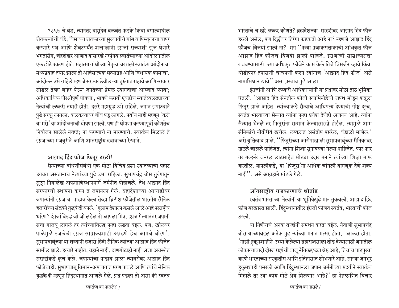१८५७ चे बंड, त्यानंतर वासुदेव बळवंत फडके किंवा बंगालमधील शेतकऱ्यांची बंडे, विसाव्या शतकाच्या सुरुवातीचे बॉंब व पिस्तुलाचा वापर करणारे पंथ आणि शेवटपर्यंत शस्त्रास्त्रांनी इंग्रजी राज्याशी झूंज घेणारे भगतसिंग, चंद्रशेखर आजाद यांसारखे नरपुंगव स्वातंत्र्याच्या आंदोलनातील एक छोटे प्रकरण होते. महात्मा गांधीच्या नेतृत्वाचखाली स्वातंत्र्य आंदोनाचा मध्यप्रवाह तयार झाला तो अहिंसात्मक सत्याग्रह आणि विधायक कामांचा. आंदोलन उभे राहिले म्हणजे सरकार ठेवील त्या तुरुंगात राहावे आणि सरकार सोडेल तेव्हा बाहेर येऊन जनतेच्या प्रेमळ स्वागताचा आस्वाद घ्यावा: अधिकाधिक वीरश्रीपूर्ण घोषणा , भाषणे करावी एवढीच स्वातंत्र्यलढ्याच्या नेत्यांची लष्करी तयारी होती. दुसरे महायुद्ध उभे राहिले. जपान झपाट्याने पुढे सरकू लागला. कलकत्यावर बॉब पडू लागले. पर्याय नाही म्हणून 'करो या मरो' या आंदोलनाची घोषणा झाली. पण ही घोषणा करण्यापूर्वी कोणतेच नियोजन झालेले नव्हते; ना करण्याचे ना मारण्याचे. स्वातंत्र्य मिळाले ते इंग्रजांच्या मजबुरीने आणि आंतराष्ट्रीय दबावाच्या रेट्याने.

## आझाद हिंद फौज फितूर ठरली!

सैन्याच्या बांधणीसंबंधी एक मोठा विचित्र प्रश्न स्वातंत्र्याची पहाट उगवत असतानाच नेत्यांच्या पुढे उभा राहिला. सुभाषचंद्र बोस तुरुंगातून सुटून निघालेख अफगाणिस्थानमार्गे जर्मनीत पोहोचले. तेथे आझाद हिंद सरकारची स्थापना करुन ते जपानला गेले. ब्रह्मदेशाच्या आघाडीवर जपान्यांनी इंग्रजांचा पाडाव केला तेव्हा ब्रिटीश फौजेतील भारतीय सैनिक हजारोंच्या संख्येने युद्धकैदी बनले. 'गुलाम देशाला कसले आले आहे परराष्ट्रीय धारेण? इंग्रजांविरुद्ध जो जो लढेल तो आपला मित्र. इंग्रज गेल्यानंतर जपानी सत्ता गाजवू लागले तर त्यांच्याविरुद्ध पुन्हा लढता येईल. पण, खोलवर पाळेमुळे रुजलेली इंग्रज साम्राज्यशाही उखडणे हेच आमचे धोरण'. सुभाषबाबूंच्या या शब्दांनी हजारो हिंदी सैनिक त्यांच्या आझाद हिंद फौजेत सामील झाले. हत्यारे नाहीत, वहाने नाही, दाणगोटाही नाही अशा अवस्थेत सरहद्दीकडे कूच केले. जपान्यांचा पाडाव झाला त्याबरोबर आझाद हिंद फौजेचाही. सुभाषबाबू विमान-अपघातात मरण पावले आणि त्यांचे सैनिक युद्धकैदी म्हणून हिंदुस्थानात आणले गेले. प्रश्न पडला तो असा की स्वतंत्र भारताचे च खरे लष्कर कोणते? ब्रह्मदेशच्या सरहद्दीवर आझाद हिंद फौज हरली असेल, पण दिल्लीवर तिरंगा फडकतो आहे ना? म्हणजे आझाद हिंद फौजच विजयी झाली ना? मग<sup>''</sup>नव्या प्रजाकसत्ताकाची अधिकृत फौज आझाद हिंद फौजच विजयी झाली पाहिजे. इंग्रजांची साम्राज्यसत्ता राबवण्यासाठी ज्या अधिकृत फौजेने काम केले तिचे विसर्जन व्हावे किंवा थोडीफार तपासणी चाचपणी करुन त्यांनाच**ं** आझाद हिंद फौज' असे नामाभिधान द्यावे<sup>''</sup> असा प्रस्ताव पुढे आला.

इंग्रजांनी आणि लष्करी अधिकाऱ्यांनी या प्रश्नावर मोठी ताठ भूमिका घेतली. 'आझाद हिंद सेनेतील फौजी स्वामिनीष्ठेची शपथ मोडून शत्रूला फितूर झाले आहेत. त्यांच्याकडे सैन्याचे आधिपत्य देण्याची गोष्ट दुरच, स्वतंत्र भारताच्या सैन्यात त्यांना पुन्हा प्रवेश देणेही अशक्य आहे. त्यांना सैन्यात घेतले तर फितुरांना सन्मान केल्यासारखे होईल. त्यामुळे आम सैनिकांचे नीतीधैर्य खचेल. लष्करात असंतोष पसरेल, बंडाळी माजेल.' असे युक्तिवाद झाले. ''फितुरीच्या आरोपाखाली सुभाषबाबूंच्या सैनिकांवर *खटले चालले पाहिजेत, त्यांना शिक्षा सुनावल्या गेल्या पाहिजेत. फार फार* तर गव्हर्नर जनरल लाटसाहेब मोठ्या उदार मनाने त्यांच्या शिक्षा माफ करतील. यापलीकडे, या 'फितूरा'ना अधिक चांगली वागणूक देणे शक्य नाही $'$ . असे आग्रहाने मांडले गेले.

## आंतरराष्ट्रीय राजकारणाचे थोतांड

स्वतंत्र भारताच्या नेत्यांनी या भूमिकेपुढे मान तुकवली. आझाद हिंद फौज बरखास्त झाली. हिंदुस्थानातील इंग्रजी फौजत स्वतंत्र, भारताची फौज ठरली.

या निर्णयाचे अनेक तऱ्हांनी समर्थन करता येईल. नेताजी सुभाषचंद्र बोस यांच्याबद्दल अनेक पुढाऱ्यांच्या मनात मत्सर होता, आकस होता. 'नाझी हकूमशाहीने उभ्या केलेल्या ब्रह्मराक्षासाला तोंड देण्यासाठी जगातील लोकसत्तावादी दोस्त राष्ट्रांची बाजू नैतिकद्द्य्या श्रेष्ठ आहे, तिचाच पाठपुरवा करणे भारताच्या संस्कृतीस आणि इतिहासात शोभणारे आहे. साऱ्या जगभूर हुकूमशाही पसरली आणि हिंदुस्थानला जपान जर्मनीच्या मदतीने स्वातंत्र्य मिहाले तर त्या काय मोठे श्रेय मिळणार आहे?' हा नेहरुप्रणित विचार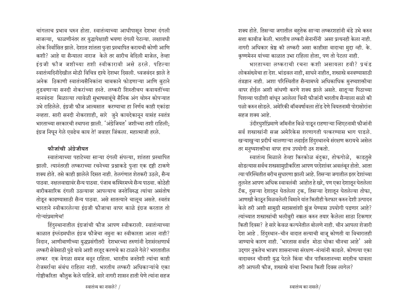चांगलाच प्रभाव धरुन होता. स्वातंत्र्याच्या आधीपासून देशभर दंगली माजल्या, फाळणीनंतर तर युद्धापेक्षाही भयणा दंगली पेटल्या. लक्षावधी लोक निर्वासित झाले. देशात शांतता पुन्हा प्रस्थापित करायची कोणी आणि कशी? आहे या सैन्याला नाराज केले तर सारीच बेदिली माजेल, तेव्हा इंग्रजी फौज जशीच्या तशी स्वीकारावी असे ठरले. पहिल्या स्वातंत्र्यदिनीदेखील मोठी विचित्र दृश्ये देशभर दिसली. ध्वजवंदन झाले ते अनेक ठिकाणी स्वातंत्र्यसैनिकांना चाबकाने फोडणाऱ्या आणि बुटाने तुडवणाऱ्या सनदी नोकरांच्या हस्ते. लष्करी शिस्तीचय कवायतींच्या मानवंदना मिळाल्या त्यावेळी सुभाषबाबूंचे सैनिक अंग चोरुन कोपऱ्यात उभे राहिलेले. इंग्रजी फौज आत्मसात करण्याचा हा निर्णय काही एकांडा नव्हता. सारी सनदी नोकरशाही, सारे जुने कायदेकानून यासंह स्वतंत्र भारताच्या सरकारची स्थापना झाली. 'अंग्रेजियत' जशीच्या तशी राहिली: इंग्रज निघून गेले एवढेच काय ते! जवाहर जिंकला. महात्माजी हरले.

## फौजांची अंगेजीयत

स्वातंत्र्याच्या पहाटेच्या साऱ्या दंगली संपल्या, शांतता प्रस्थापित झाली. त्यानंतरही लष्कराच्या रचनेच्या प्रश्नाकडे पुन्हा एक दृष्टी टाकणे शक्य होते. तसे काही झालेले दिसत नाही. तेलगंणात शेतकरी उठले, सैन्य पाठवा. नक्षालवाद्यावर सैन्य पाठवा. पंजाब कश्मिरमध्ये सैन्य पाठवा. कोठेही बारीकसारिक दंगली उठल्यावर आपल्याच जनतेविरुद्ध त्यांचा असंतोष तोडून काढण्यासाठी सैन्य पाठवा. असे सातत्याने चालूच असते. स्वतंत्र भारताने स्वीकारलेल्या इंग्रजी फौजाचा वापर काळे इंग्रज करतात तो गोऱ्यांप्रमाणेच!

हिंदुस्थानातील इंग्रजांची फौज आपण स्वीकराली. स्वातंत्र्याच्या काळात इंग्लंडमधील इंग्रज फौजेचा नमुना का स्वीकारता आला नाही? निदान, आणीबाणीच्या युद्धप्रसंगीतरी देशभरच्या तरुणांनी देशसंरक्षणार्थ लष्करी सेवेसाठी पुढे यावे अशी तरतूद करणचे का टाळले गेले? भारतातील लष्कर एक वेगळा समज बनून राहिला. भारतीय जनतेशी त्यांचा काही रोजमर्राचा संबंध राहिला नाही. भारतीय लष्करी अधिकाऱ्यांचे एका गोष्टीकरिता कौतुक केले पाहिजे. सारे नागरी शासन हाती घेणे त्यांना सहज

शक्य होते. तिसऱ्या जगातील बहुतेक साऱ्या लष्करशहांनी बंडे उभे करुन सत्ता काबीज केली. भारतीय लष्करी सेनानींनी असा प्रत्यनही केला नाही. नागरी अधिकार श्रेष्ठ की लष्करी असा काहीसा वादाचा मुद्दा व्ही. के. कृष्णमेनन यांच्या काळात उभा राहिला होता, पण तो पेटला नाही.

भारताच्या लष्कराची रचना कशी असायला हवी? प्रचंड लोकसंख्येचा हा देश. भांडवल नाही, साधने नाहीत, शस्त्रास्त्रे बनवण्यासाठी तंत्रज्ञान नाही. अशा परिस्थितीत सैन्यामध्ये अधिकाधिक मुनष्यशक्तीचा वापर होईल अशी बांधणी करणे शक्य झाले असते. सातूऱ्या पिठाच्या पिशव्या पाठीशी बांधून आलेला चिनी फौजांनी भारतीय सैन्याला सळो की पळो करुन सोडले. अमेरिकी बॉबवर्षावला तोंड देणे वियतनामी पोरासोरांना सहज शक्य आहे.

उंदीरघुशींप्रमाणे जमिनीत बिळे पाडून राहणाऱ्या व्हिएटनामी फौजांनी सर्व शस्त्रास्त्रांनी सज्ज अमेरिकेस शरणागती पत्करण्यास भाग पाडले. खऱ्याखुऱ्या प्रदीर्घ चालणाऱ्या लढाईत हिंदुस्थानचे संरक्षण करायचे असेल तर मनुष्यशक्तीचा वापर हाच उपयोगी ठरु शकतो.

स्वातंत्र्य मिळाले तेव्हा किरकोळ बंदुका, तोफगोळे, काडतुसे सोडल्यास सर्वच शस्त्रसामुग्रीकरिता आपण परदेशांवर अवलंबून होतो. आता त्या परिस्थितीत बरीच सुधारणा झाली आहे. तिसऱ्या जगातील इतर देशांच्या तुलनेत आपण अधिक स्वावलंबी आहोत हे खरे, पण एका देशातून घेतलेला टॅक, दुसऱ्या देशातून घेतलेला ट्रक, तिसऱ्या देशातून घेतलेल्या तोफा, आणखी केाठून मिळवलेली विमाने यांत कितीही फेरफार करुन देशी उत्पादन केले तरी अशी सामुग्री महासत्तांशी झुंज घेण्यास उपयोगी पडणार आहे? त्यांच्यात शस्त्रास्त्रांची भलीबुरी नक्कल करुन तयार केलेला साठा टिकणार किती दिवस? हे सारे केवळ कल्पनेतील बोलणे नाही. चीन आपला शेजारी देश आहे. हिंदुस्थान-चीन वादात सत्याची बाजू कोणती या विचारातही जाण्याचे कारण नाही. 'भारतास सर्वात मोठा धोका चीनचा आहे' असे उद्गार नुकतेच भाजप शासनाच्या संरक्षण-मंत्र्यांनी काढले. कोणत्या एका वादावरुन चीनशी युद्ध पेटले किंवा चीन पाकिस्तानच्या मदतीच धावला तरी आपली फौज, शस्त्रास्त्रे यांचा निभाव किती दिवस लागेल?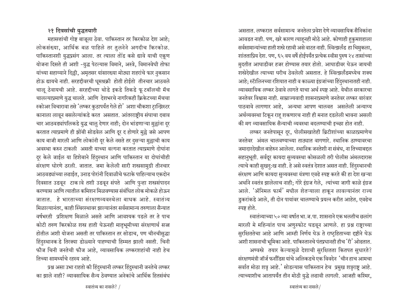## २१ दिवसांची युद्धतयारी

महासत्तांची गोष्ट बाजुला ठेवा. पाकिस्तान तर किरकोळ देश आहे: लोकसंख्या, आर्थिक बळ पाहिले तर तुलनेने अगदीच किरकोळ. पाकिस्तानशी युद्धप्रसंग आला. तर त्याला तोंड कसे द्यावे याची एकूण योजना दिसते ती अशी -युद्ध पेटल्यास विमाने, अस्त्रे, विमानवेधी तोफा यांच्या सहाय्याने दिल्ली, अमृतसर यांसारख्या मोठ्या शहरांचे फार नुकसान होऊ द्यायचे नाही. सरहद्दीवरची धूमश्रक्री होती होईतो तीनचार आठवले चालू ठेवायची आहे. सरहद्दीच्या थोडे इकडे तिकडे फूटबॉलची मॅच चालल्याप्रमाणे युद्ध चालते. आणि देशभरचे नागरिकही क्रिकेटच्या मॅचचा स्कोअर विचारावा तसे 'लष्कर कुठापर्यंत गेले हो' अशा चौकशा ट्रान्झिस्टर कानाला लावून बसलेल्यांकडे करत असतात. आंतरराष्ट्रीय संघाचा दबाव चार आठवड्यांपलिकडे युद्ध चालु देणार नाही; दोन भांडणाऱ्या मुल्लांना दुर करतात त्याप्रमाणे ही झोंबी सोडवेल आणि दूर द होणारे मुल्ले जसे आपण काय बाजी मारली आणि लोकांनी दूर केले नसते तर दुसऱ्या मुल्लाची काय अवस्था करुन टाकली असती याच्या वल्गना करतात त्याप्रमाणे दोघांना दूर केले जाईल या हिशेबाने हिंदुस्थान आणि पाकिस्तान या दोघांचीही संरक्षण धोरणे ठरली. जातात. जमा केलेली सारी शस्त्रसामुग्री तीनचार आठवड्यांच्या लढाईत, उनाड पोरांनी दिवाळीचे फटाके पाहिल्याच एकदोन दिवसात उडवून टाकावे तशी उडवून संपते आणि पुन्हा शस्त्रसंपादन करण्यास आणि त्यातील कमिशन मिळवण्यास संबंधित लोक मोकळे होऊन जातात. हे भारताच्या संरक्षाणव्यवस्थेला बाधक आहे. स्वातंत्र्य मिळाल्यानंतर. काही स्थिरस्थावर झाल्यानंतर सर्वसामान्य तरुणाला सैन्यात वर्षभरती प्रशिक्षण मिळाले असते आणि आवश्यक पडले तर ते पाच कोटी तरुण किरकोळ शस्त्र हाती घेऊनही मातृभूमीच्या संरक्षणार्थ सज्ज होतील अशी योजना असती तर पाकिस्तान तर सोडाच, पण चीनचीसुद्धा हिंदुस्थानक डे तिरक्या डोळ्याने पाहण्याची हिम्मत झाली नसती. चिनी फौज चिनी जनतेची फौज आहे. व्यावसायिक लष्करशहांची नाही हेच तिच्या सामर्थ्याचे रहस्य आहे.

प्रश्न असा उभा राहतो की हिंदुस्थानी लष्कर हिंदुस्थानी जनतेचे लष्कर का झाले नाही? व्यावसायिक सैन्य ठेवण्यात अनेकांचे आर्थिक हितसंबंध

असतात. लष्करात सर्वसामान्य जनतेला प्रवेश देणे व्यावसायिक सैनिकांना आवडत नाही. पण, खरे कारण त्याहनही मोठे आहे. कोणाही हकुमशहाला सर्वसामान्यांच्या हाती शस्त्रे रहावी असे वाटत नाही. स्वित्झर्लंड हा चिमुकला, शांतताप्रिय देश. पण, ६५ वय वर्षे होईपर्यंत प्रत्येक स्वीस पुरुष २४ तासांच्या मुदतीत आघाडीवर हजर होण्यास तयार होतो. आघाडीवर घेऊन जायची शस्त्रेदेखील त्याच्या घरीच ठेवलेली असतात. हे स्वित्झर्लंडमध्येच शक्य आहे; स्टॅालिनच्या रशियात नाही व काळ्या इंग्रजांच्या हिंदुस्थानातही नाही. व्यावसायिक लष्कर ठेवावे लागते याचा अर्थ स्पष्ट आहे. येथील सरकारचा जनतेवर विश्वास नाही. साम्राज्यवादी शासनाप्रमाणे जनतेवर लष्कर वारंवार पाठवावे लागणार आहे, अन्यथा आपण चालवत असलेली अन्याय्य अर्थव्यवस्था टिकून राह् शकणारच नाही ही मनात दडलेली भावना असली की मग व्यावसायिक सैन्याची व्यवस्था बदलण्याची इच्छा होत नाही.

लष्कर जनतेपासून दूर, पोलीसखातेही ब्रिटीशांच्या काळाप्रमाणेच जनतेवर अंमल चालवण्याच्या ताठ्यात वागणारे. स्थानिक ठाण्यावरचा जमादारदेखील बाहेरुन आलेला. स्थानिक जनतेशी ना संबंध, ना तिच्याबद्दल सहानुभूती. सर्वदूर कायदा सुव्यवस्था कोसळली तरी पोलीस अंमलदारास त्याचे काही सुखदु:ख नाही. हे असे स्वतंत्र देशात असत नाही. हिंदुस्थानची संरक्षण आणि कायदा सुव्यवस्था यंत्रणा एवढे स्पष्ट करते की हा देश खऱ्या अर्थाने स्वतंत्र झालेलाच नाही; गोरे इंग्रज गेले, त्यांच्या जागी काळे इंग्रज आले. 'ॲनिमल फार्म' मधील शेतऱ्याला हाकून लावल्यानंतर राज्य डुकरांकडे आले, ती दोन पायांवर चालण्याचे प्रयत्न करीत आहेत, एवढेच स्पष्ट होते.

स्वातंत्र्याच्या ५० व्या वर्षात भा.ज.पा. शासनाने एक भलतीच छलांग मारली मे महिन्यांत पाच अणुस्फोट घडवून आणले. हा प्रश्न राष्ट्राच्या सुरक्षिततेचा आहे आणि आम्ही निर्णय घेऊ ते राष्ट्रहिताच्या दृष्टीने घेऊ अशी शासनाची भूमिका आहे. पाकिस्तानचे पंतप्रधानही हीच 'री' ओढतात. अण्वस्त्रे तयार केल्यामुळे देशाची सुरक्षितता कितपत सुधारते? संरक्षणमंत्री जॉर्ज फर्नांडिस यांचे अलिकडचे एक विवदेन 'चीन हाच आमचा सर्वात मोठा शत्र आहे.' सोडल्यास पाकिस्तान हेच प्रमुख शत्रराष्ट्र आहे. त्याच्याशीच आतापर्यंत तीन मोठी युद्धे लढावी लागली. आजही कश्मिर,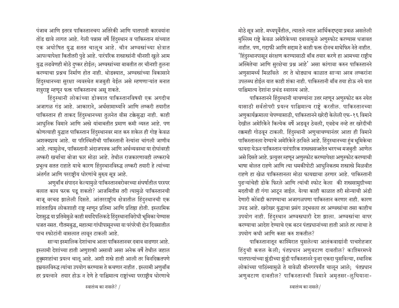पंजाब आणि इतरत्र पाकिस्तानचय अतिरेकी आणि घातपाती कारवयांना तोंड द्यावे लागत आहे. गेली पन्नास वर्षे हिंदुस्थान व पाकिस्तान यांच्यात एक अघोषित युद्ध सतत चालूच आहे. चीन अण्वस्त्रांच्या क्षेत्रात आपल्यापेक्षा कितीतरी पुढे आहे. पारंपरिक शस्त्रास्त्रांनी चीनशी खुले आम युद्ध लढवेणही मोठे दुष्कर होईल; अण्वस्त्रांच्या बाबतीत तर चीनशी तुलना करण्याचा प्रश्नच निर्माण होत नाही. थोडक्यात, अण्वस्त्रांच्या विकासाने हिंदुस्थानच्या सुरक्षा व्यवस्थेत मजबुती येईल असे म्हणणाऱ्यांत मनात शत्रुराष्ट्र म्हणून फक्त पाकिस्तानच असू शकते.

हिंदुस्थानी लोकांच्या डोक्यात पाकिस्तानविषयी एक अगदीच अजागळ गंड आहे. आकाराने, अर्थसामार्थ्याने आणि लष्करी तयारीत पाकिस्तान ही ताकद हिंदुस्थानच्या तुलनेत वीस टक्केसुद्धा नाही. काही आधुनिक विमाने आणि अस्त्रे यांबाबतीत प्रमाण कमी व्यस्त आहे. पण कोणत्याही युद्धात पाकिस्तान हिंदुस्थानवर मात करु शकेल ही गोष्ट केवळ अशक्यप्राय आहे. या परिस्थितीची पाकिस्तानी नेत्यांना चांगली जाणीव आहे. त्यामुळेच, पाकिस्तानी अंदाजपत्रक आणि अर्थव्यवस्था या दोघांवरही लष्करी खर्चाचा बोजा फार मोठा आहे. तेथील राजकारणावही लष्कराचे प्रभुत्व सतत राहाते याचे कारण हिंदुस्थानविरुद्ध लष्करी तयारी हे त्यांच्या अंतर्गत आणि परराष्ट्रीय धोरणांचे मुख्य सूत्र आहे.

अणुबाँब संपादन केल्यामुळे पाकिस्तानबरोबरच्या संघर्षातील परस्पर बलात काय फरक पडू शकतो? आजमितीस तरी त्यामुळे पाकिस्तानची बाजू वरचढ झालेली दिसते. आंतरराष्ट्रीय क्षेत्रातील हिंदुस्थानची एक शांतताप्रिय लोकशाही राष्ट्र म्हणून प्रतिमा आणि प्रतिष्ठा होती. इस्लामिक देशसुद्ध या प्रतिमेमुळे काही मर्यादेपलिकडे हिंदुस्थानाविरोधी भूमिका घेण्यास धजत नसत. गौतमबुद्ध, महात्मा गांधीपासूनच्या या परंपरेची दोन दिवसातील पाच स्फोटांनी वासलात लावून टाकली आहे.

साऱ्या इस्मालिक देशांचाच आता पाकिस्तानवर दबाव वाढणार आहे. इस्लामी देशांच्या हाती अणुशक्ती असावी असा अनेक वर्षे तेथील जहाल हुकुमशहांचा प्रयत्न चालू आहे. अशी शस्त्रे हाती आली तर बिनदिक्कतपणे इम्रयलविरुद्ध त्यांचा उपयोग करण्यास ते कचणार नाहीत . इस्लामी अणुबॉब हर प्रयत्नाने तयार होऊ न देणे हे पाश्चिमात्य राष्ट्रांच्या परराष्ट्रीय धोरणाचे मोठे सूत्र आहे. मध्यपूर्वेतील, त्यातले त्यात आर्थिकद्द्या प्रबळ असलेली मुस्लिम राष्टे केवळ अमेरिकेच्या दबावामुळे अणुस्फोट करण्यास धजावत नाहीत. पण, गद्दाफी आणि सद्दाम हे काही फक्त दोनच माथेफिरु नेते नाहीत. 'हिंदुस्थानपासून संरक्षण करण्यासाठी बाँब तयार करणे हा आमच्या राष्ट्रीय अस्मितेचा आणि सुरक्षेचा प्रश्न आहे' असा कांगावा करुन पाकिस्तानने अणुसामर्थ्य मिळविले तर ते थोड्याच काळात साऱ्या अरब लष्करांना उपलब्ध होईल यात काही शंका नाही. पाकिस्तानी बॉब तया होऊ नये यात पाश्चिमात्य देशांना प्रचंड स्वारस्य आहे.

पाकिस्तानने हिंदुस्थानी चाचण्यांना उत्तर म्हणून अणुस्फोट करु नयेत यासाठी सर्वतोपरी प्रयत्न पाश्चिमात्य राष्ट्रे करतील. पाकिस्तानच्या अणुकार्यक्रमाला चेपण्यासाठी, पाकिस्तानने खरेदी केलेली एफ-१६ विमाने देखील अमेरिकेने कित्येक वर्षे अडवून ठेवली, एवढेच नव्हे तर खरेदीची रक्कमही गोठवून टाकली. हिंदुस्थानी अणुचाचण्यानंतर आता ही विमाने पाकिस्तानला देण्याचे अमेरिकेने ठरविले आहे. हिंदुस्थानच्या हुंब भूमिकेचा फायदा घेऊन पाकिस्तान पारंपारिक शस्त्रस्रसज्जतेत भरगच्च मजबुती आणेल असे दिसते आहे. प्रत्युत्तर म्हणून अणुस्फोट करण्यापेक्षा अणुस्फोट करण्याची भाषा बोलत राहणे आणि त्या धमकीपोटी आधुनिकतम शस्त्रास्त्रे मिळवीत राहणे हा खेळ पाकिस्तानला मोठा फायद्याचा ठरणार आहे. पाकिस्तानी पुढऱ्यांचेही डोके फिरले आणि त्यांची स्फोट केला की शस्त्रसामुग्रीच्या मदतीची ही गंगा आटून जाईल. येत्या काही काळात तरी सोन्याची अंडी देणारी कोंबडी कापण्याचा अजागळपणा पाकिस्तान करणार नाही. कारण उघड आहे. खरोखर युद्धाचा प्रसंग उद्भवला तर अण्वस्त्रांचा तसा काहीच उपयोग नाही. हिंदुस्थान अण्वस्त्रधारी देश झाला. अण्वस्त्रांचा वापर करण्याचा आदेश देण्याचे एक बटन पंतप्रधानांच्या हाती आले तर त्याचा ते उपयोग कधी आणि कमा करु शकतील?

पाकिस्तानातून काश्मिरात घुसलेल्या आतंकवाद्यांनी पाचशेहजार हिंदुची कत्तल केली; पंतप्रधान अणुबटाण दाबतील? काश्मिरमध्ये घातपात्यांच्या झुंडीच्या झुंडी पाकिस्तानने पुन्हा एकदा घुसविल्या, स्थानिक लोकांच्या पाठिंब्यामुळे ते यावेळी श्रीनगरपर्यंत चालून आले; पंतप्रधान अणुबटाण दाबतील? पाकिस्तानची विमाने अमृतसर-लुघियाना-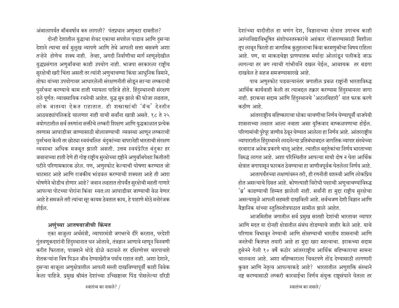अंबालापर्यत बॉबवर्षाव करु लागली? पंतप्रधान अणुबटा दाबतील?

दोन्ही देशातील युद्धाचा शेवट एकाचा सपशेल पाडाव आणि दुसऱ्या देशाने त्याचा सर्व मुलूख व्यापणे आणि तेथे आपली सत्ता बसवणे अशा तऱ्हेने होणेच शक्य नाही. तेव्हा, अगदी निर्वाणीचा मार्ग म्हणूनदेखील युद्धप्रसंगात अणुबॉबचा काही उपयोग नाही. भाजपा सरकारला राष्ट्रीय सुरक्षेची खरी चिंता असती तर त्यांनी अणुचाचण्या किंवा आधुनिक विमाने, तोफा यांच्या उपयोगावर आधारलेली संरक्षणनीती सोडून साऱ्या लष्कराची पुर्नर्रचना करण्याचे काम हाती घ्यायला पाहिजे होते. हिंदुस्थानची संरक्षण दले पूर्णत: व्यावसायिक रचनेची आहेत. युद्ध सुरु झाले की फोजा लढतात, लोक बातम्या ऐकत राहातात. ही शस्त्रास्त्रांची 'मॅच' देनतीन आठवड्यांपलिकडे चालणार नाही याची सर्वांना खात्री असते. १८ ते २५ वयोगटातील सर्व तरुणांना सक्तीचे लष्करी शिक्षण आणि युद्धकाळात प्रत्येक तरुणास आघाडीवर जाण्यासाठी बोलावण्याची व्यवस्था आणून लष्कराची पुनर्रचना केली तर छोट्या स्वयंचलित बंदुकांच्या वापरानेही भारताची संरक्षण व्यवस्था अधिक मजबूत झाली असती. उत्तम स्वयंप्रेरित बंदुका हर जवानाच्या हाती देणे ही गोष्ट राष्ट्रीय सुरक्षेच्या दृष्टीने अणुबॉबपेक्षा कितीतरी पटीने परिणामकारक ठरेल. पण, अणुस्फोट केल्याची घोषणा करण्यात जो थाटमाट आहे आणि राजकीय भांडवल करण्याची शक्यता आहे ती अशा घोषणेने थोडीच होणार आहे? जवान लढतात तोपर्यंत सुरक्षेची महती गाणारे आपल्या पोटच्या पोरांना किंवा स्वत:ला आघाडीवर जाण्याची वेळ येणार आहे हे समजले तरी त्यांचा सूर कायम ठेवतात काय, हे पाहाणे मोठे मनोरंजक होईल.

## अणुंच्या आतषबाजीची किंमत

एका बाज़ुला अर्थमंत्री, व्यापारमंत्री जगभरचे दौरे करतात, परदेशी गुंतवणूकदारांनी हिंदुस्थानात धन ओतावे, तंत्रज्ञान आणावे म्हणून विनवणी करीत फिरतात: पावसाने थोडे डोळे वटावले तर दक्षिणोत्तर चारपाचशे शेतकऱ्यांना विष पिऊन जीव देण्याखेरीज पर्याय राहात नाही. अशा देशाने, दुसऱ्या बाजूला अणुक्षेत्रातील आपली मस्ती दाखविण्यापूर्वी काही विवेक केला पाहिजे. प्रमुख श्रीमंत देशांच्या उच्छिष्टावर पिंड पोसलेल्या दरिद्री देशांच्या यादीतील हा भणंग देश, विज्ञानाच्या क्षेत्रात उगाचच काही आग्लविद्याविभूषित संशोधनतस्करांचे अहंकार गोंजारण्यासाठी मिशीला तूप लावून फिरतो हा जागतिक कुतुहलाचा किंवा करमणुकीचा विषय राहिला आहे. पण, या माकडचेष्टा प्राणघातक मर्यादा ओलांडून पलीकडे जाऊ लागल्या तर जग त्याची गांभीर्याने दखल घेईल. आवश्यक तर बडगा दाखवेल हे सहज समजण्यासारखे आहे.

पाच अणुस्फोट घडवल्यानंतर जगातील प्रबळ राष्ट्रांनी भारताविरुद्ध आर्थिक कार्यवाही केली तर त्याबद्दल तक्रार करण्यास हिंदुस्थानला जागा नाही. इराकचा सद्दाम आणि हिंदुस्थानचे 'अटलबिहारी' यात फरक करणे कठीण आहे.

आंतरराष्ट्रीय बहिष्काराचा धोका चाचणीचा निर्णय घेण्यापूर्वी वाजपेयी शासनाच्या लक्षात आला नव्हता असा युक्तिवाद बाष्कळपणाचा होईल. परिणामांची पुरेपूर जाणीव ठेवून घेण्यात आलेला हा निर्णय आहे. आंतरराष्ट्रीय व्यापारातील हिंदुस्थानने लादलेल्या प्रतिबंधाबद्दल जागतिक व्यापार संस्थेच्या दरबाराज अनेक प्रकरणे चालू आहेत. त्यातील बहुतेकांचा निर्णय भारताच्या विरुद्ध लागत आहे. अशा परिस्थितीत आपल्या माथी दोष न घेता आर्थिक क्षेत्रात जगापासून फारकत ठेवण्याचा हा जाणीवपूर्वक घेतलेला निर्णय आहे.

आतापर्यंतच्या लक्षणांवरुन तरी, ही रणनीती यशस्वी आणि लोकप्रिय होत असल्याचे दिसत आहे. कोणत्याही विरोधी पक्षाची अणुचाचण्यांविरुद्ध 'ब्र' काढण्याची हिम्मत झालेली नाही. सर्वांनी हा मुद्दा राष्ट्रीय सुरक्षेचा असल्यामुळे आपली सहमती दाखविली आहे. सर्वचजण देशी विज्ञान आणि वैज्ञानिक यांच्या स्तुतिस्तोत्रपाठात सामील झाले आहेत.

आजमितीस जगातील सर्व प्रमुख सातही देशांची भारतावर व्यापार आणि मदत या दोनही क्षेत्रातील संबंध तोडण्याचे जाहीर केले आहे. याचे परिणाम विभावृन नेण्याची आणि सोसण्याची भारतीय शासनाची आणि जनतेची कितपत तयारी आहे हा मुद्दा खरा महत्वाचा. इराकच्या सद्दाम हुसेनने गेली १० वर्षे कठोर आंतरराष्ट्रीय आर्थिक बहिष्काराचा सामना चालवला आहे. अशा बहिष्काराला चिवटपणे तोंड देण्यासाठी लागणारी कुवत आणि नेतृत्व आपल्याकडे आहे? भारतातील अणुशक्ति संस्थाने नष्ट करण्यासाठी लष्करी कारवाईचा निर्णय संयुक्त राष्ट्रसंघाने घेतला तर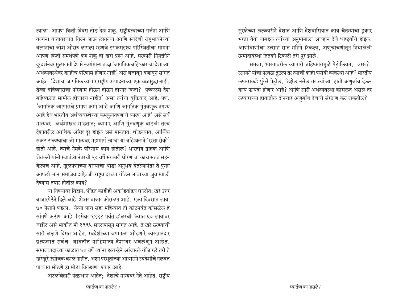त्याला आपण किती दिवस तोंड देऊ शकू. राष्ट्रीयत्वाच्या गर्जना आणि वल्गना वातावरणात विरुन जाऊ लागल्या आणि स्वदेशी राष्टभावनेच्या वल्गनांचा जोश ओसरु लागला म्हणजे इराकसदृश्य परिस्थितीचा सामना आपण किती समर्थपणे करु शकू हा खरा प्रश्न आहे. सरकारी नियुक्तीने दुरदर्शनवर मुलाखती देणारे स्वयंमान्य तज्ज्ञ 'जागतिक बहिष्काराचा देशाच्या अर्थव्यवस्थेवर काहीच परिणाम होणार नाही' असे बजावून बजावून सांगत आहेत. 'देशाचा जागतिक व्यापार राष्ट्रीय उत्पादनाच्या एक टक्कासुद्धा नाही, तेव्हा बहिष्काराचा परिणाम होऊन होऊन होणार किती? पुष्कळसे देश बहिष्करात सामील होणारच नाहीत' असा त्यांचा युक्तिवाद आहे. पण, 'जागतिक व्यापाराचे प्रमाण कमी आहे आणि जागतिक गुंतवणूक नगण्य आहे हेच भारतीय अर्थव्यवस्थेच्या कमकुवतपणाचे कारण आहे' असे सर्व मान्यवर अर्थशास्त्रज्ञ मांडतात; व्यापार आणि गुंतवणूक वाढली तरच देशावरील आर्थिक अरिष्ट दूर होईल असे मानतात. थोडक्यात, आर्थिक संकट टाळण्याचा जो मान्यवर महामार्ग त्याचा या बहिष्कराने 'रस्ता रोको' होतो आहे. त्याचे नेमके परिणाम काय होतील? भारतीय ग्राहक आणि शेतकरी यांनी स्वातंत्र्यानंतरची ५० वर्षे सरकारी धोरणांचा काच सतत सहन केलाच आहे. खुलेपणाच्या वाऱ्याचा थोडा अनुभव घेतल्यानंतर ते पुन्हा आपली मान समाजवादाऐवजी राष्ट्रवादाच्या गोंडस नावाच्या जुवाखाली देण्यास तयार होतील काय?

या विषयावर विद्वान, पंडित काहीही अकांडतांडव घालोत; खरे उत्तर बाजारपेठेने दिले आहे. शेअर बाजार कोसळत आहे. एका दिवसात रुपया ७० पैशाने पडला. येत्या पाच सहा महिन्यात तो कोठपर्यंत कोसळेल हे सांगणे कठीण आहे. डिसेंबर १९९८ पर्यंत डॉलरची किंमत ६० रुपयांवर जाईल असे भाकीत मी १९९५ सालापासून सांगत आहे, ते खरे ठरण्याची सारी लक्षणे दिसत आहेत. स्वदेशीच्या जपमाळा ओढणारे कारखानदार प्रत्यक्षात सर्वच बाबतीत पाश्चिमात्य देशांवर अवलंबून आहेत. समाजवादाच्या काळात ५० वर्षे त्यांना हरतऱ्हेने आंजारले गोंजारले तरी ते खरेखुरे उद्योजक बनले नाहीत. अशा परभूतांच्या आधाराने स्वदेशीचे गलबत पाण्यात सोडणे हा मोठा विलक्षण प्रकार आहे.

अटलबिहारी पंतप्रधान आहेत; देशाचे मान्यवर नेते आहेत. राष्टीय

सुरक्षेच्या ललकारीने देशात आणि देशवासियांत काय चैतन्याचा हुंकार भरता येतो याबद्दल त्यांच्या अनुमानाला आव्हान देणे धाष्ट्र्याचे होईल. आणीबाणीचा उत्साह सात महिने टिकला, अणुचाचणीतून निघालेली उन्मादावस्था तितकी टिकली तरी पुरे झाले.

समजा, भारतावरील व्यापारी बहिष्कारामुळे पेट्रोलियम, वरखते, रसायने यांचा पुरवठा तुटला तर त्याची काही पर्यायी व्यवस्था आहे? भारतीय लष्कराकडे पुरेसे पेट्रोल, डिझेल नसेल तर त्यांच्या हाती अणुबॉब देऊन काय फायदा होणार आहे? आणि सारी अर्थव्यवस्था कोसळत असेल तर लष्कराच्या हातातील दोनचार अणुबॉब देशाचे संरक्षण करु शकतील?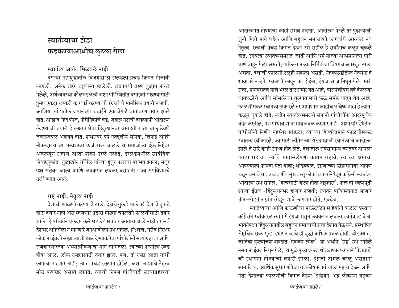## स्वातंत्र्याचा झेंडा फडकण्याआधीच लूटला गेला

## स्वातंत्र्य आले. मिळवले नाही

दुसऱ्या महायुद्धातील विजयासाठी इंग्लंडला प्रचंड किंमत मोजावी लागली. अनेक शहरे उद्ध्वस्त झालेली, लक्षावधी तरुण युद्धात मारले गेलेले. अर्थव्यवस्था कोलमडलेली अशा परिस्थितीत वसाहती राखण्यासाठी पुन्हा एकदा लष्करी कारवाई करण्याची इंग्रजांची मानसिक तयारी नव्हती. आशिया खंडातील जपानच्या चढाईने एक वेगळे वातावरण तयार झाले होते. आझाद हिंद फौज, नौसैनिकांचे बंड, जहाल गटांची देशव्यापी आंदोलन छेडण्याची तयारी हे लक्षात घेता हिंदुस्थानवर वसाहती राज्य चालू ठेवणे जवळजवळ अशक्य होते. शंभरावर वर्षे एतद्देशीय सैनिक, शिपाई आणि नोकरदार यांच्या भरवशावर इंग्रजी राज्य चालले. या समाजांच्या इंग्रजनिष्ठेवर अवलंबून राहाणे आता शक्य उरले नव्हते. इंग्लंडमधील सार्वत्रिक निवडणुकांत युद्धाखोर चर्चिल यांच्या हुजुर पक्षाचा पराभव झाला; मजूर पक्ष सत्तेवर आला आणि लवकरात लवकर वसाहती राज्य संपविण्याचे ठरविण्यात आले.

## राष्ट्र नाही, नेतृत्व नाही

देशाची फाळणी करण्याचे ठरले. देहाचे तुकडे झाले तरी देशाचे तुकडे होऊ देणार नाही असे म्हणणारे पुढारी मोठ्या चपळतेने फाळणीसाठी तयार झाले. हे परीवर्तन एकदम कसे घडले? सत्तांतर आताच झाले नाही तर सर्व देशभर अहिंसेला न मानणारे जनआंदोलन उभे राहील. नि:शस्त्र, गरीब निरक्षर लोकांना इंग्रजी साम्राज्याशी टक्कर देण्याकरिता गांधीजींनी सत्याग्रहाचा आणि राजकारणारच्या अध्यात्मीकणाचा मार्ग सांगितला. त्यांच्या पेरणीला उदंड पीक आले. लोक लढ्यासाठी तयार झाले. पण, तो लढा आता गांधी छापाचा राहणार नाही; त्यात प्रचंड रक्तपात होईल. अशा लढ्याचे नेतृत्व मोठे कणखर असावे लागते. त्याची निपज गांधीवादी सत्याग्रहाच्या आंदोलनात होण्याचा काही संभव नव्हता. आंदोलन पेटले तर पुढाऱ्यांची जुनी पिढी मागे पडेल आणि बहजन समाजाशी लागेबांधे असलेले नवे नेतृत्व रक्ताची प्रचंड किंमत देऊन उभे राहील हे सर्वांनाच कळून चुकले होते. उगवत्या स्वातंत्र्यसमरात जाती आणि धर्म यांच्या अभिमानाची सारी घाण वाहन गेली असती; पाकिस्तानच्या निर्मितीचा विषयच अप्रस्तुत ठरला असता. देशाची फाळणी टळूही शकली असती. नेहरुपठडीतील नेत्यांना हे भावणारे नव्हते. फाळणी लादुन का होईना, इंग्रज आज निघून गेले, सारी सत्ता, मानमरातब यांचे भरले ताट समोर येत आहे, वीसपंचीवस वर्षे केलेल्या धावपळीचे आणि सोसलेल्या तुरुंगावासाचे फळ समोर वाढून येत आहे; फाळणीसकट स्वातंत्र्य नाकारले तर आपणास काहीच भविष्य नाही हे त्यांना कळून चुकले होते. नवीन स्वातंत्र्यसमराचे सेनानी गांधीजींना आदरपूर्वक वंदन करतील, पण गांधीवाद्यांना मात्र जवळ करणार नाही. अशा परिस्थितीत गांधीजींनी निर्णय नेहरुंवर सोडला; त्यांच्या शिष्योत्तमाने फाळणीसकट स्वातंत्र्य स्वीकारले. ज्यासाठी काँग्रेसच्या झेंड्याखाली स्वातंत्र्याचे आंदोलन झाले ते सारे काही साध्य होत होते. देशातील सर्वसामान्य जनतेवर आपला पगडा राहावा, त्यांचे मागासलेपणा कायम राहावे, त्यांच्या श्रमाचा आपल्याला फायदा घेता यावा: थोडक्यात, इंग्रजांच्या सिंहासनावर आपण चढून बसावे या, उच्चवर्णीय सुखवस्तू लोकांच्या मनिषेतून कॉंग्रेसी स्वातंत्र्य आंदोलन उभे राहिले. 'याचसाठी केला होता अट्टहास'. फक्त ही स्वप्नपूर्ती साऱ्या इंग्रज -हिंदुस्थानभर होणार नव्हती; त्यातून पाकिस्तानात जाणारे तीन-सोडतीन प्रांत सोडून द्यावे लागणार होते, एवढेच.

स्वातंत्र्याचा आणि फाळणीचा माऊंटबॅटन साहेबांनी केलेला पस्ताव कॉंग्रेसने स्वीकारल त्यामागे इंग्रजांपासून लवकरात लवकर स्वतंत्र व्हावे या भावनेपेक्षा हिंदुस्थानातील बहुजन समाजाची सत्ता देशात येऊ नये, प्रस्थापित श्रेष्ठींचेच राज्य पुन्हा स्थापन व्हावे ही बुद्धी अधिक प्रबळ होती. थोडक्यात, जोतिबा फुल्यांच्या शब्दात 'एकदम लोक' या अर्थाने 'राष्ट' उभे राहिले नसताना इंग्रज निघून गेले; त्यामुळे पुन्हा एकदा थोड्याफार फरकाने 'पेशवाई' ची स्थापना होण्याची तयारी झाली. इंग्रजी अंमल चालू असताना सामाजिक, आर्थिक सुधारणांपेक्षा राजकीय स्वातंत्र्याला महत्व देऊन आणि नंतर देशाच्या फाळणीची किंमत देऊन 'इंडियन' भद्र लोकांनी बहजन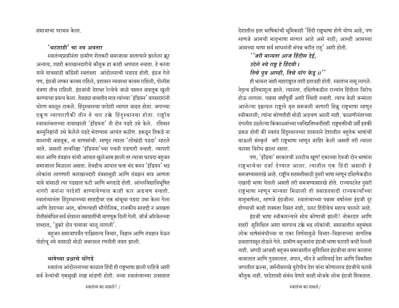समाजाचा पराभव केला.

### 'भटशाही' चा नव अव**ता**र

स्वातंत्र्यप्राप्तीनंतर ग्रामीण शेतकरी समाजावर सातत्याने झालेला क्रूर अन्याय, शहरी कारखानदारीचे कौतुक हा काही अपघात नव्हता. हे करता यावे याचसाठी काँग्रेसी स्वतंत्रता आंदोलनाची धडपड होती. इंग्रज गेले पण, इंग्रजी लष्कर कायम राहिले, प्रशासन व्यवस्था कायम राहिली, पोलीस यंत्रणा तीच राहिली. इंग्रजांनी देशभर रेल्वेचे जाळे पसरुन वाहतूक खुली करण्याचा प्रयत्न केला. तेवढ्या बाबतीत मात्र त्यांच्या 'इंडियन' वारसदारांनी धोरण बदऌन टाकले. हिंदुस्थानचा परदेशी व्यापार वाढत होता. जगाच्या एकूण व्यापारापैकी तीन ते चार टक्के हिंदुस्थानचा होता. राष्ट्रीय स्वावलंबनाच्या नावाखाली 'इंडियना' नी दोन पडदे उभे केले. रशिसन कम्युनिष्टांनी उभे केलेले पडदे भेदण्यास अत्यंत कठीण. इकडून तिकडे ना मालाची वाहतूक, ना माणसांची. म्हणून त्याला 'लोखंडी पडदा' म्हटले जाते. असली तत्वनिष्ठा 'इंडियना'च्या पचनी पडणारी नव्हती. व्यापारी माल आणि तंत्रज्ञान यांची आयात खुलेआम झाली तर त्याचा फायदा बहुजन समाजाला मिळाला असता. तेवढीच आयात फक्त बंद करुन 'इंडियन' भद्र लोकांना लागणारी कारखानदारी यंत्रसामुग्री आणि तंत्रज्ञान मात्र आणता यावे यांसाठी त्या पडद्यात फटी आणि भगदाडे होती. आंग्लविद्याविभूषित नागरी जनांना परदेशी जाण्यायेण्यात काही फार अडचण नव्हती. स्वातंत्र्यानंतर हिंदुस्थानच्या सरहद्दीवर एक बांबूचा पडदा उभा केला गेला आणि देशाच्या आत. कोणत्याही भौगोलिक. राजकीय सरहद्दी न आखता शेतीसंबंधित सर्व क्षेत्राला वसाहतींची वागणूक दिली गेली. जॉर्ज ऑरवेलच्या शब्दात, 'डुकरे दोन पायावर चालू लागली'.

बहुजन समाजापर्यंत पाश्चिमात्य विचार, विज्ञान आणि तंत्रज्ञान येऊन पोहोचू नये यासाठी मोठी जबरदस्त रणनीती तयार झाली.

### भाषेच्या प्रश्नाचे घोंगडे

स्वातंत्र्य आंदोलनाच्या काळात हिंदी ही राष्ट्रभाषा झाली पाहिजे अशी सर्व नेत्यांची एकमुखी स्पष्ट मांडणी होती. नव्या स्वातंत्र्याच्या उत्साहात

देशातील इतर भाषिकांची भूमिकाही 'हिंदी राष्ट्रभाषा होणे योग्य आहे, पण म्हणजे आमची मातृभाषा मरणार आहे असे नाही; आम्ही आमच्या आमच्या भाषा सर्व साधनांनी संपन्न करीत राह $'$  अशी होती.

## *" जरी मान्यता आज हिंदीस देई,*

- $3$ देले नये राष्ट्र हे हिंदवी।
- *तिचे पुत्र आम्ही, तिचे पांग फेड़ ॥''*

ही भावना जशी महाराष्ट्रात तशी इतरत्रही होती. स्वातंत्र्य नासू लागले. नेतृत्व प्रतिभाशून्य झाले. त्यानंतर. दक्षिणेकडील राज्यांत हिंदीला विरोध होऊ लागला. पन्नास वर्षांपूर्वी अशी स्थिती नव्हती. त्याच वेळी जन्माला आलेल्या इम्रायल राष्ट्राने मृत समजली जाणारी हिब्रू राष्ट्रभाषा म्हणून स्वीकारली; त्यांना कोणतीही मोठी अडचण आली नाही. फाळणीनंतरच्या दंगलीत उठलेल्या किंकाळ्यांच्या ध्वनिप्रतिध्वनींतही राष्ट्रभक्तीची उर्मी इतकी प्रबळ होती की स्वतंत्र हिंदुस्थानच्या शासनाने देशातील बहुतेक भाषांची माऊली संस्कृर्त जरी राष्ट्रभाषा म्हणून जाहिर केली असती तरी त्याला फारसा विरोध झाला नसता.

पण, 'इंडिया' सरकारची उलटीच खूण! एकाच्या ऐवजी दोन भाषांना राष्टभाचेचा दर्जा देण्यात आला. त्यातील एक हिंदी असावी हे समजण्यासारखे आहे. राष्ट्रीय सहमतीसाठी दुसरी भाषा म्हणून दक्षिणेकडील एखादी भाषा घेतली असती तरी समजण्यासारखे होते. राज्यघटनेत दुसरी राष्ट्रभाषा म्हणून मान्यता मिळाली ती वसाहतवादी राज्यकर्त्यांच्या मातृभाषेला, म्हणजे इंग्रजीला. स्वातंत्र्याच्या पन्नास वर्षानंतर इंग्रजी दूर होण्याची काही शक्यता दिसत नाही, उलट हिंदीचेच महत्व चालले आहे.

इंग्रजी भाषा स्वीकारल्याने सोय कोणाची झाली? नोकरदार आणि शहरी सुशिक्षित अशा चारपाच टक्के भद्र लोकांची. समाजातील बहसंख्य लोक भाषेसंबंधीच्या या एका निर्णयामुळे विचार-विज्ञानाच्या जागतिक प्रवाहापासून तोडले गेले. ग्रामीण बहुजनांना इंग्रजी भाषा फारशी कधी पेलली नाही. अगदी आजही बहजन समाजातील सुशिक्षित इंग्रजीचा वापर करताना बावरतात आणि गुदमरतात. जपान, चीन हे आशियाई देश आणि विकसित जगातील फ्रान्स, जर्मनीसारखे युरोपीय देश यांना कोणालाच इंग्रजीचे फारसे <u>कौतुक नाही. परदेशासी संबंध येणारे काही मोजके लोक इंग्रजी शिकतात.</u>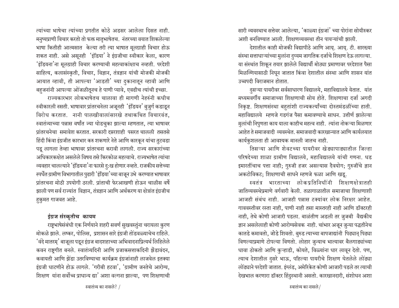त्यांच्या भाषेचा त्यांच्या प्रगतीत कोठे अडसर आलेला दिसत नाही. मनुष्यप्राणी विचार करतो तो फक्त मातृभाषेतच. नंतरच्या वयात शिकलेल्या भाषा कितीही आत्मसात केल्या तरी त्या भाषात मूलग्राही विचार होऊ शकत नाही. असे असूनही 'इंडिया' ने इंग्रजीचा स्वीकार केला, कारण 'इंडियना'ना मूलग्राही विचार करण्याची महत्वाकांक्षाच नव्हती. परदेशी साहित्य, कलासंस्कृती, विचार, विज्ञान, तंत्रज्ञान यांची मोजकी मोजकी आयात व्हावी, ती आपल्या 'आडती' च्या दुकानातून व्हावी आणि बहुजनांनी आपल्या ओजळीतूनच हे पाणी प्यावे, एवढीच त्यांची इच्छा.

राज्यकारभार लोकभाषेतच चालावा ही मागणी नेहरुंनी कधीच स्वीकारली नसती. भाषावार प्रांतरचनेला अजूनही 'इंडियन' बुजुर्ग कडाडून विरोध करतात. नानी पालखीवालांसारखे तथाकथित विचारवंत, स्वातंत्र्याच्या पन्नास वर्षांत ज्या घोडचुका झाल्या म्हणतात, त्या भाषावर प्रांतरचनेचा समावेश करतात. सरकारी दप्तरशाही पसरत चालली तसतसे हिंदी किंवा इंग्रजीत कारभार करु शकणारे नेते आणि कारकून यांचा तुटवडा पडू लागला तेव्हा भाषावर प्रांतरचना करावी लागली. राज्य सरकारांच्या अधिकारकक्षेत असलेले विषय तसे किरकोळ महत्वाचे. राज्यभाषेत त्यांचा व्यवहार चालल्याने 'इंडियना'ना फारसे दु:ख होणार नव्हते. राजकीय सत्तेच्या स्पर्धेत ग्रामीण विभागातील पुढारी 'इंडिया'च्या बाजून उभे करण्यात भाषावार प्रांतरचना मोठी उपयोगी ठरली. प्रांताची फेरआखणी होऊन चाळीस वर्षे झाली पण सर्व राज्यांत विज्ञान, तंत्रज्ञान आणि अर्थकरण या क्षेत्रांत इंग्रजीच हुकुमत गाजवत आहे.

#### इंग्रज संस्कृतीच कायम

राष्ट्रभाषेसंबंधी एक निर्णयाने शहरी सवर्ण सुखवस्तुंना चरायला कुरण मोकळे झाले. लष्कर, पोलिस, प्रशासन सारे इंग्रजी तोंडवळ्याचेच राहिले. 'वंदे मातरम्' बाजूला पडून इंग्रज बादशहाच्या अभिवादनाप्रित्यर्थ लिहिलेले कवन राष्ट्रगीत बनले. स्वातंत्र्यदिनी आणि प्रजाकसत्ताकदिनी झेंडावंदन, कवायती आणि झेंडा उतरविण्याचा कार्यक्रम इंग्रजांनाही लाजवेल इतक्या इंग्रजी धाटणीने होऊ लागले. 'गरीबी हटवा', 'ग्रामीण जनतेचे आरोग्य, शिक्षण यांना सर्वोच्च प्राधान्य द्या' अशा वल्गना झाल्या, पण शिक्षणाची सारी व्यवस्थाच सत्तेवर आलेल्या, 'काळ्या इंग्रजां' च्या पोरांना सोयीस्कर अशी बनविण्यात आली. शिक्षणव्यवस्था तीन पायऱ्यांची झाली.

देशातील काही मोजकी विद्यापीठे आणि आयू. आयू. टी. सारख्या संस्था सत्ताधाऱ्यांच्या मुलांना दुय्यम जागतिक दर्जाचे शिक्षण देऊ लागल्या. या संस्थांत शिकून तयार झालेले विद्यार्थी मोठ्या प्रमाणावर परदेशात पैसा मिळग्गियासाठी निघून जातात किंवा देशातील संस्था आणि शासन यांत उच्चपदी विराजमान होतात.

दुसऱ्या पायरीवर सर्वसाधारण विद्यालये, महाविद्यालये येतात. यांत मध्यमवर्गीय समाजाच्या शिक्षणाची सोय होते. शिक्षणाचा दर्जा अगदी निकृष्ट. शिक्षणसंस्था बहुतांशी राज्यकर्त्यांच्या दोस्तमंडळींच्या हाती. महाविद्यालये म्हणजे गडगंज पैसा कमावण्याचे साधन. उत्तीर्ण झालेल्या मुलांची निपुणता काय याला काहीच महत्व नाही. त्यांना नोकऱ्या मिळणार आहेत ते समाजवादी व्यवस्थेत. समाजवादी कारखान्यात आणि कार्यलयात कार्यकुशलता ही आवश्यक मानली जातच नाही.

तिसऱ्या आणि शेवटच्या पायरीवर खेड्यापाड्यातील जिल्हा परिषदेच्या शाळा ग्रामीण विद्यालये, महाविद्यालये यांची गणना. धड इमारतींचाच पत्ता नाही; गुरुजी हजर असल्यास दैवयोग; गुरुजींचे ज्ञान अकटोविकट; शिक्षणाची साधने म्हणजे फळा आणि खडू.

स्वतंत्र भारताच्या लोकप्रतिनिधींनी शिक्षाणक्षोत्रातही जातिव्यवस्थेप्रमाणे वर्गवारी केली. तळागाळातील समाजाचा शिक्षणाशी आजही संबंध नाही. आजही पन्नास टक्यांवर लोक निरक्षर आहेत. गाववस्तीवर रस्ता नाही, पाणी नाही तसा मास्तरही नाही आणि डॉक्टरही नाही, तेथे कोणी आजारी पडला. बाळंतीण अडली तर जुजबी वैद्यकीय ज्ञान असलेलाही कोणी आरोग्यसेवक नाही. चांभार अजून जुन्या पद्धतीनेच कातडे कमावतो, जोडे शिवतो. बुरुड त्याच्या बापजाद्यांनी पिढ्यान् पिढ्या विणल्याप्रमाणे टोपल्या विणतो. लोहार जुन्याच भात्यावर बैलगाड्यांच्या धावा ठोकतो आणि कुऱ्हाडी, कोयते, विळ्यांना धार लावून देतो. पण, त्याच देशातील दुसरे भाऊ, पहिल्या पायरीचे शिक्षण घेतलेले लोढ्या लोंढ्याने परदेशी जातात. इंग्लंड, अमेरिकेत कोणी आजारी पडले तर त्याची देखभाल करणारा डॉक्टर हिंदुस्थानी असतो. कारखानदारी, संशोधन अशा